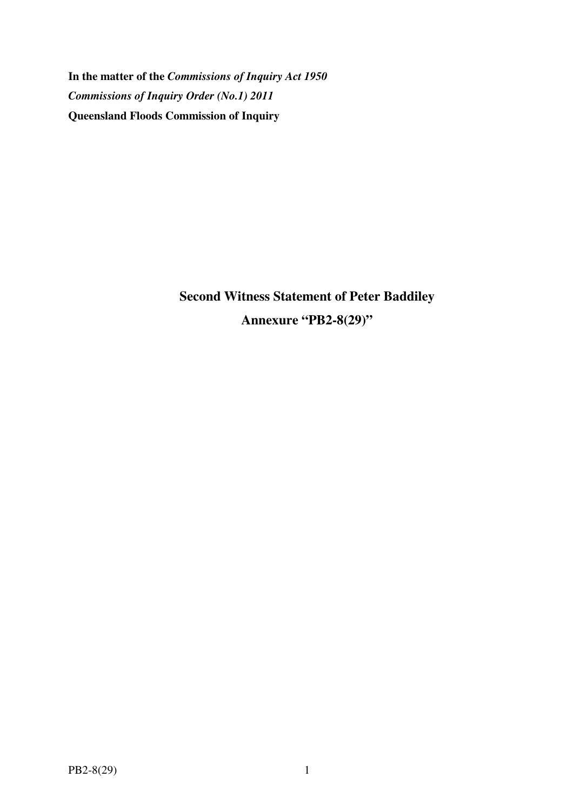**In the matter of the** *Commissions of Inquiry Act 1950 Commissions of Inquiry Order (No.1) 2011* **Queensland Floods Commission of Inquiry** 

> **Second Witness Statement of Peter Baddiley Annexure "PB2-8(29)"**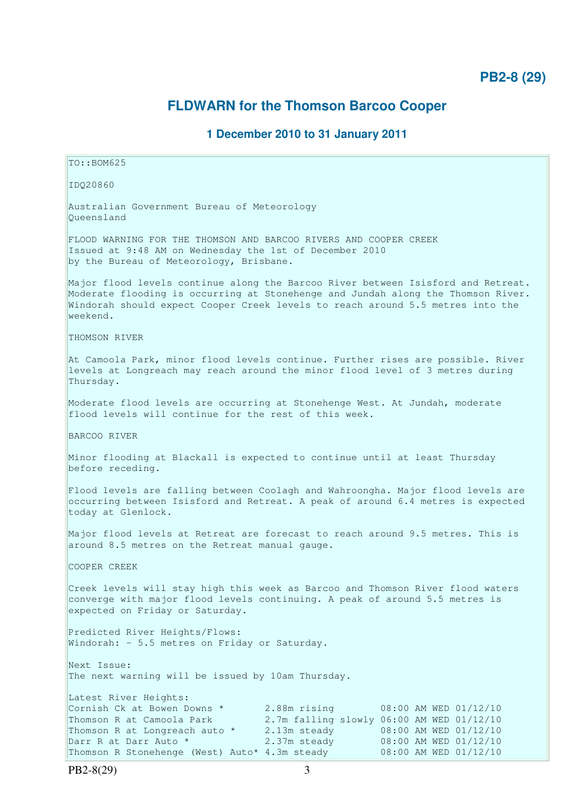# **PB2-8 (29)**

# **FLDWARN for the Thomson Barcoo Cooper**

# **1 December 2010 to 31 January 2011**

TO::BOM625 IDQ20860 Australian Government Bureau of Meteorology Queensland FLOOD WARNING FOR THE THOMSON AND BARCOO RIVERS AND COOPER CREEK Issued at 9:48 AM on Wednesday the 1st of December 2010 by the Bureau of Meteorology, Brisbane. Major flood levels continue along the Barcoo River between Isisford and Retreat. Moderate flooding is occurring at Stonehenge and Jundah along the Thomson River. Windorah should expect Cooper Creek levels to reach around 5.5 metres into the weekend. THOMSON RIVER At Camoola Park, minor flood levels continue. Further rises are possible. River levels at Longreach may reach around the minor flood level of 3 metres during Thursday. Moderate flood levels are occurring at Stonehenge West. At Jundah, moderate flood levels will continue for the rest of this week. BARCOO RIVER Minor flooding at Blackall is expected to continue until at least Thursday before receding. Flood levels are falling between Coolagh and Wahroongha. Major flood levels are occurring between Isisford and Retreat. A peak of around 6.4 metres is expected today at Glenlock. Major flood levels at Retreat are forecast to reach around 9.5 metres. This is around 8.5 metres on the Retreat manual gauge. COOPER CREEK Creek levels will stay high this week as Barcoo and Thomson River flood waters converge with major flood levels continuing. A peak of around 5.5 metres is expected on Friday or Saturday. Predicted River Heights/Flows: Windorah: - 5.5 metres on Friday or Saturday. Next Issue: The next warning will be issued by 10am Thursday. Latest River Heights: Cornish Ck at Bowen Downs  $*$  2.88m rising 08:00 AM WED 01/12/10 Thomson R at Camoola Park 2.7m falling slowly 06:00 AM WED 01/12/10<br>Thomson R at Longreach auto \* 2.13m steady 08:00 AM WED 01/12/10 2.13m steady 08:00 AM WED 01/12/10 Darr R at Darr Auto \* 2.37m steady 08:00 AM WED 01/12/10 Thomson R Stonehenge (West) Auto\* 4.3m steady 08:00 AM WED 01/12/10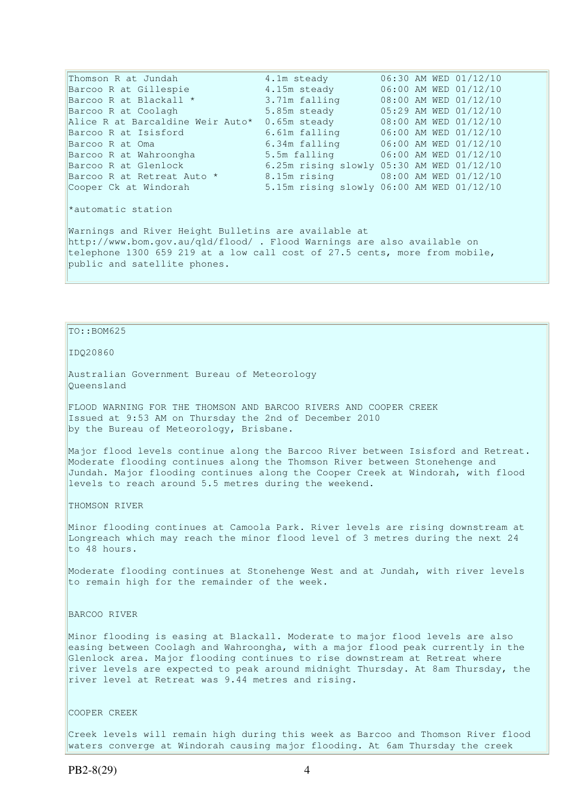Thomson R at Jundah  $4.1$ m steady  $06:30$  AM WED  $01/12/10$ Barcoo R at Gillespie  $4.15$ m steady  $06:00$  AM WED 01/12/10 Barcoo R at Blackall \* 3.71m falling 08:00 AM WED 01/12/10 Barcoo R at Coolagh 5.85m steady 05:29 AM WED 01/12/10 Alice R at Barcaldine Weir Auto\* 0.65m steady 08:00 AM WED 01/12/10 Barcoo R at Isisford 6.61m falling 06:00 AM WED 01/12/10 Barcoo R at Oma 6.34m falling 06:00 AM WED 01/12/10 Barcoo R at Wahroongha 5.5m falling 06:00 AM WED 01/12/10 Barcoo R at Glenlock 6.25m rising slowly 05:30 AM WED 01/12/10 Barcoo R at Retreat Auto \* 8.15m rising 08:00 AM WED 01/12/10 Cooper Ck at Windorah 5.15m rising slowly 06:00 AM WED 01/12/10 \*automatic station Warnings and River Height Bulletins are available at http://www.bom.gov.au/qld/flood/ . Flood Warnings are also available on telephone 1300 659 219 at a low call cost of 27.5 cents, more from mobile, public and satellite phones.

## $To::BOM625$

#### IDQ20860

Australian Government Bureau of Meteorology Queensland

FLOOD WARNING FOR THE THOMSON AND BARCOO RIVERS AND COOPER CREEK Issued at 9:53 AM on Thursday the 2nd of December 2010 by the Bureau of Meteorology, Brisbane.

Major flood levels continue along the Barcoo River between Isisford and Retreat. Moderate flooding continues along the Thomson River between Stonehenge and Jundah. Major flooding continues along the Cooper Creek at Windorah, with flood levels to reach around 5.5 metres during the weekend.

THOMSON RIVER

Minor flooding continues at Camoola Park. River levels are rising downstream at Longreach which may reach the minor flood level of 3 metres during the next 24 to 48 hours.

Moderate flooding continues at Stonehenge West and at Jundah, with river levels to remain high for the remainder of the week.

BARCOO RIVER

Minor flooding is easing at Blackall. Moderate to major flood levels are also easing between Coolagh and Wahroongha, with a major flood peak currently in the Glenlock area. Major flooding continues to rise downstream at Retreat where river levels are expected to peak around midnight Thursday. At 8am Thursday, the river level at Retreat was 9.44 metres and rising.

## COOPER CREEK

Creek levels will remain high during this week as Barcoo and Thomson River flood waters converge at Windorah causing major flooding. At 6am Thursday the creek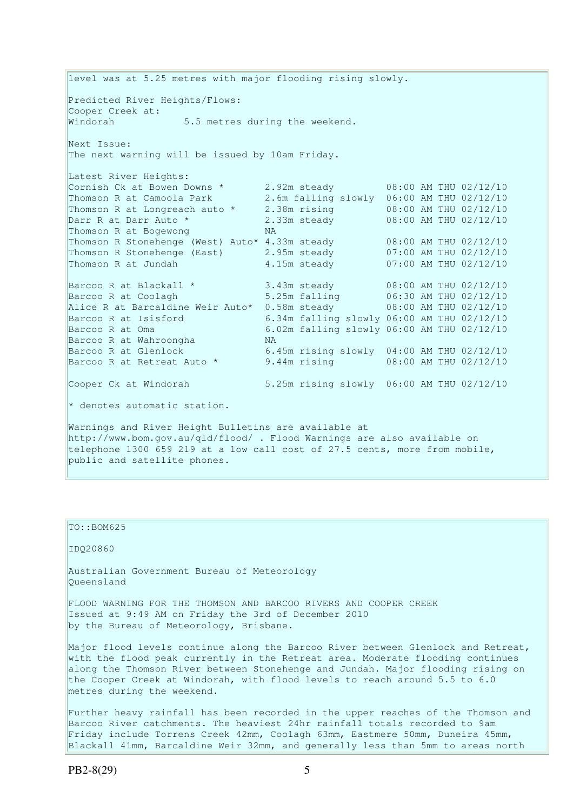level was at 5.25 metres with major flooding rising slowly. Predicted River Heights/Flows: Cooper Creek at: Windorah 5.5 metres during the weekend. Next Issue: The next warning will be issued by 10am Friday. Latest River Heights: Cornish Ck at Bowen Downs  $*$  2.92m steady 08:00 AM THU 02/12/10 Thomson R at Camoola Park 2.6m falling slowly 06:00 AM THU 02/12/10<br>Thomson R at Longreach auto \* 2.38m rising 08:00 AM THU 02/12/10 Thomson R at Longreach auto \* 2.38m rising 08:00 AM THU 02/12/10 Darr R at Darr Auto \* 2.33m steady 08:00 AM THU 02/12/10 Thomson R at Bogewong NA Thomson R Stonehenge (West) Auto\* 4.33m steady 08:00 AM THU 02/12/10 Thomson R Stonehenge (East) 2.95m steady 07:00 AM THU 02/12/10 Thomson R at Jundah 4.15m steady 07:00 AM THU 02/12/10 Barcoo R at Blackall  $*$  3.43m steady 08:00 AM THU 02/12/10 Barcoo R at Coolagh 5.25m falling 06:30 AM THU 02/12/10 Alice R at Barcaldine Weir Auto\* 0.58m steady 08:00 AM THU 02/12/10 Barcoo R at Isisford 6.34m falling slowly 06:00 AM THU 02/12/10 Barcoo R at Oma 6.02m falling slowly 06:00 AM THU 02/12/10 Barcoo R at Wahroongha MA Barcoo R at Glenlock 6.45m rising slowly 04:00 AM THU 02/12/10 Barcoo R at Retreat Auto \* 9.44m rising  $\frac{1}{2}$  08:00 AM THU 02/12/10 Cooper Ck at Windorah 5.25m rising slowly 06:00 AM THU 02/12/10 \* denotes automatic station. Warnings and River Height Bulletins are available at http://www.bom.gov.au/qld/flood/ . Flood Warnings are also available on telephone 1300 659 219 at a low call cost of 27.5 cents, more from mobile, public and satellite phones.

### TO::BOM625

IDQ20860

Australian Government Bureau of Meteorology Queensland

FLOOD WARNING FOR THE THOMSON AND BARCOO RIVERS AND COOPER CREEK Issued at 9:49 AM on Friday the 3rd of December 2010 by the Bureau of Meteorology, Brisbane.

Major flood levels continue along the Barcoo River between Glenlock and Retreat, with the flood peak currently in the Retreat area. Moderate flooding continues along the Thomson River between Stonehenge and Jundah. Major flooding rising on the Cooper Creek at Windorah, with flood levels to reach around 5.5 to 6.0 metres during the weekend.

Further heavy rainfall has been recorded in the upper reaches of the Thomson and Barcoo River catchments. The heaviest 24hr rainfall totals recorded to 9am Friday include Torrens Creek 42mm, Coolagh 63mm, Eastmere 50mm, Duneira 45mm, Blackall 41mm, Barcaldine Weir 32mm, and generally less than 5mm to areas north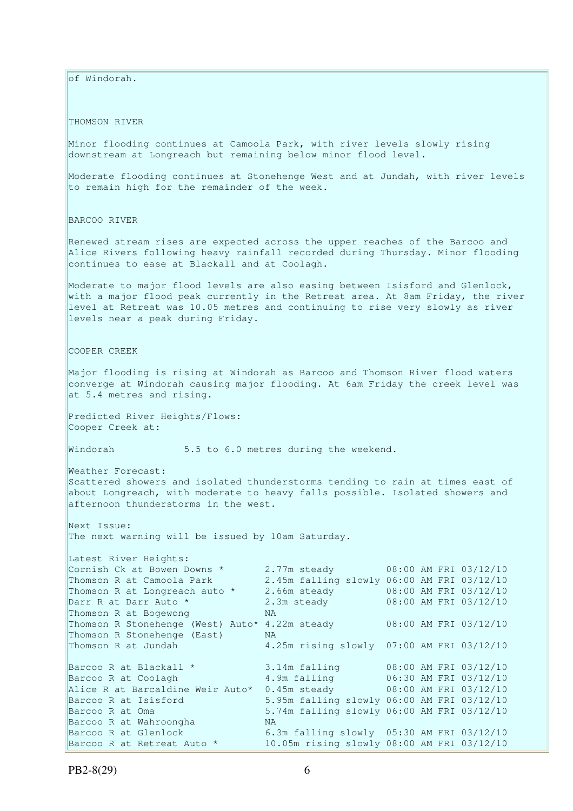of Windorah.

THOMSON RIVER

Minor flooding continues at Camoola Park, with river levels slowly rising downstream at Longreach but remaining below minor flood level.

Moderate flooding continues at Stonehenge West and at Jundah, with river levels to remain high for the remainder of the week.

BARCOO RIVER

Renewed stream rises are expected across the upper reaches of the Barcoo and Alice Rivers following heavy rainfall recorded during Thursday. Minor flooding continues to ease at Blackall and at Coolagh.

Moderate to major flood levels are also easing between Isisford and Glenlock, with a major flood peak currently in the Retreat area. At 8am Friday, the river level at Retreat was 10.05 metres and continuing to rise very slowly as river levels near a peak during Friday.

COOPER CREEK

Major flooding is rising at Windorah as Barcoo and Thomson River flood waters converge at Windorah causing major flooding. At 6am Friday the creek level was at 5.4 metres and rising.

Predicted River Heights/Flows: Cooper Creek at:

Windorah 5.5 to 6.0 metres during the weekend.

Weather Forecast: Scattered showers and isolated thunderstorms tending to rain at times east of about Longreach, with moderate to heavy falls possible. Isolated showers and afternoon thunderstorms in the west.

Next Issue: The next warning will be issued by 10am Saturday.

| Latest River Heights:                                                |              |                                            |
|----------------------------------------------------------------------|--------------|--------------------------------------------|
| Cornish Ck at Bowen Downs *                                          |              | 2.77m steady 08:00 AM FRI 03/12/10         |
| Thomson R at Camoola Park                                            |              | 2.45m falling slowly 06:00 AM FRI 03/12/10 |
| Thomson R at Longreach auto *                                        | 2.66m steady | 08:00 AM FRI 03/12/10                      |
| Darr R at Darr Auto *                                                | 2.3m steady  | 08:00 AM FRI 03/12/10                      |
| Thomson R at Bogewong                                                | NA.          |                                            |
| Thomson R Stonehenge (West) Auto* 4.22m steady 08:00 AM FRI 03/12/10 |              |                                            |
| Thomson R Stonehenge (East)                                          | <b>NA</b>    |                                            |
| Thomson R at Jundah                                                  |              | 4.25m rising slowly 07:00 AM FRI 03/12/10  |
|                                                                      |              |                                            |
| Barcoo R at Blackall *                                               |              | 3.14m falling 08:00 AM FRI 03/12/10        |
| Barcoo R at Coolagh                                                  |              | 4.9m falling 06:30 AM FRI 03/12/10         |
| Alice R at Barcaldine Weir Auto*                                     |              | 0.45m steady 08:00 AM FRI 03/12/10         |
| Barcoo R at Isisford                                                 |              | 5.95m falling slowly 06:00 AM FRI 03/12/10 |
| Barcoo R at Oma                                                      |              | 5.74m falling slowly 06:00 AM FRI 03/12/10 |
| Barcoo R at Wahroongha                                               | NA.          |                                            |
| Barcoo R at Glenlock                                                 |              | 6.3m falling slowly 05:30 AM FRI 03/12/10  |
| Barcoo R at Retreat Auto *                                           |              | 10.05m rising slowly 08:00 AM FRI 03/12/10 |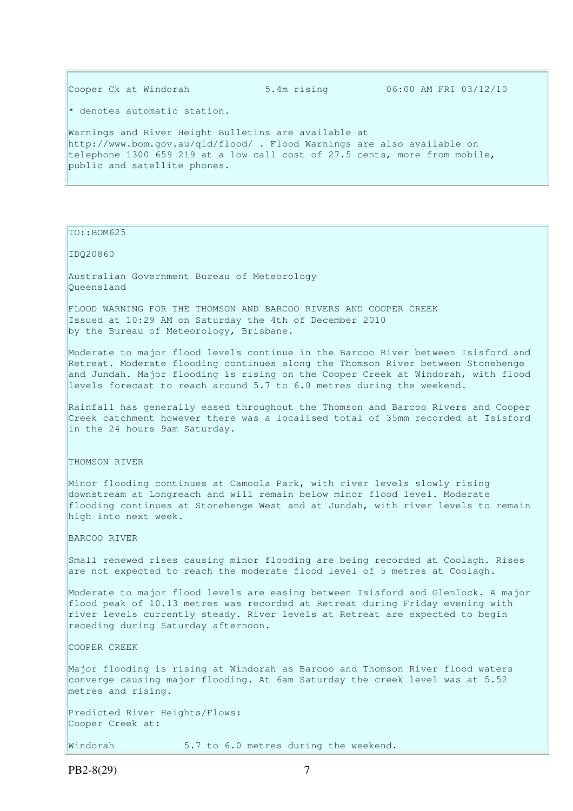Cooper Ck at Windorah 5.4m rising 06:00 AM FRI 03/12/10 \* denotes automatic station. Warnings and River Height Bulletins are available at http://www.bom.gov.au/qld/flood/ . Flood Warnings are also available on telephone 1300 659 219 at a low call cost of 27.5 cents, more from mobile, public and satellite phones.

TO::BOM625

IDQ20860

Australian Government Bureau of Meteorology Queensland

FLOOD WARNING FOR THE THOMSON AND BARCOO RIVERS AND COOPER CREEK Issued at 10:29 AM on Saturday the 4th of December 2010 by the Bureau of Meteorology, Brisbane.

Moderate to major flood levels continue in the Barcoo River between Isisford and Retreat. Moderate flooding continues along the Thomson River between Stonehenge and Jundah. Major flooding is rising on the Cooper Creek at Windorah, with flood levels forecast to reach around 5.7 to 6.0 metres during the weekend.

Rainfall has generally eased throughout the Thomson and Barcoo Rivers and Cooper Creek catchment however there was a localised total of 35mm recorded at Isisford in the 24 hours 9am Saturday.

THOMSON RIVER

Minor flooding continues at Camoola Park, with river levels slowly rising downstream at Longreach and will remain below minor flood level. Moderate flooding continues at Stonehenge West and at Jundah, with river levels to remain high into next week.

BARCOO RIVER

Small renewed rises causing minor flooding are being recorded at Coolagh. Rises are not expected to reach the moderate flood level of 5 metres at Coolagh.

Moderate to major flood levels are easing between Isisford and Glenlock. A major flood peak of 10.13 metres was recorded at Retreat during Friday evening with river levels currently steady. River levels at Retreat are expected to begin receding during Saturday afternoon.

COOPER CREEK

Major flooding is rising at Windorah as Barcoo and Thomson River flood waters converge causing major flooding. At 6am Saturday the creek level was at 5.52 metres and rising.

Predicted River Heights/Flows: Cooper Creek at:

Windorah 5.7 to 6.0 metres during the weekend.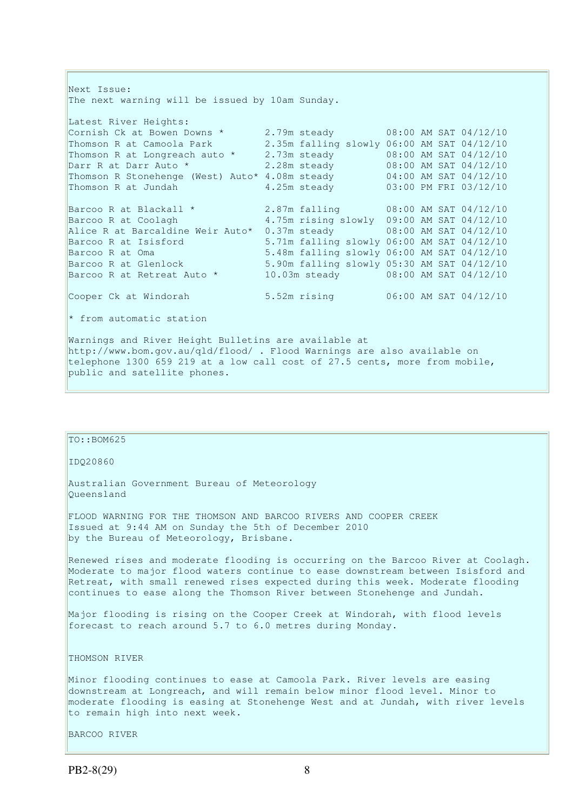Next Issue: The next warning will be issued by 10am Sunday. Latest River Heights: Cornish Ck at Bowen Downs  $\star$  2.79m steady 08:00 AM SAT 04/12/10 Thomson R at Camoola Park 2.35m falling slowly 06:00 AM SAT 04/12/10 Thomson R at Longreach auto  $\star$  2.73m steady 08:00 AM SAT 04/12/10 Darr R at Darr Auto \* 2.28m steady 08:00 AM SAT 04/12/10 Thomson R Stonehenge (West) Auto\* 4.08m steady 04:00 AM SAT 04/12/10 Thomson R at Jundah 4.25m steady 03:00 PM FRI 03/12/10 Barcoo R at Blackall \* 2.87m falling 08:00 AM SAT 04/12/10 Barcoo R at Coolagh 4.75m rising slowly 09:00 AM SAT 04/12/10 Alice R at Barcaldine Weir Auto\* 0.37m steady 08:00 AM SAT 04/12/10 Barcoo R at Isisford 5.71m falling slowly 06:00 AM SAT 04/12/10 Barcoo R at Oma 5.48m falling slowly 06:00 AM SAT 04/12/10 Barcoo R at Glenlock 5.90m falling slowly 05:30 AM SAT 04/12/10 Barcoo R at Retreat Auto \* 10.03m steady 08:00 AM SAT 04/12/10 Cooper Ck at Windorah 5.52m rising 06:00 AM SAT 04/12/10 \* from automatic station Warnings and River Height Bulletins are available at http://www.bom.gov.au/qld/flood/ . Flood Warnings are also available on

telephone 1300 659 219 at a low call cost of 27.5 cents, more from mobile, public and satellite phones.

| TO::BOM625                                                                                                                                                                                                                                                                                                                        |
|-----------------------------------------------------------------------------------------------------------------------------------------------------------------------------------------------------------------------------------------------------------------------------------------------------------------------------------|
| IDQ20860                                                                                                                                                                                                                                                                                                                          |
| Australian Government Bureau of Meteorology<br>Oueensland                                                                                                                                                                                                                                                                         |
| FLOOD WARNING FOR THE THOMSON AND BARCOO RIVERS AND COOPER CREEK<br>Issued at 9:44 AM on Sunday the 5th of December 2010<br>by the Bureau of Meteorology, Brisbane.                                                                                                                                                               |
| Renewed rises and moderate flooding is occurring on the Barcoo River at Coolagh.<br>Moderate to major flood waters continue to ease downstream between Isisford and<br>Retreat, with small renewed rises expected during this week. Moderate flooding<br>continues to ease along the Thomson River between Stonehenge and Jundah. |
| Major flooding is rising on the Cooper Creek at Windorah, with flood levels<br>forecast to reach around 5.7 to 6.0 metres during Monday.                                                                                                                                                                                          |
| THOMSON RIVER                                                                                                                                                                                                                                                                                                                     |
| Minor flooding continues to ease at Camoola Park. River levels are easing<br>downstream at Longreach, and will remain below minor flood level. Minor to<br>moderate flooding is easing at Stonehenge West and at Jundah, with river levels<br>to remain high into next week.                                                      |
| BARCOO RIVER                                                                                                                                                                                                                                                                                                                      |
|                                                                                                                                                                                                                                                                                                                                   |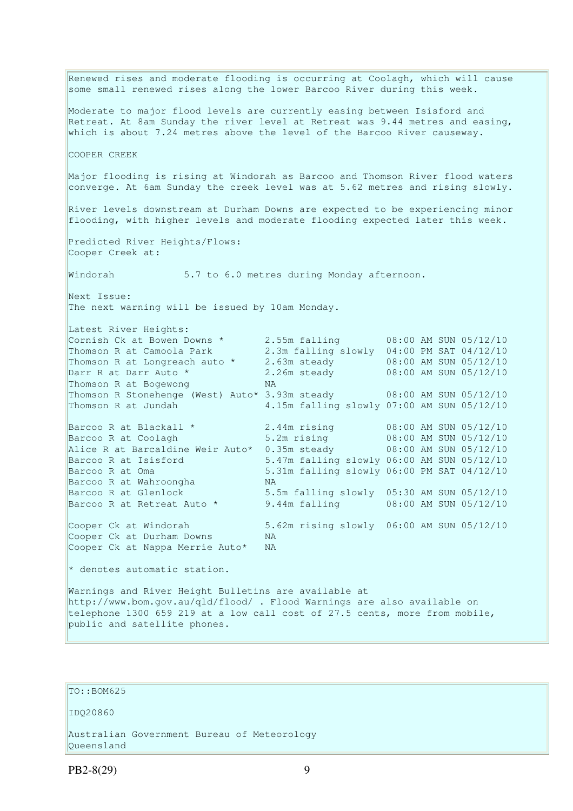Renewed rises and moderate flooding is occurring at Coolagh, which will cause some small renewed rises along the lower Barcoo River during this week. Moderate to major flood levels are currently easing between Isisford and Retreat. At 8am Sunday the river level at Retreat was 9.44 metres and easing, which is about 7.24 metres above the level of the Barcoo River causeway. COOPER CREEK Major flooding is rising at Windorah as Barcoo and Thomson River flood waters converge. At 6am Sunday the creek level was at 5.62 metres and rising slowly. River levels downstream at Durham Downs are expected to be experiencing minor flooding, with higher levels and moderate flooding expected later this week. Predicted River Heights/Flows: Cooper Creek at: Windorah 5.7 to 6.0 metres during Monday afternoon. Next Issue: The next warning will be issued by 10am Monday. Latest River Heights: Cornish Ck at Bowen Downs  $\star$  2.55m falling 08:00 AM SUN 05/12/10 Thomson R at Camoola Park 2.3m falling slowly 04:00 PM SAT 04/12/10 Thomson R at Longreach auto \* 2.63m steady 08:00 AM SUN 05/12/10 Darr R at Darr Auto \* 2.26m steady 08:00 AM SUN 05/12/10 Thomson R at Bogewong NA Thomson R Stonehenge (West) Auto\* 3.93m steady 08:00 AM SUN 05/12/10 Thomson R at Jundah 4.15m falling slowly 07:00 AM SUN 05/12/10 Barcoo R at Blackall \* 2.44m rising 08:00 AM SUN 05/12/10 Barcoo R at Coolagh 5.2m rising 08:00 AM SUN 05/12/10 Alice R at Barcaldine Weir Auto\* 0.35m steady 08:00 AM SUN 05/12/10 Barcoo R at Isisford 5.47m falling slowly 06:00 AM SUN 05/12/10 Barcoo R at Oma 5.31m falling slowly 06:00 PM SAT 04/12/10 Barcoo R at Wahroongha MA Barcoo R at Glenlock 5.5m falling slowly 05:30 AM SUN 05/12/10 Barcoo R at Retreat Auto \* 9.44m falling 08:00 AM SUN 05/12/10 Cooper Ck at Windorah 5.62m rising slowly 06:00 AM SUN 05/12/10 Cooper Ck at Durham Downs NA Cooper Ck at Nappa Merrie Auto\* NA \* denotes automatic station. Warnings and River Height Bulletins are available at http://www.bom.gov.au/qld/flood/ . Flood Warnings are also available on telephone 1300 659 219 at a low call cost of 27.5 cents, more from mobile, public and satellite phones.

## TO::BOM625

IDQ20860

Australian Government Bureau of Meteorology Queensland

PB2-8(29) 9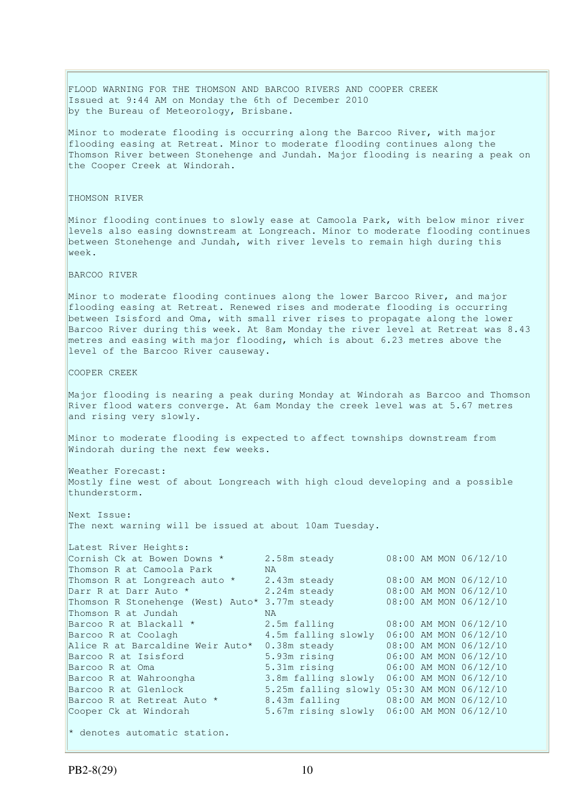FLOOD WARNING FOR THE THOMSON AND BARCOO RIVERS AND COOPER CREEK Issued at 9:44 AM on Monday the 6th of December 2010 by the Bureau of Meteorology, Brisbane. Minor to moderate flooding is occurring along the Barcoo River, with major flooding easing at Retreat. Minor to moderate flooding continues along the Thomson River between Stonehenge and Jundah. Major flooding is nearing a peak on the Cooper Creek at Windorah. THOMSON RIVER Minor flooding continues to slowly ease at Camoola Park, with below minor river levels also easing downstream at Longreach. Minor to moderate flooding continues between Stonehenge and Jundah, with river levels to remain high during this week. BARCOO RIVER Minor to moderate flooding continues along the lower Barcoo River, and major flooding easing at Retreat. Renewed rises and moderate flooding is occurring between Isisford and Oma, with small river rises to propagate along the lower Barcoo River during this week. At 8am Monday the river level at Retreat was 8.43 metres and easing with major flooding, which is about 6.23 metres above the level of the Barcoo River causeway. COOPER CREEK Major flooding is nearing a peak during Monday at Windorah as Barcoo and Thomson River flood waters converge. At 6am Monday the creek level was at 5.67 metres and rising very slowly. Minor to moderate flooding is expected to affect townships downstream from Windorah during the next few weeks. Weather Forecast: Mostly fine west of about Longreach with high cloud developing and a possible thunderstorm. Next Issue: The next warning will be issued at about 10am Tuesday. Latest River Heights: Cornish Ck at Bowen Downs \* 2.58m steady 08:00 AM MON 06/12/10<br>Thomson R at Camoola Park MA Thomson R at Camoola Park MA<br>Thomson R at Longreach auto \* 2.43m steady Thomson R at Longreach auto  $*$  2.43m steady 08:00 AM MON 06/12/10 Darr R at Darr Auto \* 2.24m steady 08:00 AM MON 06/12/10 Thomson R Stonehenge (West) Auto\* 3.77m steady 08:00 AM MON 06/12/10 Thomson R at Jundah NA Barcoo R at Blackall  $\star$  2.5m falling 08:00 AM MON 06/12/10 Barcoo R at Coolagh 4.5m falling slowly 06:00 AM MON 06/12/10 Alice R at Barcaldine Weir Auto\* 0.38m steady 08:00 AM MON 06/12/10 Barcoo R at Isisford 5.93m rising 06:00 AM MON 06/12/10 Barcoo R at Oma 5.31m rising 06:00 AM MON 06/12/10<br>Barcoo R at Wahroongha 3.8m falling slowly 06:00 AM MON 06/12/10 3.8m falling slowly 06:00 AM MON 06/12/10 Barcoo R at Glenlock 5.25m falling slowly 05:30 AM MON 06/12/10 Barcoo R at Retreat Auto \* 8.43m falling 08:00 AM MON 06/12/10 Cooper Ck at Windorah 5.67m rising slowly 06:00 AM MON 06/12/10  $*$  denotes automatic station.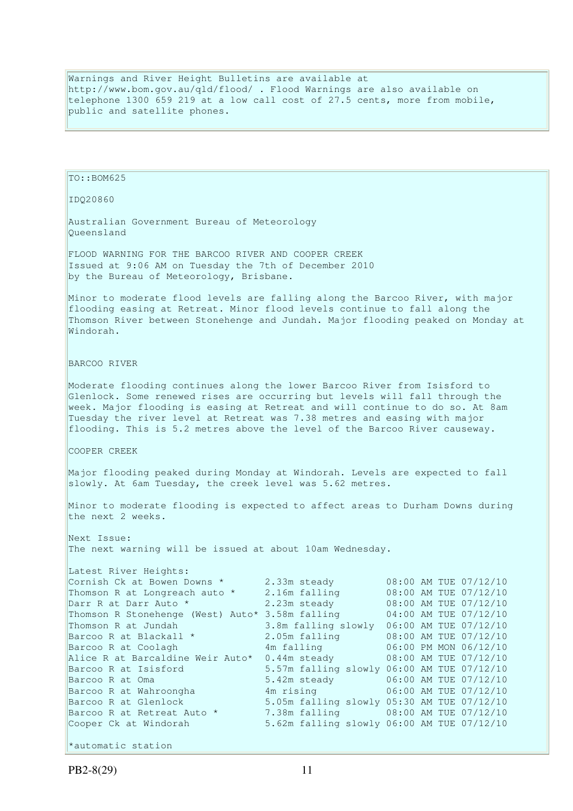Warnings and River Height Bulletins are available at http://www.bom.gov.au/qld/flood/ . Flood Warnings are also available on telephone 1300 659 219 at a low call cost of 27.5 cents, more from mobile, public and satellite phones.

```
TO::BOM625 
IDQ20860 
Australian Government Bureau of Meteorology 
Queensland 
FLOOD WARNING FOR THE BARCOO RIVER AND COOPER CREEK 
Issued at 9:06 AM on Tuesday the 7th of December 2010 
by the Bureau of Meteorology, Brisbane.
Minor to moderate flood levels are falling along the Barcoo River, with major 
flooding easing at Retreat. Minor flood levels continue to fall along the 
Thomson River between Stonehenge and Jundah. Major flooding peaked on Monday at 
Windorah. 
BARCOO RIVER 
Moderate flooding continues along the lower Barcoo River from Isisford to 
Glenlock. Some renewed rises are occurring but levels will fall through the 
week. Major flooding is easing at Retreat and will continue to do so. At 8am 
Tuesday the river level at Retreat was 7.38 metres and easing with major 
flooding. This is 5.2 metres above the level of the Barcoo River causeway. 
COOPER CREEK 
Major flooding peaked during Monday at Windorah. Levels are expected to fall 
slowly. At 6am Tuesday, the creek level was 5.62 metres. 
Minor to moderate flooding is expected to affect areas to Durham Downs during 
the next 2 weeks. 
Next Issue: 
The next warning will be issued at about 10am Wednesday. 
Latest River Heights:
Cornish Ck at Bowen Downs * 2.33m steady 08:00 AM TUE 07/12/10
Thomson R at Longreach auto \star 2.16m falling 0.08:00 AM TUE 07/12/10
Darr R at Darr Auto * 2.23m steady 08:00 AM TUE 07/12/10 
Thomson R Stonehenge (West) Auto* 3.58m falling 04:00 AM TUE 07/12/10 
Thomson R at Jundah 3.8m falling slowly 06:00 AM TUE 07/12/10 
Barcoo R at Blackall * 2.05m falling 08:00 AM TUE 07/12/10 
Barcoo R at Coolagh                     4m falling             06:00 PM MON 06/12/10
Alice R at Barcaldine Weir Auto* 0.44m steady 08:00 AM TUE 07/12/10 
Barcoo R at Isisford 5.57m falling slowly 06:00 AM TUE 07/12/10 
Barcoo R at Oma 5.42m steady 06:00 AM TUE 07/12/10
Barcoo R at Wahroongha 4m rising 106:00 AM TUE 07/12/10
Barcoo R at Glenlock 5.05m falling slowly 05:30 AM TUE 07/12/10 
Barcoo R at Retreat Auto * 7.38m falling 08:00 AM TUE 07/12/10
Cooper Ck at Windorah 5.62m falling slowly 06:00 AM TUE 07/12/10 
*automatic station
```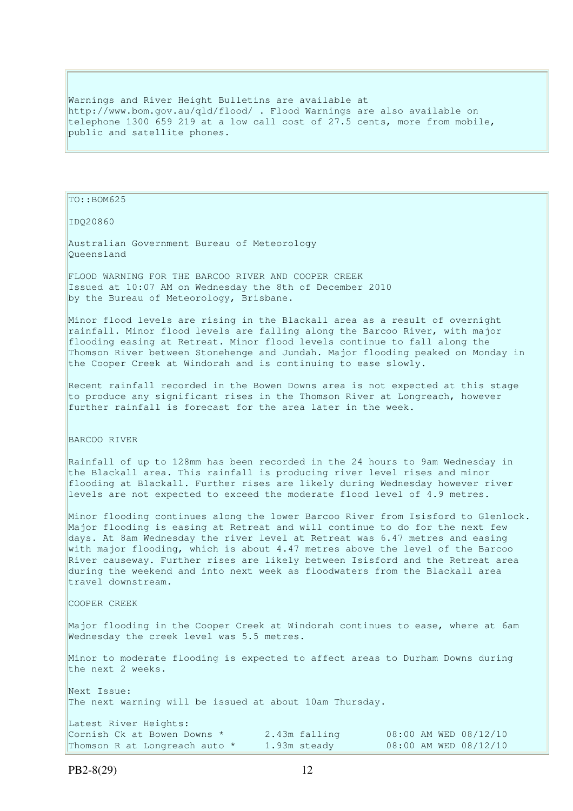Warnings and River Height Bulletins are available at http://www.bom.gov.au/qld/flood/ . Flood Warnings are also available on telephone 1300 659 219 at a low call cost of 27.5 cents, more from mobile, public and satellite phones.

TO::BOM625

IDQ20860

Australian Government Bureau of Meteorology Queensland

FLOOD WARNING FOR THE BARCOO RIVER AND COOPER CREEK Issued at 10:07 AM on Wednesday the 8th of December 2010 by the Bureau of Meteorology, Brisbane.

Minor flood levels are rising in the Blackall area as a result of overnight rainfall. Minor flood levels are falling along the Barcoo River, with major flooding easing at Retreat. Minor flood levels continue to fall along the Thomson River between Stonehenge and Jundah. Major flooding peaked on Monday in the Cooper Creek at Windorah and is continuing to ease slowly.

Recent rainfall recorded in the Bowen Downs area is not expected at this stage to produce any significant rises in the Thomson River at Longreach, however further rainfall is forecast for the area later in the week.

BARCOO RIVER

Rainfall of up to 128mm has been recorded in the 24 hours to 9am Wednesday in the Blackall area. This rainfall is producing river level rises and minor flooding at Blackall. Further rises are likely during Wednesday however river levels are not expected to exceed the moderate flood level of 4.9 metres.

Minor flooding continues along the lower Barcoo River from Isisford to Glenlock. Major flooding is easing at Retreat and will continue to do for the next few days. At 8am Wednesday the river level at Retreat was 6.47 metres and easing with major flooding, which is about 4.47 metres above the level of the Barcoo River causeway. Further rises are likely between Isisford and the Retreat area during the weekend and into next week as floodwaters from the Blackall area travel downstream.

COOPER CREEK

Major flooding in the Cooper Creek at Windorah continues to ease, where at 6am Wednesday the creek level was 5.5 metres.

Minor to moderate flooding is expected to affect areas to Durham Downs during the next 2 weeks.

Next Issue: The next warning will be issued at about 10am Thursday.

| Latest River Heights:         |               |                       |
|-------------------------------|---------------|-----------------------|
| Cornish Ck at Bowen Downs *   | 2.43m falling | 08:00 AM WED 08/12/10 |
| Thomson R at Longreach auto * | 1.93m steady  | 08:00 AM WED 08/12/10 |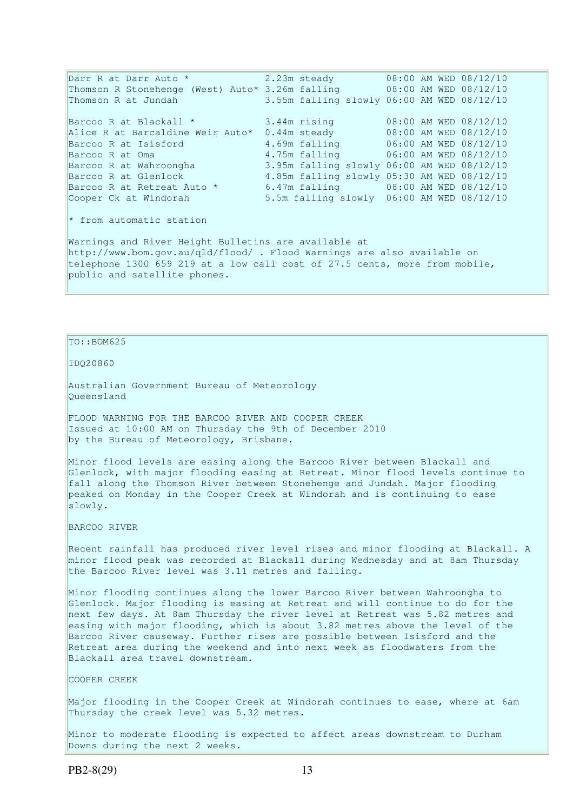Darr R at Darr Auto \* 2.23m steady 08:00 AM WED 08/12/10 Thomson R Stonehenge (West) Auto\* 3.26m falling 08:00 AM WED 08/12/10 Thomson R at Jundah 3.55m falling slowly 06:00 AM WED 08/12/10 Barcoo R at Blackall  $*$  3.44m rising 08:00 AM WED 08/12/10 Alice R at Barcaldine Weir Auto\* 0.44m steady 08:00 AM WED 08/12/10 Barcoo R at Isisford 4.69m falling 06:00 AM WED 08/12/10 Barcoo R at Oma 1.75m falling 06:00 AM WED 08/12/10<br>Barcoo R at Wahroongha 3.95m falling slowly 06:00 AM WED 08/12/10 3.95m falling slowly 06:00 AM WED 08/12/10<br>4.85m falling slowly 05:30 AM WED 08/12/10 Barcoo R at Glenlock 4.85m falling slowly 05:30 AM WED 08/12/10 Barcoo R at Retreat Auto \* 6.47m falling 08:00 AM WED 08/12/10 Cooper Ck at Windorah 5.5m falling slowly 06:00 AM WED 08/12/10 \* from automatic station Warnings and River Height Bulletins are available at http://www.bom.gov.au/qld/flood/ . Flood Warnings are also available on telephone 1300 659 219 at a low call cost of 27.5 cents, more from mobile, public and satellite phones.

## $TO::BOM625$

IDQ20860

Australian Government Bureau of Meteorology Queensland

FLOOD WARNING FOR THE BARCOO RIVER AND COOPER CREEK Issued at 10:00 AM on Thursday the 9th of December 2010 by the Bureau of Meteorology, Brisbane.

Minor flood levels are easing along the Barcoo River between Blackall and Glenlock, with major flooding easing at Retreat. Minor flood levels continue to fall along the Thomson River between Stonehenge and Jundah. Major flooding peaked on Monday in the Cooper Creek at Windorah and is continuing to ease slowly.

BARCOO RIVER

Recent rainfall has produced river level rises and minor flooding at Blackall. A minor flood peak was recorded at Blackall during Wednesday and at 8am Thursday the Barcoo River level was 3.11 metres and falling.

Minor flooding continues along the lower Barcoo River between Wahroongha to Glenlock. Major flooding is easing at Retreat and will continue to do for the next few days. At 8am Thursday the river level at Retreat was 5.82 metres and easing with major flooding, which is about 3.82 metres above the level of the Barcoo River causeway. Further rises are possible between Isisford and the Retreat area during the weekend and into next week as floodwaters from the Blackall area travel downstream.

COOPER CREEK

Major flooding in the Cooper Creek at Windorah continues to ease, where at 6am Thursday the creek level was 5.32 metres.

Minor to moderate flooding is expected to affect areas downstream to Durham Downs during the next 2 weeks.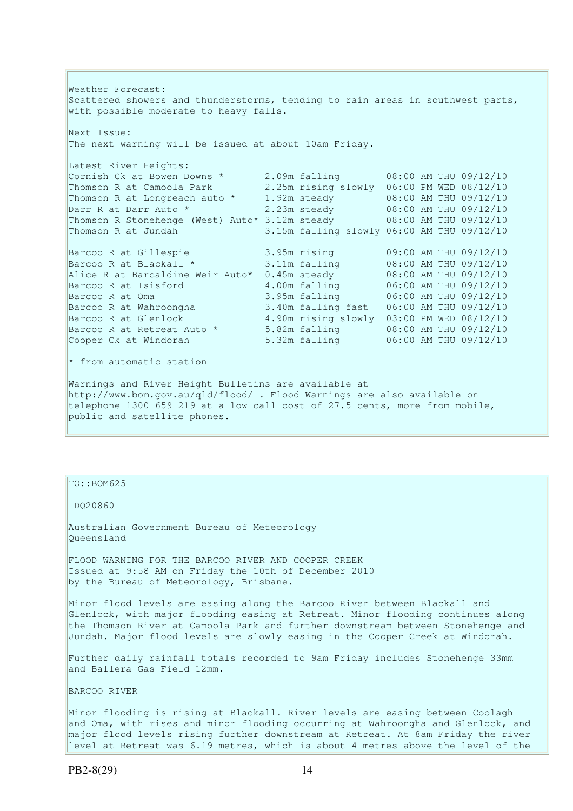Weather Forecast: Scattered showers and thunderstorms, tending to rain areas in southwest parts, with possible moderate to heavy falls. Next Issue:

The next warning will be issued at about 10am Friday.

| Latest River Heights:                                                |                                            |  |                       |
|----------------------------------------------------------------------|--------------------------------------------|--|-----------------------|
| Cornish Ck at Bowen Downs *                                          | 2.09m falling                              |  | 08:00 AM THU 09/12/10 |
| Thomson R at Camoola Park                                            | 2.25m rising slowly                        |  | 06:00 PM WED 08/12/10 |
| Thomson R at Longreach auto *                                        | 1.92m steady                               |  | 08:00 AM THU 09/12/10 |
| Darr R at Darr Auto *                                                | 2.23m steady                               |  | 08:00 AM THU 09/12/10 |
| Thomson R Stonehenge (West) Auto* 3.12m steady 08:00 AM THU 09/12/10 |                                            |  |                       |
| Thomson R at Jundah                                                  | 3.15m falling slowly 06:00 AM THU 09/12/10 |  |                       |
| Barcoo R at Gillespie                                                | 3.95m rising                               |  | 09:00 AM THU 09/12/10 |
| Barcoo R at Blackall *                                               | 3.11m falling                              |  | 08:00 AM THU 09/12/10 |
| Alice R at Barcaldine Weir Auto*                                     | $0.45m$ steady                             |  | 08:00 AM THU 09/12/10 |
| Barcoo R at Isisford                                                 | 4.00m falling                              |  | 06:00 AM THU 09/12/10 |
| Barcoo R at Oma                                                      | 3.95m falling                              |  | 06:00 AM THU 09/12/10 |

Barcoo R at Wahroongha 3.40m falling fast 06:00 AM THU 09/12/10 Barcoo R at Glenlock 4.90m rising slowly 03:00 PM WED 08/12/10 Barcoo R at Retreat Auto \* 5.82m falling 08:00 AM THU 09/12/10 Cooper Ck at Windorah 5.32m falling 06:00 AM THU 09/12/10 \* from automatic station Warnings and River Height Bulletins are available at http://www.bom.gov.au/qld/flood/ . Flood Warnings are also available on telephone 1300 659 219 at a low call cost of 27.5 cents, more from mobile, public and satellite phones.

TO::BOM625

IDQ20860

Australian Government Bureau of Meteorology Queensland

FLOOD WARNING FOR THE BARCOO RIVER AND COOPER CREEK Issued at 9:58 AM on Friday the 10th of December 2010 by the Bureau of Meteorology, Brisbane.

Minor flood levels are easing along the Barcoo River between Blackall and Glenlock, with major flooding easing at Retreat. Minor flooding continues along the Thomson River at Camoola Park and further downstream between Stonehenge and Jundah. Major flood levels are slowly easing in the Cooper Creek at Windorah.

Further daily rainfall totals recorded to 9am Friday includes Stonehenge 33mm and Ballera Gas Field 12mm.

BARCOO RIVER

Minor flooding is rising at Blackall. River levels are easing between Coolagh and Oma, with rises and minor flooding occurring at Wahroongha and Glenlock, and major flood levels rising further downstream at Retreat. At 8am Friday the river level at Retreat was 6.19 metres, which is about 4 metres above the level of the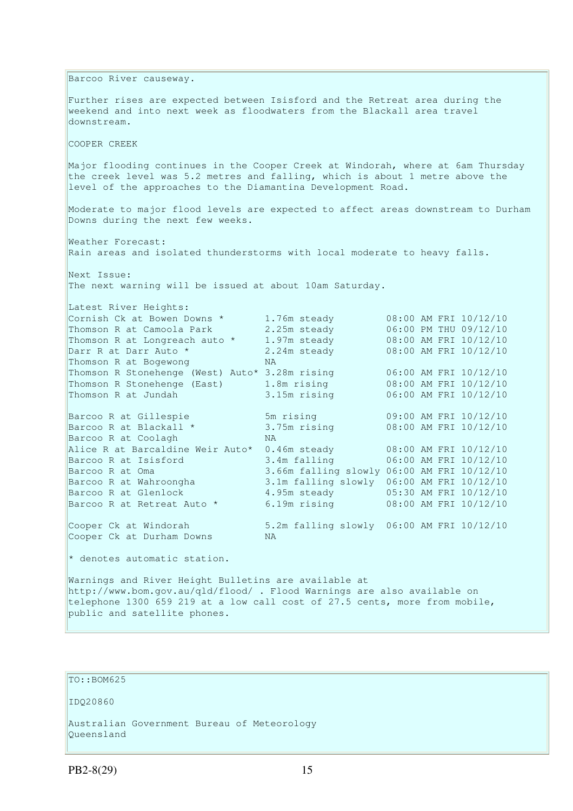Barcoo River causeway. Further rises are expected between Isisford and the Retreat area during the weekend and into next week as floodwaters from the Blackall area travel downstream. COOPER CREEK Major flooding continues in the Cooper Creek at Windorah, where at 6am Thursday the creek level was 5.2 metres and falling, which is about 1 metre above the level of the approaches to the Diamantina Development Road. Moderate to major flood levels are expected to affect areas downstream to Durham Downs during the next few weeks. Weather Forecast: Rain areas and isolated thunderstorms with local moderate to heavy falls. Next Issue: The next warning will be issued at about 10am Saturday. Latest River Heights: Latest River Heights:<br>
Cornish Ck at Bowen Downs \* 1.76m steady 08:00 AM FRI 10/12/10<br>
Thomson R at Longreach auto \* 1.97m steady 08:00 AM FRI 10/12/10<br>
Thomson R at Longreach auto \* 1.97m steady 08:00 AM FRI 10/12/10 Thomson R at Camoola Park 2.25m steady<br>Thomson R at Longreach auto \* 1.97m steady Thomson R at Longreach auto \* 1.97m steady<br>Darr R at Darr Auto \* 2.24m steady Darr R at Darr Auto \* 2.24m steady 08:00 AM FRI 10/12/10 Thomson R at Bogewong NA Thomson R Stonehenge (West) Auto\* 3.28m rising 06:00 AM FRI 10/12/10 Thomson R Stonehenge (East) 1.8m rising 08:00 AM FRI 10/12/10 Thomson R at Jundah 3.15m rising 06:00 AM FRI 10/12/10 Barcoo R at Gillespie 5m rising 09:00 AM FRI 10/12/10<br>Barcoo R at Blackall \* 3.75m rising 08:00 AM FRI 10/12/10 Barcoo R at Blackall  $*$  3.75m rising 08:00 AM FRI 10/12/10 Barcoo R at Coolagh NA Alice R at Barcaldine Weir Auto\* 0.46m steady 08:00 AM FRI 10/12/10 Barcoo R at Isisford 3.4m falling 06:00 AM FRI 10/12/10 Barcoo R at Oma 3.66m falling slowly 06:00 AM FRI 10/12/10<br>Barcoo R at Wahroongha 3.1m falling slowly 06:00 AM FRI 10/12/10 3.1m falling slowly 06:00 AM FRI 10/12/10 Barcoo R at Glenlock 4.95m steady 05:30 AM FRI 10/12/10 Barcoo R at Retreat Auto \* 6.19m rising 68:00 AM FRI 10/12/10 Cooper Ck at Windorah 5.2m falling slowly 06:00 AM FRI 10/12/10<br>Cooper Ck at Durham Downs NA Cooper Ck at Durham Downs \* denotes automatic station. Warnings and River Height Bulletins are available at http://www.bom.gov.au/qld/flood/ . Flood Warnings are also available on telephone 1300 659 219 at a low call cost of 27.5 cents, more from mobile,

```
public and satellite phones.
```
TO::BOM625

IDQ20860

Australian Government Bureau of Meteorology Queensland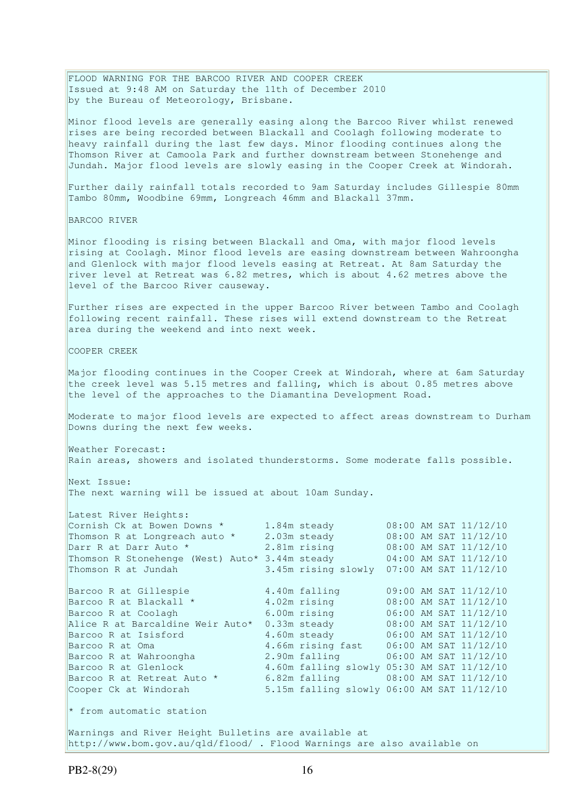FLOOD WARNING FOR THE BARCOO RIVER AND COOPER CREEK Issued at 9:48 AM on Saturday the 11th of December 2010 by the Bureau of Meteorology, Brisbane.

Minor flood levels are generally easing along the Barcoo River whilst renewed rises are being recorded between Blackall and Coolagh following moderate to heavy rainfall during the last few days. Minor flooding continues along the Thomson River at Camoola Park and further downstream between Stonehenge and Jundah. Major flood levels are slowly easing in the Cooper Creek at Windorah.

Further daily rainfall totals recorded to 9am Saturday includes Gillespie 80mm Tambo 80mm, Woodbine 69mm, Longreach 46mm and Blackall 37mm.

BARCOO RIVER

Minor flooding is rising between Blackall and Oma, with major flood levels rising at Coolagh. Minor flood levels are easing downstream between Wahroongha and Glenlock with major flood levels easing at Retreat. At 8am Saturday the river level at Retreat was 6.82 metres, which is about 4.62 metres above the level of the Barcoo River causeway.

Further rises are expected in the upper Barcoo River between Tambo and Coolagh following recent rainfall. These rises will extend downstream to the Retreat area during the weekend and into next week.

COOPER CREEK

Major flooding continues in the Cooper Creek at Windorah, where at 6am Saturday the creek level was 5.15 metres and falling, which is about 0.85 metres above the level of the approaches to the Diamantina Development Road.

Moderate to major flood levels are expected to affect areas downstream to Durham Downs during the next few weeks.

Weather Forecast: Rain areas, showers and isolated thunderstorms. Some moderate falls possible.

Next Issue: The next warning will be issued at about 10am Sunday.

| Latest River Heights:                                                                                           |                                            |  |                       |
|-----------------------------------------------------------------------------------------------------------------|--------------------------------------------|--|-----------------------|
| Cornish Ck at Bowen Downs * 1.84m steady                                                                        |                                            |  | 08:00 AM SAT 11/12/10 |
| Thomson R at Longreach auto * 2.03m steady                                                                      |                                            |  | 08:00 AM SAT 11/12/10 |
| Darr R at Darr Auto *                                                                                           | 2.81m rising 08:00 AM SAT 11/12/10         |  |                       |
| Thomson R Stonehenge (West) Auto* 3.44m steady 04:00 AM SAT 11/12/10                                            |                                            |  |                       |
| Thomson R at Jundah                                                                                             | 3.45m rising slowly 07:00 AM SAT 11/12/10  |  |                       |
|                                                                                                                 |                                            |  |                       |
| Barcoo R at Gillespie                                                                                           | 4.40m falling                              |  | 09:00 AM SAT 11/12/10 |
| Barcoo R at Blackall *                                                                                          | 4.02m rising                               |  | 08:00 AM SAT 11/12/10 |
| Barcoo R at Coolagh and the state of the state of the state of the state of the state of the state of the state | 6.00m rising                               |  | 06:00 AM SAT 11/12/10 |
| Alice R at Barcaldine Weir Auto*                                                                                | $0.33m$ steady                             |  | 08:00 AM SAT 11/12/10 |
| Barcoo R at Isisford                                                                                            | 4.60m steady 06:00 AM SAT 11/12/10         |  |                       |
| Barcoo R at Oma                                                                                                 | 4.66m rising fast 06:00 AM SAT 11/12/10    |  |                       |
| Barcoo R at Wahroongha                                                                                          | 2.90m falling 06:00 AM SAT 11/12/10        |  |                       |
| Barcoo R at Glenlock                                                                                            | 4.60m falling slowly 05:30 AM SAT 11/12/10 |  |                       |
| Barcoo R at Retreat Auto *                                                                                      | 6.82m falling 08:00 AM SAT 11/12/10        |  |                       |
| Cooper Ck at Windorah                                                                                           | 5.15m falling slowly 06:00 AM SAT 11/12/10 |  |                       |
|                                                                                                                 |                                            |  |                       |
| $\star$ from automatic station                                                                                  |                                            |  |                       |
|                                                                                                                 |                                            |  |                       |

Warnings and River Height Bulletins are available at http://www.bom.gov.au/qld/flood/ . Flood Warnings are also available on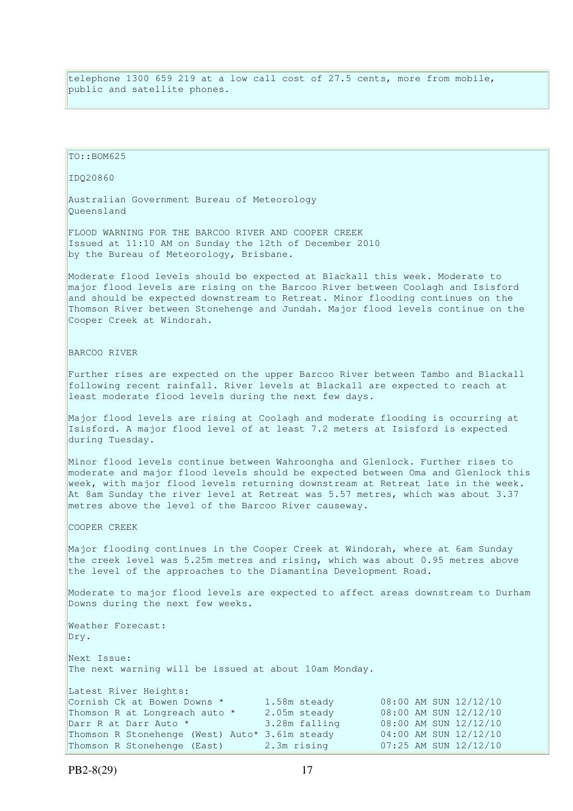telephone 1300 659 219 at a low call cost of 27.5 cents, more from mobile, public and satellite phones.

TO::BOM625 IDQ20860 Australian Government Bureau of Meteorology Queensland FLOOD WARNING FOR THE BARCOO RIVER AND COOPER CREEK Issued at 11:10 AM on Sunday the 12th of December 2010 by the Bureau of Meteorology, Brisbane. Moderate flood levels should be expected at Blackall this week. Moderate to major flood levels are rising on the Barcoo River between Coolagh and Isisford and should be expected downstream to Retreat. Minor flooding continues on the Thomson River between Stonehenge and Jundah. Major flood levels continue on the Cooper Creek at Windorah. BARCOO RIVER Further rises are expected on the upper Barcoo River between Tambo and Blackall following recent rainfall. River levels at Blackall are expected to reach at least moderate flood levels during the next few days. Major flood levels are rising at Coolagh and moderate flooding is occurring at Isisford. A major flood level of at least 7.2 meters at Isisford is expected during Tuesday. Minor flood levels continue between Wahroongha and Glenlock. Further rises to moderate and major flood levels should be expected between Oma and Glenlock this week, with major flood levels returning downstream at Retreat late in the week. At 8am Sunday the river level at Retreat was 5.57 metres, which was about 3.37 metres above the level of the Barcoo River causeway. COOPER CREEK Major flooding continues in the Cooper Creek at Windorah, where at 6am Sunday the creek level was 5.25m metres and rising, which was about 0.95 metres above the level of the approaches to the Diamantina Development Road. Moderate to major flood levels are expected to affect areas downstream to Durham Downs during the next few weeks. Weather Forecast: Dry. Next Issue: The next warning will be issued at about 10am Monday. Latest River Heights: Cornish Ck at Bowen Downs \*  $1.58$ m steady 08:00 AM SUN  $12/12/10$ Thomson R at Longreach auto  $\star$  2.05m steady 08:00 AM SUN 12/12/10 Darr R at Darr Auto \* 3.28m falling 08:00 AM SUN 12/12/10 Thomson R Stonehenge (West) Auto\* 3.61m steady 04:00 AM SUN 12/12/10<br>Thomson R Stonehenge (East) 2.3m rising 07:25 AM SUN 12/12/10 Thomson R Stonehenge (East) 2.3m rising 07:25 AM SUN 12/12/10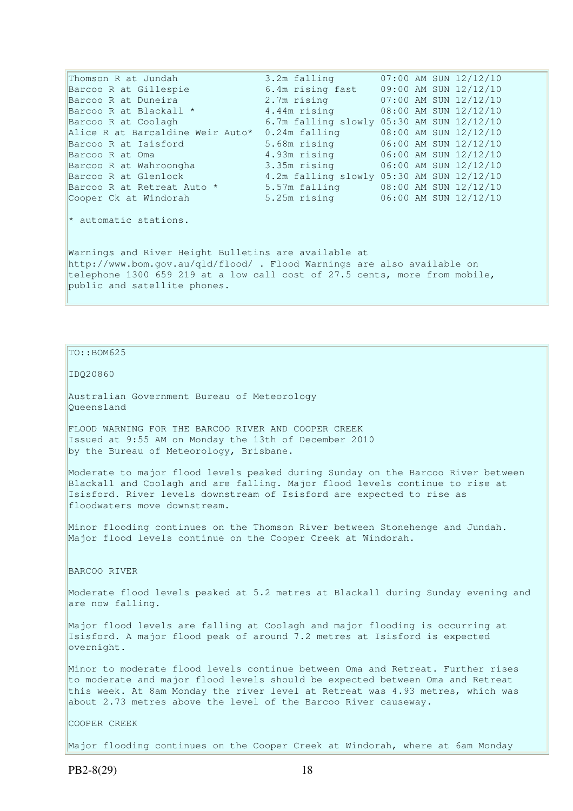Thomson R at Jundah 3.2m falling 07:00 AM SUN 12/12/10 Barcoo R at Gillespie 6.4m rising fast 09:00 AM SUN 12/12/10 Barcoo R at Duneira 2.7m rising 07:00 AM SUN 12/12/10 Barcoo R at Blackall  $*$  4.44m rising 08:00 AM SUN 12/12/10 Barcoo R at Coolagh 6.7m falling slowly 05:30 AM SUN 12/12/10 Alice R at Barcaldine Weir Auto\* 0.24m falling 08:00 AM SUN 12/12/10 Barcoo R at Isisford 5.68m rising 06:00 AM SUN 12/12/10 Barcoo R at Oma 4.93m rising 06:00 AM SUN 12/12/10 Barcoo R at Wahroongha 3.35m rising 06:00 AM SUN 12/12/10 Barcoo R at Glenlock 4.2m falling slowly 05:30 AM SUN 12/12/10 Barcoo R at Retreat Auto \* 5.57m falling 08:00 AM SUN 12/12/10 Cooper Ck at Windorah 5.25m rising 06:00 AM SUN 12/12/10 \* automatic stations. Warnings and River Height Bulletins are available at http://www.bom.gov.au/qld/flood/ . Flood Warnings are also available on telephone 1300 659 219 at a low call cost of 27.5 cents, more from mobile, public and satellite phones.

 $TO: **ROM625**$ 

IDQ20860

Australian Government Bureau of Meteorology Queensland

FLOOD WARNING FOR THE BARCOO RIVER AND COOPER CREEK Issued at 9:55 AM on Monday the 13th of December 2010 by the Bureau of Meteorology, Brisbane.

Moderate to major flood levels peaked during Sunday on the Barcoo River between Blackall and Coolagh and are falling. Major flood levels continue to rise at Isisford. River levels downstream of Isisford are expected to rise as floodwaters move downstream.

Minor flooding continues on the Thomson River between Stonehenge and Jundah. Major flood levels continue on the Cooper Creek at Windorah.

BARCOO RIVER

Moderate flood levels peaked at 5.2 metres at Blackall during Sunday evening and are now falling.

Major flood levels are falling at Coolagh and major flooding is occurring at Isisford. A major flood peak of around 7.2 metres at Isisford is expected overnight.

Minor to moderate flood levels continue between Oma and Retreat. Further rises to moderate and major flood levels should be expected between Oma and Retreat this week. At 8am Monday the river level at Retreat was 4.93 metres, which was about 2.73 metres above the level of the Barcoo River causeway.

COOPER CREEK

Major flooding continues on the Cooper Creek at Windorah, where at 6am Monday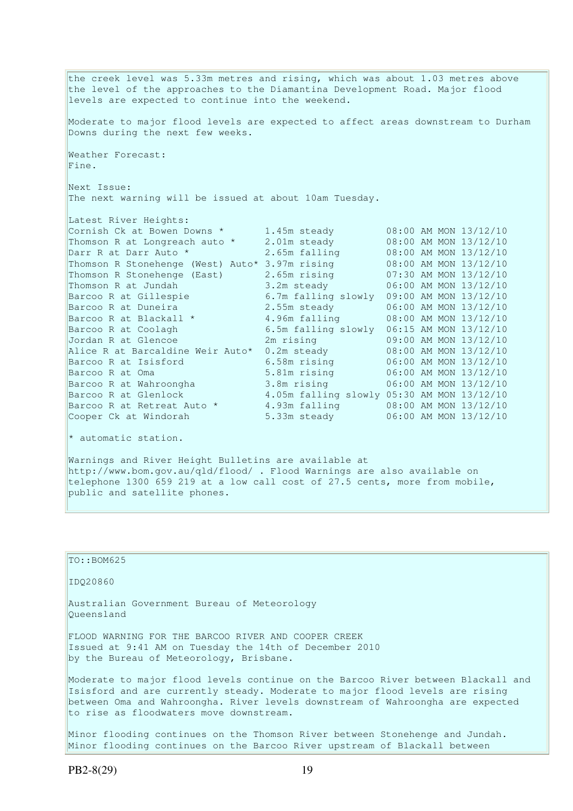the creek level was 5.33m metres and rising, which was about 1.03 metres above the level of the approaches to the Diamantina Development Road. Major flood levels are expected to continue into the weekend. Moderate to major flood levels are expected to affect areas downstream to Durham Downs during the next few weeks. Weather Forecast: Fine. Next Issue: The next warning will be issued at about 10am Tuesday. Latest River Heights: Cornish Ck at Bowen Downs  $\star$  1.45m steady 08:00 AM MON 13/12/10 Thomson R at Longreach auto \* 2.01m steady 08:00 AM MON 13/12/10 Darr R at Darr Auto \* 2.65m falling 08:00 AM MON 13/12/10 Thomson R Stonehenge (West) Auto\* 3.97m rising 08:00 AM MON 13/12/10 Thomson R Stonehenge (East) 2.65m rising 07:30 AM MON 13/12/10 Thomson R at Jundah 3.2m steady 06:00 AM MON 13/12/10 Barcoo R at Gillespie 6.7m falling slowly 09:00 AM MON 13/12/10 Barcoo R at Duneira 2.55m steady 06:00 AM MON 13/12/10 Barcoo R at Blackall \* 4.96m falling 08:00 AM MON 13/12/10 Barcoo R at Coolagh 6.5m falling slowly 06:15 AM MON 13/12/10 Jordan R at Glencoe 2m rising 09:00 AM MON 13/12/10 Alice R at Barcaldine Weir Auto\* 0.2m steady 08:00 AM MON 13/12/10 Barcoo R at Isisford 6.58m rising 06:00 AM MON 13/12/10 Barcoo R at Oma 5.81m rising 06:00 AM MON 13/12/10 Barcoo R at Wahroongha 3.8m rising 06:00 AM MON 13/12/10 Barcoo R at Glenlock 4.05m falling slowly 05:30 AM MON 13/12/10 Barcoo R at Retreat Auto \* 4.93m falling 08:00 AM MON 13/12/10 Cooper Ck at Windorah 5.33m steady 06:00 AM MON 13/12/10

\* automatic station.

Warnings and River Height Bulletins are available at http://www.bom.gov.au/qld/flood/ . Flood Warnings are also available on telephone 1300 659 219 at a low call cost of 27.5 cents, more from mobile, public and satellite phones.

TO::BOM625 IDQ20860 Australian Government Bureau of Meteorology Queensland FLOOD WARNING FOR THE BARCOO RIVER AND COOPER CREEK Issued at 9:41 AM on Tuesday the 14th of December 2010 by the Bureau of Meteorology, Brisbane.

Moderate to major flood levels continue on the Barcoo River between Blackall and Isisford and are currently steady. Moderate to major flood levels are rising between Oma and Wahroongha. River levels downstream of Wahroongha are expected to rise as floodwaters move downstream.

Minor flooding continues on the Thomson River between Stonehenge and Jundah. Minor flooding continues on the Barcoo River upstream of Blackall between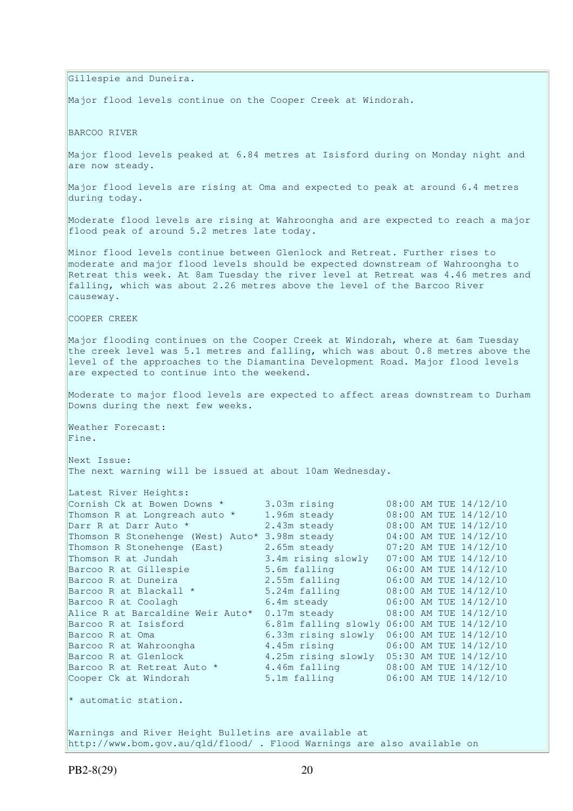Gillespie and Duneira. Major flood levels continue on the Cooper Creek at Windorah. BARCOO RIVER Major flood levels peaked at 6.84 metres at Isisford during on Monday night and are now steady. Major flood levels are rising at Oma and expected to peak at around 6.4 metres during today. Moderate flood levels are rising at Wahroongha and are expected to reach a major flood peak of around 5.2 metres late today. Minor flood levels continue between Glenlock and Retreat. Further rises to moderate and major flood levels should be expected downstream of Wahroongha to Retreat this week. At 8am Tuesday the river level at Retreat was 4.46 metres and falling, which was about 2.26 metres above the level of the Barcoo River causeway. COOPER CREEK Major flooding continues on the Cooper Creek at Windorah, where at 6am Tuesday the creek level was 5.1 metres and falling, which was about 0.8 metres above the level of the approaches to the Diamantina Development Road. Major flood levels are expected to continue into the weekend. Moderate to major flood levels are expected to affect areas downstream to Durham Downs during the next few weeks. Weather Forecast: Fine. Next Issue: The next warning will be issued at about 10am Wednesday. Latest River Heights: Cornish Ck at Bowen Downs \* 3.03m rising 08:00 AM TUE 14/12/10 Thomson R at Longreach auto \* 1.96m steady 08:00 AM TUE 14/12/10 Darr R at Darr Auto \* 2.43m steady 08:00 AM TUE 14/12/10 Thomson R Stonehenge (West) Auto\* 3.98m steady 04:00 AM TUE 14/12/10 Thomson R Stonehenge (East) 2.65m steady 07:20 AM TUE 14/12/10 Thomson R at Jundah 3.4m rising slowly 07:00 AM TUE 14/12/10 Barcoo R at Gillespie 5.6m falling 06:00 AM TUE 14/12/10 Barcoo R at Duneira 2.55m falling 06:00 AM TUE 14/12/10 Barcoo R at Blackall \* 5.24m falling 08:00 AM TUE 14/12/10 Barcoo R at Coolagh 6.4m steady 06:00 AM TUE 14/12/10 Alice R at Barcaldine Weir Auto\* 0.17m steady 08:00 AM TUE 14/12/10 Barcoo R at Isisford 6.81m falling slowly 06:00 AM TUE 14/12/10 Barcoo R at Oma 6.33m rising slowly 06:00 AM TUE 14/12/10<br>Barcoo R at Wahroongha 4.45m rising 06:00 AM TUE 14/12/10  $4.45m$  rising 06:00 AM TUE 14/12/10 Barcoo R at Glenlock 4.25m rising slowly 05:30 AM TUE 14/12/10 Barcoo R at Retreat Auto  $*$  4.46m falling  $08:00$  AM TUE  $14/12/10$ Cooper Ck at Windorah 5.1m falling 06:00 AM TUE 14/12/10 \* automatic station. Warnings and River Height Bulletins are available at http://www.bom.gov.au/qld/flood/ . Flood Warnings are also available on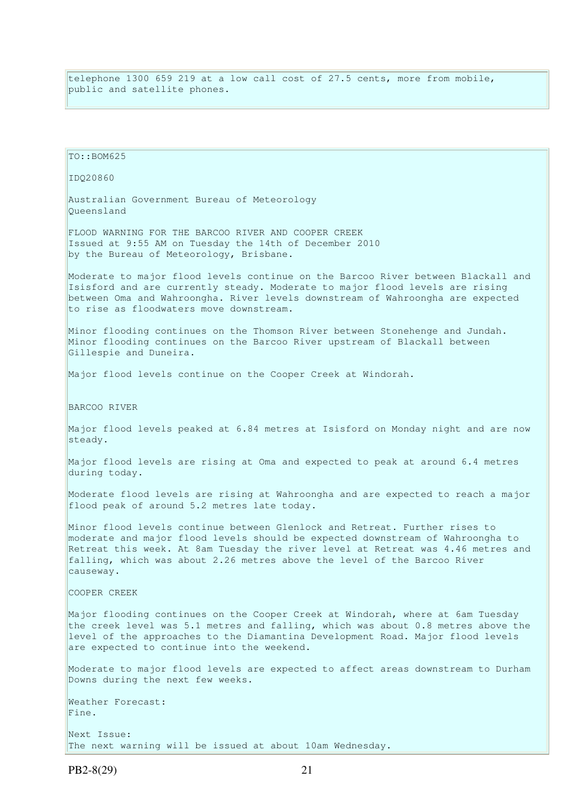telephone 1300 659 219 at a low call cost of 27.5 cents, more from mobile, public and satellite phones.

TO::BOM625 IDQ20860 Australian Government Bureau of Meteorology Queensland FLOOD WARNING FOR THE BARCOO RIVER AND COOPER CREEK Issued at 9:55 AM on Tuesday the 14th of December 2010 by the Bureau of Meteorology, Brisbane. Moderate to major flood levels continue on the Barcoo River between Blackall and Isisford and are currently steady. Moderate to major flood levels are rising between Oma and Wahroongha. River levels downstream of Wahroongha are expected to rise as floodwaters move downstream. Minor flooding continues on the Thomson River between Stonehenge and Jundah. Minor flooding continues on the Barcoo River upstream of Blackall between Gillespie and Duneira. Major flood levels continue on the Cooper Creek at Windorah. BARCOO RIVER Major flood levels peaked at 6.84 metres at Isisford on Monday night and are now steady. Major flood levels are rising at Oma and expected to peak at around 6.4 metres during today. Moderate flood levels are rising at Wahroongha and are expected to reach a major flood peak of around 5.2 metres late today. Minor flood levels continue between Glenlock and Retreat. Further rises to moderate and major flood levels should be expected downstream of Wahroongha to Retreat this week. At 8am Tuesday the river level at Retreat was 4.46 metres and falling, which was about 2.26 metres above the level of the Barcoo River causeway. COOPER CREEK Major flooding continues on the Cooper Creek at Windorah, where at 6am Tuesday the creek level was 5.1 metres and falling, which was about 0.8 metres above the level of the approaches to the Diamantina Development Road. Major flood levels are expected to continue into the weekend. Moderate to major flood levels are expected to affect areas downstream to Durham Downs during the next few weeks. Weather Forecast: Fine. Next Issue: The next warning will be issued at about 10am Wednesday.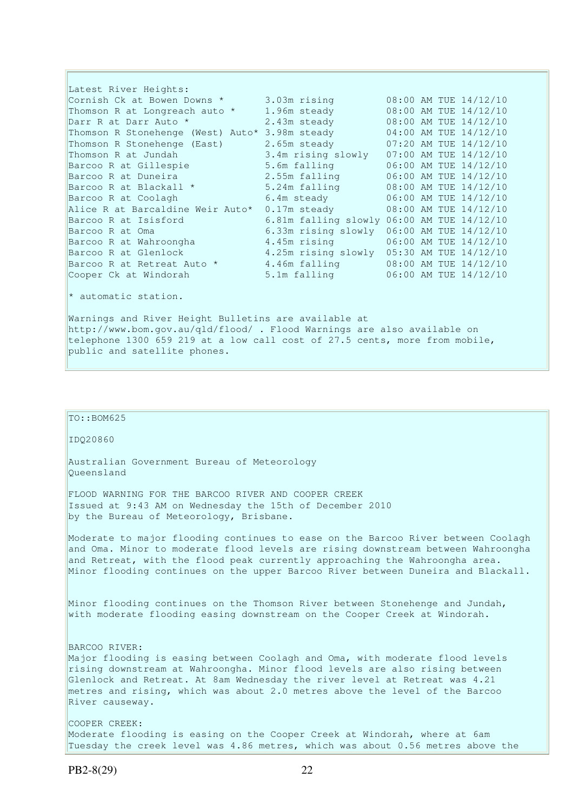Latest River Heights: Cornish Ck at Bowen Downs  $\star$  3.03m rising  $\qquad 08:00$  AM TUE 14/12/10 Thomson R at Longreach auto \* 1.96m steady 08:00 AM TUE 14/12/10 Darr R at Darr Auto \* 2.43m steady 08:00 AM TUE 14/12/10 Thomson R Stonehenge (West) Auto\* 3.98m steady 04:00 AM TUE 14/12/10 Thomson R Stonehenge (East) 2.65m steady 07:20 AM TUE 14/12/10 Thomson R at Jundah 3.4m rising slowly 07:00 AM TUE 14/12/10 Barcoo R at Gillespie 5.6m falling 06:00 AM TUE 14/12/10 Barcoo R at Duneira 2.55m falling 06:00 AM TUE 14/12/10 Barcoo R at Blackall \* 5.24m falling 08:00 AM TUE 14/12/10 Barcoo R at Coolagh 6.4m steady 06:00 AM TUE 14/12/10  $A$ lice R at Barcaldine Weir Auto\* 0.17m steady 08:00 AM TUE 14/12/10<br>Alice R at Barcaldine Weir Auto\* 0.17m steady 08:00 AM TUE 14/12/10 Barcoo R at Isisford 6.81m falling slowly 06:00 AM TUE 14/12/10 Barcoo R at Oma 6.33m rising slowly 06:00 AM TUE 14/12/10 Barcoo R at Wahroongha 4.45m rising 06:00 AM TUE 14/12/10 Barcoo R at Glenlock 4.25m rising slowly 05:30 AM TUE 14/12/10 Barcoo R at Retreat Auto  $*$   $4.46m$  falling  $08:00$  AM TUE  $14/12/10$ Cooper Ck at Windorah 5.1m falling 06:00 AM TUE 14/12/10

\* automatic station.

Warnings and River Height Bulletins are available at http://www.bom.gov.au/qld/flood/ . Flood Warnings are also available on telephone 1300 659 219 at a low call cost of 27.5 cents, more from mobile, public and satellite phones.

## $To::BOM625$

IDQ20860

Australian Government Bureau of Meteorology Queensland

FLOOD WARNING FOR THE BARCOO RIVER AND COOPER CREEK Issued at 9:43 AM on Wednesday the 15th of December 2010 by the Bureau of Meteorology, Brisbane.

Moderate to major flooding continues to ease on the Barcoo River between Coolagh and Oma. Minor to moderate flood levels are rising downstream between Wahroongha and Retreat, with the flood peak currently approaching the Wahroongha area. Minor flooding continues on the upper Barcoo River between Duneira and Blackall.

Minor flooding continues on the Thomson River between Stonehenge and Jundah, with moderate flooding easing downstream on the Cooper Creek at Windorah.

BARCOO RIVER: Major flooding is easing between Coolagh and Oma, with moderate flood levels rising downstream at Wahroongha. Minor flood levels are also rising between Glenlock and Retreat. At 8am Wednesday the river level at Retreat was 4.21 metres and rising, which was about 2.0 metres above the level of the Barcoo River causeway.

COOPER CREEK: Moderate flooding is easing on the Cooper Creek at Windorah, where at 6am Tuesday the creek level was 4.86 metres, which was about 0.56 metres above the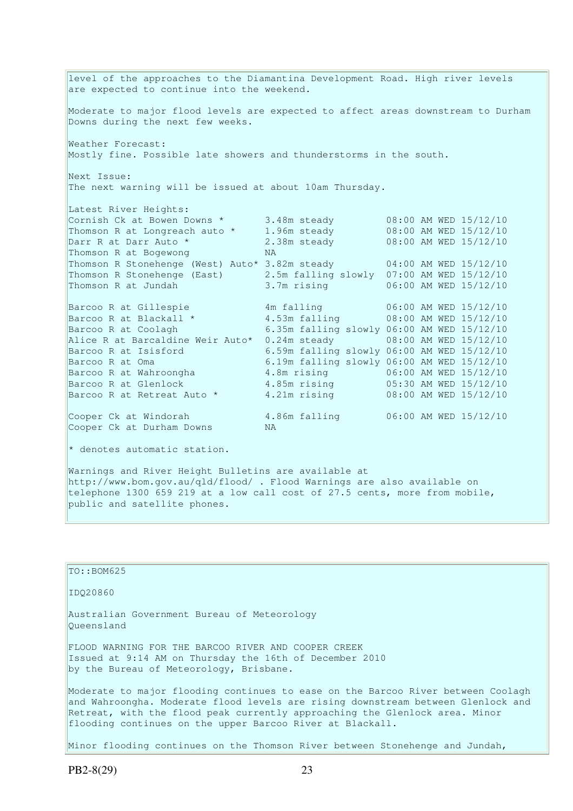level of the approaches to the Diamantina Development Road. High river levels are expected to continue into the weekend. Moderate to major flood levels are expected to affect areas downstream to Durham Downs during the next few weeks. Weather Forecast: Mostly fine. Possible late showers and thunderstorms in the south. Next Issue: The next warning will be issued at about 10am Thursday. Latest River Heights: Cornish Ck at Bowen Downs  $\star$  3.48m steady 08:00 AM WED 15/12/10 Thomson R at Longreach auto \* 1.96m steady 08:00 AM WED 15/12/10 Darr R at Darr Auto \* 2.38m steady 08:00 AM WED 15/12/10 Thomson R at Bogewong NA Thomson R Stonehenge (West) Auto\* 3.82m steady 04:00 AM WED 15/12/10 Thomson R Stonehenge (East) 2.5m falling slowly 07:00 AM WED 15/12/10 Thomson R at Jundah 3.7m rising 06:00 AM WED 15/12/10 Barcoo R at Gillespie 4m falling 06:00 AM WED 15/12/10 Barcoo R at Blackall \* 3.53m falling 08:00 AM WED 15/12/10 Barcoo R at Coolagh 6.35m falling slowly 06:00 AM WED 15/12/10 Alice R at Barcaldine Weir Auto\* 0.24m steady 08:00 AM WED 15/12/10 Barcoo R at Isisford 6.59m falling slowly 06:00 AM WED 15/12/10 Barcoo R at Oma 6.19m falling slowly 06:00 AM WED 15/12/10 Barcoo R at Wahroongha 4.8m rising 06:00 AM WED 15/12/10 Barcoo R at Glenlock 4.85m rising 05:30 AM WED 15/12/10 Barcoo R at Retreat Auto \* 4.21m rising 08:00 AM WED 15/12/10 Cooper Ck at Windorah 4.86m falling 06:00 AM WED 15/12/10 Cooper Ck at Durham Downs

 $*$  denotes automatic station.

Warnings and River Height Bulletins are available at http://www.bom.gov.au/qld/flood/ . Flood Warnings are also available on telephone 1300 659 219 at a low call cost of 27.5 cents, more from mobile, public and satellite phones.

TO::BOM625 IDQ20860 Australian Government Bureau of Meteorology Queensland FLOOD WARNING FOR THE BARCOO RIVER AND COOPER CREEK Issued at 9:14 AM on Thursday the 16th of December 2010 by the Bureau of Meteorology, Brisbane. Moderate to major flooding continues to ease on the Barcoo River between Coolagh and Wahroongha. Moderate flood levels are rising downstream between Glenlock and Retreat, with the flood peak currently approaching the Glenlock area. Minor flooding continues on the upper Barcoo River at Blackall.

Minor flooding continues on the Thomson River between Stonehenge and Jundah,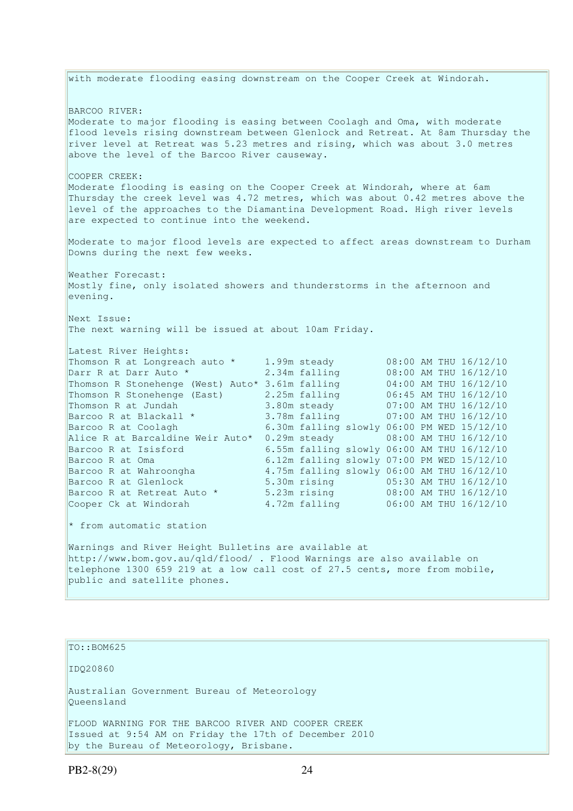with moderate flooding easing downstream on the Cooper Creek at Windorah. BARCOO RIVER: Moderate to major flooding is easing between Coolagh and Oma, with moderate flood levels rising downstream between Glenlock and Retreat. At 8am Thursday the river level at Retreat was 5.23 metres and rising, which was about 3.0 metres above the level of the Barcoo River causeway. COOPER CREEK: Moderate flooding is easing on the Cooper Creek at Windorah, where at 6am Thursday the creek level was 4.72 metres, which was about 0.42 metres above the level of the approaches to the Diamantina Development Road. High river levels are expected to continue into the weekend. Moderate to major flood levels are expected to affect areas downstream to Durham Downs during the next few weeks. Weather Forecast: Mostly fine, only isolated showers and thunderstorms in the afternoon and evening. Next Issue: The next warning will be issued at about 10am Friday. Latest River Heights: Thomson R at Longreach auto \* 1.99m steady 08:00 AM THU 16/12/10 Darr R at Darr Auto \* 2.34m falling 08:00 AM THU 16/12/10 Thomson R Stonehenge (West) Auto\* 3.61m falling 04:00 AM THU 16/12/10 Thomson R Stonehenge (East) 2.25m falling 06:45 AM THU 16/12/10 Thomson R at Jundah 3.80m steady 07:00 AM THU 16/12/10 Barcoo R at Blackall \* 3.78m falling 07:00 AM THU 16/12/10 Barcoo R at Coolagh 6.30m falling slowly 06:00 PM WED 15/12/10 Alice R at Barcaldine Weir Auto\*  $0.29$ m steady  $0.00$  AM THU 16/12/10 Barcoo R at Isisford 6.55m falling slowly 06:00 AM THU 16/12/10 Barcoo R at Oma 6.12m falling slowly 07:00 PM WED 15/12/10<br>Barcoo R at Wahroongha 4.75m falling slowly 06:00 AM THU 16/12/10 Barcoo R at Wahroongha 4.75m falling slowly 06:00 AM THU 16/12/10 Barcoo R at Glenlock 5.30m rising 05:30 AM THU 16/12/10 Barcoo R at Retreat Auto \* 5.23m rising 08:00 AM THU 16/12/10 Cooper Ck at Windorah 4.72m falling 06:00 AM THU 16/12/10 \* from automatic station Warnings and River Height Bulletins are available at http://www.bom.gov.au/qld/flood/ . Flood Warnings are also available on telephone 1300 659 219 at a low call cost of 27.5 cents, more from mobile, public and satellite phones.

TO::BOM625

IDQ20860

Australian Government Bureau of Meteorology Queensland

FLOOD WARNING FOR THE BARCOO RIVER AND COOPER CREEK Issued at 9:54 AM on Friday the 17th of December 2010 by the Bureau of Meteorology, Brisbane.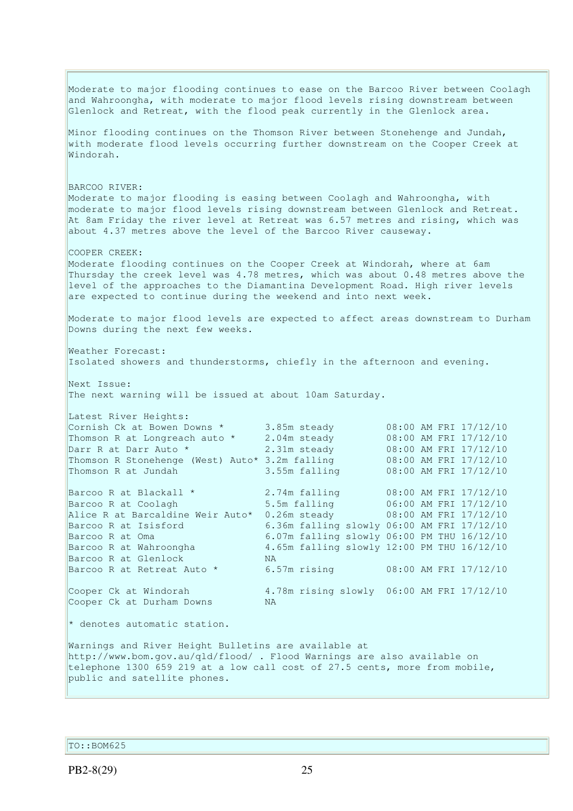Moderate to major flooding continues to ease on the Barcoo River between Coolagh and Wahroongha, with moderate to major flood levels rising downstream between Glenlock and Retreat, with the flood peak currently in the Glenlock area. Minor flooding continues on the Thomson River between Stonehenge and Jundah, with moderate flood levels occurring further downstream on the Cooper Creek at Windorah. BARCOO RIVER: Moderate to major flooding is easing between Coolagh and Wahroongha, with moderate to major flood levels rising downstream between Glenlock and Retreat. At 8am Friday the river level at Retreat was 6.57 metres and rising, which was about 4.37 metres above the level of the Barcoo River causeway. COOPER CREEK: Moderate flooding continues on the Cooper Creek at Windorah, where at 6am Thursday the creek level was 4.78 metres, which was about 0.48 metres above the level of the approaches to the Diamantina Development Road. High river levels are expected to continue during the weekend and into next week. Moderate to major flood levels are expected to affect areas downstream to Durham Downs during the next few weeks. Weather Forecast: Isolated showers and thunderstorms, chiefly in the afternoon and evening. Next Issue: The next warning will be issued at about 10am Saturday. Latest River Heights: Cornish Ck at Bowen Downs  $\star$  3.85m steady 08:00 AM FRI 17/12/10 Thomson R at Longreach auto \* 2.04m steady 08:00 AM FRI 17/12/10 Darr R at Darr Auto \* 2.31m steady 08:00 AM FRI 17/12/10 Thomson R Stonehenge (West) Auto\* 3.2m falling 08:00 AM FRI 17/12/10 Thomson R at Jundah 3.55m falling 08:00 AM FRI 17/12/10 Barcoo R at Blackall  $\star$  2.74m falling 08:00 AM FRI 17/12/10 Barcoo R at Coolagh 5.5m falling 06:00 AM FRI 17/12/10 Alice R at Barcaldine Weir Auto\* 0.26m steady 08:00 AM FRI 17/12/10 Barcoo R at Isisford 6.36m falling slowly 06:00 AM FRI 17/12/10 Barcoo R at Oma 6.07m falling slowly 06:00 PM THU 16/12/10 Barcoo R at Wahroongha 4.65m falling slowly 12:00 PM THU 16/12/10 Barcoo R at Glenlock NA Barcoo R at Retreat Auto \* 6.57m rising 08:00 AM FRI 17/12/10 Cooper Ck at Windorah 4.78m rising slowly 06:00 AM FRI 17/12/10 Cooper Ck at Durham Downs MA \* denotes automatic station. Warnings and River Height Bulletins are available at http://www.bom.gov.au/qld/flood/ . Flood Warnings are also available on telephone 1300 659 219 at a low call cost of 27.5 cents, more from mobile, public and satellite phones.

TO::BOM625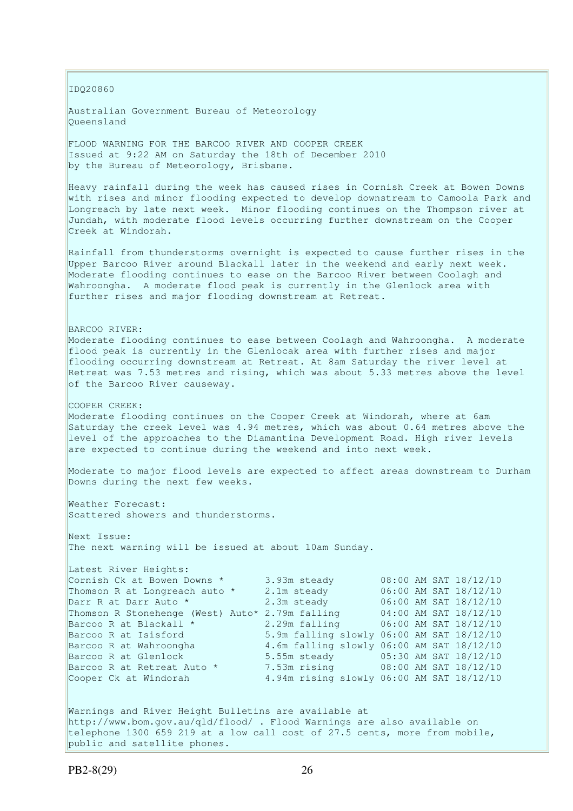IDQ20860 Australian Government Bureau of Meteorology Queensland FLOOD WARNING FOR THE BARCOO RIVER AND COOPER CREEK Issued at 9:22 AM on Saturday the 18th of December 2010 by the Bureau of Meteorology, Brisbane. Heavy rainfall during the week has caused rises in Cornish Creek at Bowen Downs with rises and minor flooding expected to develop downstream to Camoola Park and Longreach by late next week. Minor flooding continues on the Thompson river at Jundah, with moderate flood levels occurring further downstream on the Cooper Creek at Windorah. Rainfall from thunderstorms overnight is expected to cause further rises in the Upper Barcoo River around Blackall later in the weekend and early next week. Moderate flooding continues to ease on the Barcoo River between Coolagh and Wahroongha. A moderate flood peak is currently in the Glenlock area with further rises and major flooding downstream at Retreat. BARCOO RIVER: Moderate flooding continues to ease between Coolagh and Wahroongha. A moderate flood peak is currently in the Glenlocak area with further rises and major flooding occurring downstream at Retreat. At 8am Saturday the river level at Retreat was 7.53 metres and rising, which was about 5.33 metres above the level of the Barcoo River causeway. COOPER CREEK: Moderate flooding continues on the Cooper Creek at Windorah, where at 6am Saturday the creek level was 4.94 metres, which was about 0.64 metres above the level of the approaches to the Diamantina Development Road. High river levels are expected to continue during the weekend and into next week. Moderate to major flood levels are expected to affect areas downstream to Durham Downs during the next few weeks. Weather Forecast: Scattered showers and thunderstorms. Next Issue: The next warning will be issued at about 10am Sunday. Latest River Heights: Cornish Ck at Bowen Downs \* 3.93m steady 08:00 AM SAT 18/12/10 Thomson R at Longreach auto \* 2.1m steady 06:00 AM SAT 18/12/10 Darr R at Darr Auto \* 2.3m steady 06:00 AM SAT 18/12/10 Thomson R Stonehenge (West) Auto\* 2.79m falling 04:00 AM SAT 18/12/10 Barcoo R at Blackall \* 2.29m falling 06:00 AM SAT 18/12/10 Barcoo R at Isisford 5.9m falling slowly 06:00 AM SAT 18/12/10 Barcoo R at Wahroongha 4.6m falling slowly 06:00 AM SAT 18/12/10 Barcoo R at Glenlock 5.55m steady 05:30 AM SAT 18/12/10 Barcoo R at Retreat Auto \* 7.53m rising 08:00 AM SAT 18/12/10 Cooper Ck at Windorah 4.94m rising slowly 06:00 AM SAT 18/12/10 Warnings and River Height Bulletins are available at http://www.bom.gov.au/qld/flood/ . Flood Warnings are also available on telephone 1300 659 219 at a low call cost of 27.5 cents, more from mobile,

public and satellite phones.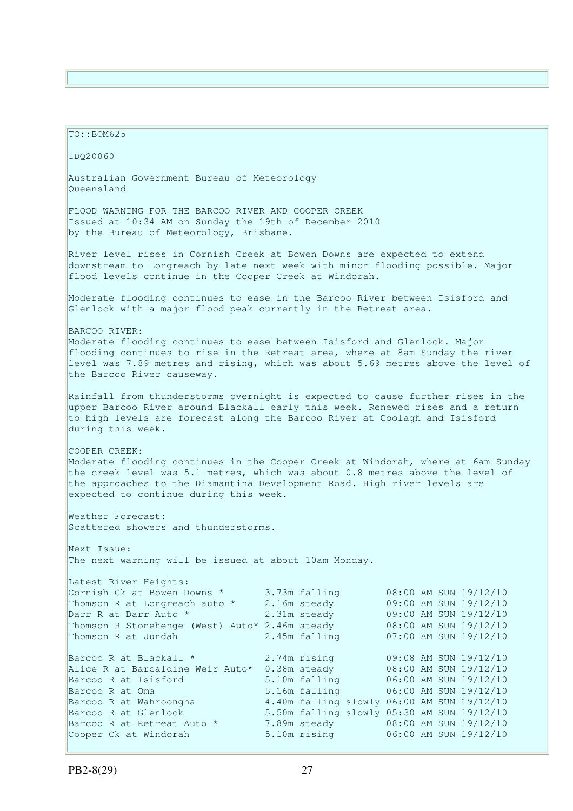TO::BOM625 IDQ20860 Australian Government Bureau of Meteorology Queensland FLOOD WARNING FOR THE BARCOO RIVER AND COOPER CREEK Issued at 10:34 AM on Sunday the 19th of December 2010 by the Bureau of Meteorology, Brisbane. River level rises in Cornish Creek at Bowen Downs are expected to extend downstream to Longreach by late next week with minor flooding possible. Major flood levels continue in the Cooper Creek at Windorah. Moderate flooding continues to ease in the Barcoo River between Isisford and Glenlock with a major flood peak currently in the Retreat area. BARCOO RIVER: Moderate flooding continues to ease between Isisford and Glenlock. Major flooding continues to rise in the Retreat area, where at 8am Sunday the river level was 7.89 metres and rising, which was about 5.69 metres above the level of the Barcoo River causeway. Rainfall from thunderstorms overnight is expected to cause further rises in the upper Barcoo River around Blackall early this week. Renewed rises and a return to high levels are forecast along the Barcoo River at Coolagh and Isisford during this week. COOPER CREEK: Moderate flooding continues in the Cooper Creek at Windorah, where at 6am Sunday the creek level was 5.1 metres, which was about 0.8 metres above the level of the approaches to the Diamantina Development Road. High river levels are expected to continue during this week. Weather Forecast: Scattered showers and thunderstorms. Next Issue: The next warning will be issued at about 10am Monday. Latest River Heights: Cornish Ck at Bowen Downs \* 3.73m falling 08:00 AM SUN 19/12/10 Thomson R at Longreach auto  $*$  2.16m steady 09:00 AM SUN 19/12/10 Darr R at Darr Auto \* 2.31m steady 09:00 AM SUN 19/12/10 Thomson R Stonehenge (West) Auto\* 2.46m steady 08:00 AM SUN 19/12/10 Thomson R at Jundah 2.45m falling 07:00 AM SUN 19/12/10 Barcoo R at Blackall \* 2.74m rising 09:08 AM SUN 19/12/10 Alice R at Barcaldine Weir Auto\* 0.38m steady 08:00 AM SUN 19/12/10 Barcoo R at Isisford 5.10m falling 06:00 AM SUN 19/12/10 Barcoo R at Oma 5.16m falling 06:00 AM SUN 19/12/10 Barcoo R at Wahroongha 4.40m falling slowly 06:00 AM SUN 19/12/10 Barcoo R at Glenlock 5.50m falling slowly 05:30 AM SUN 19/12/10<br>Barcoo R at Retreat Auto \* 7.89m steady 08:00 AM SUN 19/12/10 Barcoo R at Retreat Auto \* 7.89m steady 08:00 AM SUN 19/12/10 Cooper Ck at Windorah 5.10m rising 06:00 AM SUN 19/12/10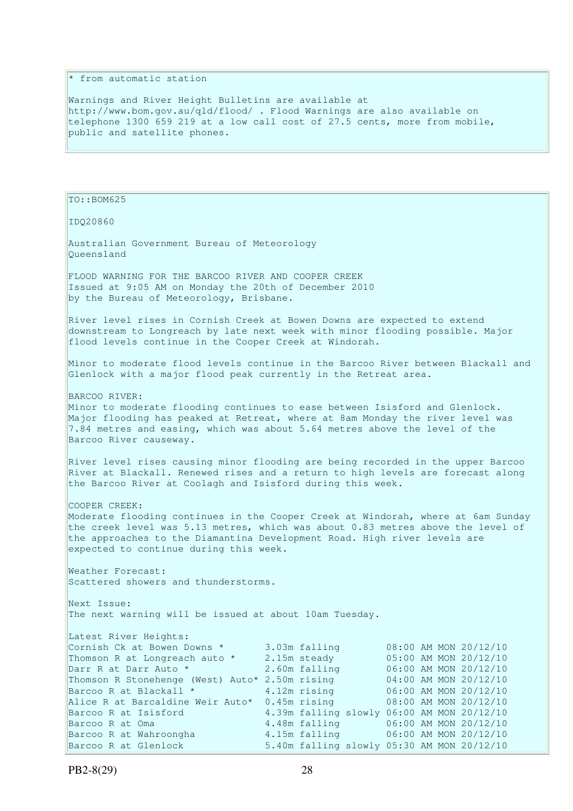## \* from automatic station

Warnings and River Height Bulletins are available at http://www.bom.gov.au/qld/flood/ . Flood Warnings are also available on telephone 1300 659 219 at a low call cost of 27.5 cents, more from mobile, public and satellite phones.

TO::BOM625 IDQ20860 Australian Government Bureau of Meteorology Queensland FLOOD WARNING FOR THE BARCOO RIVER AND COOPER CREEK Issued at 9:05 AM on Monday the 20th of December 2010 by the Bureau of Meteorology, Brisbane. River level rises in Cornish Creek at Bowen Downs are expected to extend downstream to Longreach by late next week with minor flooding possible. Major flood levels continue in the Cooper Creek at Windorah. Minor to moderate flood levels continue in the Barcoo River between Blackall and Glenlock with a major flood peak currently in the Retreat area. BARCOO RIVER: Minor to moderate flooding continues to ease between Isisford and Glenlock. Major flooding has peaked at Retreat, where at 8am Monday the river level was 7.84 metres and easing, which was about 5.64 metres above the level of the Barcoo River causeway. River level rises causing minor flooding are being recorded in the upper Barcoo River at Blackall. Renewed rises and a return to high levels are forecast along the Barcoo River at Coolagh and Isisford during this week. COOPER CREEK: Moderate flooding continues in the Cooper Creek at Windorah, where at 6am Sunday the creek level was 5.13 metres, which was about 0.83 metres above the level of the approaches to the Diamantina Development Road. High river levels are expected to continue during this week. Weather Forecast: Scattered showers and thunderstorms. Next Issue: The next warning will be issued at about 10am Tuesday. Latest River Heights: Cornish Ck at Bowen Downs  $\star$  3.03m falling 08:00 AM MON 20/12/10 Thomson R at Longreach auto  $*$  2.15m steady 05:00 AM MON 20/12/10 Darr R at Darr Auto \* 2.60m falling 06:00 AM MON 20/12/10 Thomson R Stonehenge (West) Auto\* 2.50m rising 04:00 AM MON 20/12/10 Barcoo R at Blackall \* 4.12m rising 06:00 AM MON 20/12/10 Alice R at Barcaldine Weir Auto\* 0.45m rising 08:00 AM MON 20/12/10 Barcoo R at Isisford 4.39m falling slowly 06:00 AM MON 20/12/10 Barcoo R at Oma 4.48m falling 06:00 AM MON 20/12/10 Barcoo R at Wahroongha 4.15m falling 06:00 AM MON 20/12/10 Barcoo R at Glenlock 5.40m falling slowly 05:30 AM MON 20/12/10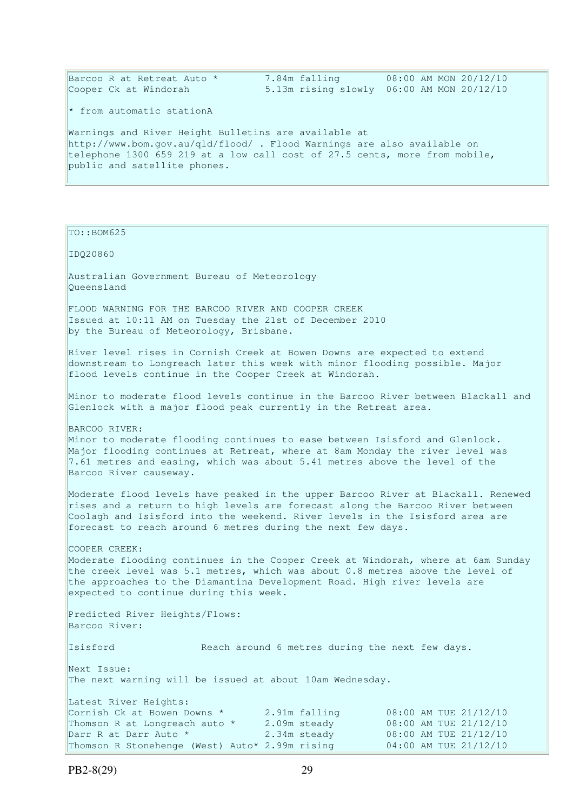| Barcoo R at Retreat Auto *<br>Cooper Ck at Windorah                                                                                                                                                                                                                                                              | 7.84m falling                                   | 08:00 AM MON 20/12/10<br>5.13m rising slowly 06:00 AM MON 20/12/10 |
|------------------------------------------------------------------------------------------------------------------------------------------------------------------------------------------------------------------------------------------------------------------------------------------------------------------|-------------------------------------------------|--------------------------------------------------------------------|
| * from automatic stationA                                                                                                                                                                                                                                                                                        |                                                 |                                                                    |
| Warnings and River Height Bulletins are available at<br>http://www.bom.gov.au/qld/flood/ . Flood Warnings are also available on<br>telephone 1300 659 219 at a low call cost of 27.5 cents, more from mobile,<br>public and satellite phones.                                                                    |                                                 |                                                                    |
|                                                                                                                                                                                                                                                                                                                  |                                                 |                                                                    |
| TO::BOM625                                                                                                                                                                                                                                                                                                       |                                                 |                                                                    |
| IDQ20860                                                                                                                                                                                                                                                                                                         |                                                 |                                                                    |
| Australian Government Bureau of Meteorology<br>Oueensland                                                                                                                                                                                                                                                        |                                                 |                                                                    |
| FLOOD WARNING FOR THE BARCOO RIVER AND COOPER CREEK<br>Issued at 10:11 AM on Tuesday the 21st of December 2010<br>by the Bureau of Meteorology, Brisbane.                                                                                                                                                        |                                                 |                                                                    |
| River level rises in Cornish Creek at Bowen Downs are expected to extend<br>downstream to Longreach later this week with minor flooding possible. Major<br>flood levels continue in the Cooper Creek at Windorah.                                                                                                |                                                 |                                                                    |
| Minor to moderate flood levels continue in the Barcoo River between Blackall and<br>Glenlock with a major flood peak currently in the Retreat area.                                                                                                                                                              |                                                 |                                                                    |
| BARCOO RIVER:<br>Minor to moderate flooding continues to ease between Isisford and Glenlock.<br>Major flooding continues at Retreat, where at 8am Monday the river level was<br>7.61 metres and easing, which was about 5.41 metres above the level of the<br>Barcoo River causeway.                             |                                                 |                                                                    |
| Moderate flood levels have peaked in the upper Barcoo River at Blackall. Renewed<br>rises and a return to high levels are forecast along the Barcoo River between<br>Coolagh and Isisford into the weekend. River levels in the Isisford area are<br>forecast to reach around 6 metres during the next few days. |                                                 |                                                                    |
| COOPER CREEK:<br>Moderate flooding continues in the Cooper Creek at Windorah, where at 6am Sunday<br>the creek level was 5.1 metres, which was about 0.8 metres above the level of<br>the approaches to the Diamantina Development Road. High river levels are<br>expected to continue during this week.         |                                                 |                                                                    |
| Predicted River Heights/Flows:<br>Barcoo River:                                                                                                                                                                                                                                                                  |                                                 |                                                                    |
| Isisford                                                                                                                                                                                                                                                                                                         | Reach around 6 metres during the next few days. |                                                                    |
| Next Issue:<br>The next warning will be issued at about 10am Wednesday.                                                                                                                                                                                                                                          |                                                 |                                                                    |
| Latest River Heights:<br>Cornish Ck at Bowen Downs *<br>Thomson R at Longreach auto *                                                                                                                                                                                                                            | 2.91m falling<br>2.09m steady                   | 08:00 AM TUE 21/12/10<br>08:00 AM TUE 21/12/10                     |

Darr R at Darr Auto \* 2.34m steady 08:00 AM TUE 21/12/10 Thomson R Stonehenge (West) Auto\* 2.99m rising 04:00 AM TUE 21/12/10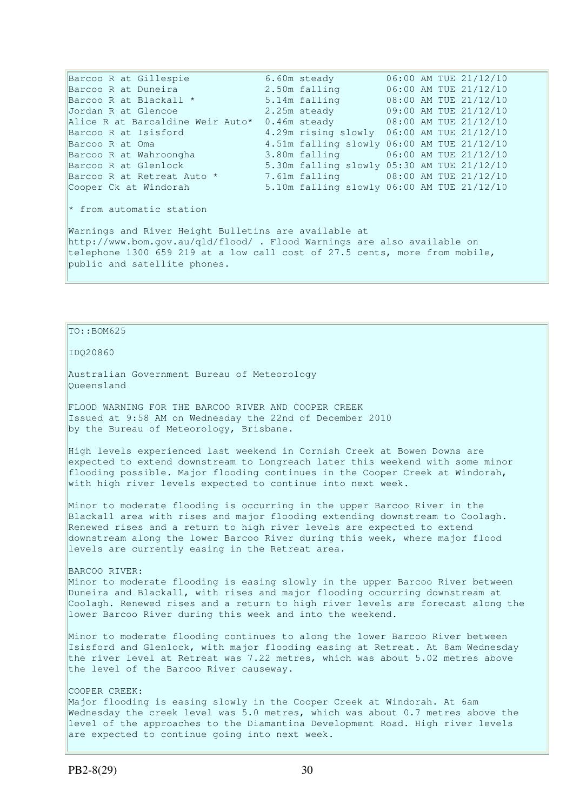Barcoo R at Gillespie 6.60m steady 06:00 AM TUE 21/12/10 Barcoo R at Duneira 2.50m falling 06:00 AM TUE 21/12/10 Barcoo R at Blackall \*  $5.14$ m falling  $08:00$  AM TUE 21/12/10<br>Jordan R at Glencoe  $0.05$  and  $0.05$  and  $0.000$   $0.000$   $0.000$   $0.000$   $0.000$   $0.000$   $0.000$   $0.000$   $0.000$   $0.000$   $0.000$   $0.000$   $0.000$   $0.000$   $0.0$ Jordan R at Glencoe 2.25m steady 09:00 AM TUE 21/12/10<br>Alice R at Barcaldine Weir Auto\* 0.46m steady 08:00 AM TUE 21/12/10 Alice R at Barcaldine Weir Auto\* 0.46m steady 08:00 AM TUE 21/12/10 Barcoo R at Isisford 4.29m rising slowly 06:00 AM TUE 21/12/10 Barcoo R at Oma 4.51m falling slowly 06:00 AM TUE 21/12/10 Barcoo R at Wahroongha 3.80m falling 06:00 AM TUE 21/12/10 Barcoo R at Glenlock 5.30m falling slowly 05:30 AM TUE 21/12/10 Barcoo R at Retreat Auto \* 7.61m falling 08:00 AM TUE 21/12/10 Barcoo R at Retreat Auto \* 7.61m falling slowly 03:30 AM TUE 21/12/10<br>Cooper Ck at Windorah 5.10m falling slowly 06:00 AM TUE 21/12/10 \* from automatic station Warnings and River Height Bulletins are available at http://www.bom.gov.au/qld/flood/ . Flood Warnings are also available on telephone 1300 659 219 at a low call cost of 27.5 cents, more from mobile, public and satellite phones.

### $To::BOM625$

IDQ20860

Australian Government Bureau of Meteorology Queensland

FLOOD WARNING FOR THE BARCOO RIVER AND COOPER CREEK Issued at 9:58 AM on Wednesday the 22nd of December 2010 by the Bureau of Meteorology, Brisbane.

High levels experienced last weekend in Cornish Creek at Bowen Downs are expected to extend downstream to Longreach later this weekend with some minor flooding possible. Major flooding continues in the Cooper Creek at Windorah, with high river levels expected to continue into next week.

Minor to moderate flooding is occurring in the upper Barcoo River in the Blackall area with rises and major flooding extending downstream to Coolagh. Renewed rises and a return to high river levels are expected to extend downstream along the lower Barcoo River during this week, where major flood levels are currently easing in the Retreat area.

BARCOO RIVER:

Minor to moderate flooding is easing slowly in the upper Barcoo River between Duneira and Blackall, with rises and major flooding occurring downstream at Coolagh. Renewed rises and a return to high river levels are forecast along the lower Barcoo River during this week and into the weekend.

Minor to moderate flooding continues to along the lower Barcoo River between Isisford and Glenlock, with major flooding easing at Retreat. At 8am Wednesday the river level at Retreat was 7.22 metres, which was about 5.02 metres above the level of the Barcoo River causeway.

#### COOPER CREEK:

Major flooding is easing slowly in the Cooper Creek at Windorah. At 6am Wednesday the creek level was 5.0 metres, which was about 0.7 metres above the level of the approaches to the Diamantina Development Road. High river levels are expected to continue going into next week.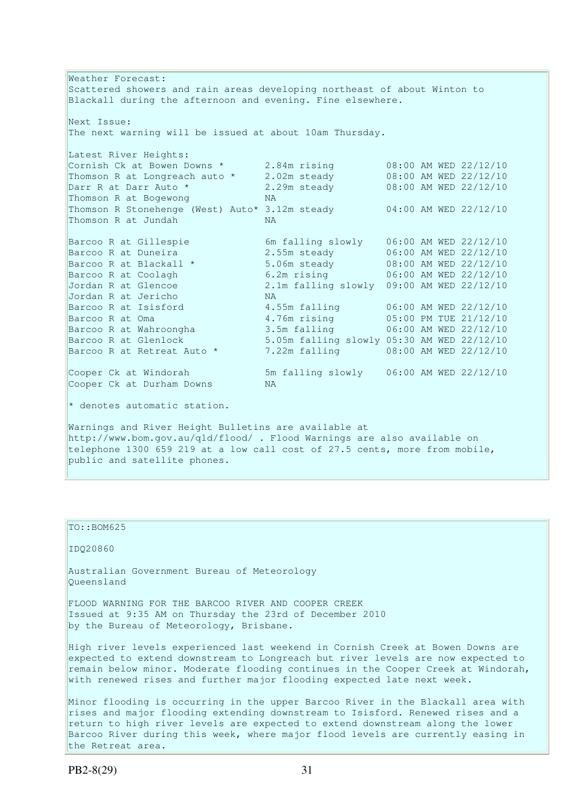Weather Forecast: Scattered showers and rain areas developing northeast of about Winton to Blackall during the afternoon and evening. Fine elsewhere. Next Issue: The next warning will be issued at about 10am Thursday. Latest River Heights: Cornish Ck at Bowen Downs  $\star$  2.84m rising  $\qquad 08:00$  AM WED 22/12/10 Thomson R at Longreach auto \* 2.02m steady 08:00 AM WED 22/12/10 Darr R at Darr Auto \* 2.29m steady 08:00 AM WED 22/12/10 Thomson R at Bogewong NA Thomson R Stonehenge (West) Auto\* 3.12m steady 04:00 AM WED 22/12/10 Thomson R at Jundah NA Barcoo R at Gillespie 6m falling slowly 06:00 AM WED 22/12/10 Barcoo R at Duneira 2.55m steady 06:00 AM WED 22/12/10 Barcoo R at Blackall \* 5.06m steady 08:00 AM WED 22/12/10 Barcoo R at Coolagh 6.2m rising 06:00 AM WED 22/12/10 Jordan R at Glencoe 2.1m falling slowly 09:00 AM WED 22/12/10<br>Jordan R at Jericho 1988 NA Jordan R at Jericho NA Barcoo R at Isisford 4.55m falling 06:00 AM WED 22/12/10 Barcoo R at Oma 4.76m rising 05:00 PM TUE 21/12/10 Barcoo R at Wahroongha 3.5m falling 06:00 AM WED 22/12/10 Barcoo R at Glenlock 5.05m falling slowly 05:30 AM WED 22/12/10  $BatCOO$  R at Gienrock<br>Barcoo R at Retreat Auto \* 7.22m falling 08:00 AM WED 22/12/10 Cooper Ck at Windorah 5m falling slowly 06:00 AM WED 22/12/10<br>Cooper Ck at Durham Downs NA Cooper Ck at Durham Downs  $*$  denotes automatic station. Warnings and River Height Bulletins are available at http://www.bom.gov.au/qld/flood/ . Flood Warnings are also available on telephone 1300 659 219 at a low call cost of 27.5 cents, more from mobile, public and satellite phones.

### TO::BOM625

IDQ20860

Australian Government Bureau of Meteorology Queensland

FLOOD WARNING FOR THE BARCOO RIVER AND COOPER CREEK Issued at 9:35 AM on Thursday the 23rd of December 2010 by the Bureau of Meteorology, Brisbane.

High river levels experienced last weekend in Cornish Creek at Bowen Downs are expected to extend downstream to Longreach but river levels are now expected to remain below minor. Moderate flooding continues in the Cooper Creek at Windorah, with renewed rises and further major flooding expected late next week.

Minor flooding is occurring in the upper Barcoo River in the Blackall area with rises and major flooding extending downstream to Isisford. Renewed rises and a return to high river levels are expected to extend downstream along the lower Barcoo River during this week, where major flood levels are currently easing in the Retreat area.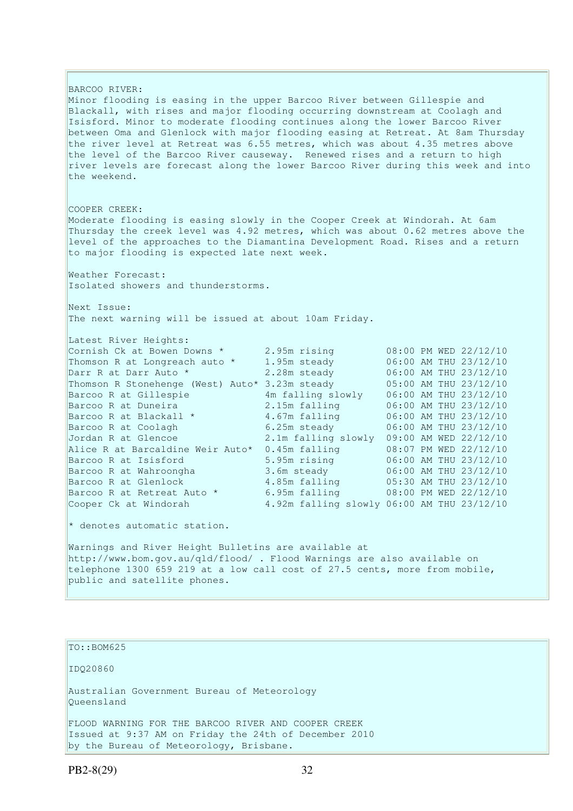BARCOO RIVER: Minor flooding is easing in the upper Barcoo River between Gillespie and Blackall, with rises and major flooding occurring downstream at Coolagh and Isisford. Minor to moderate flooding continues along the lower Barcoo River between Oma and Glenlock with major flooding easing at Retreat. At 8am Thursday the river level at Retreat was 6.55 metres, which was about 4.35 metres above the level of the Barcoo River causeway. Renewed rises and a return to high river levels are forecast along the lower Barcoo River during this week and into the weekend. COOPER CREEK: Moderate flooding is easing slowly in the Cooper Creek at Windorah. At 6am Thursday the creek level was 4.92 metres, which was about 0.62 metres above the level of the approaches to the Diamantina Development Road. Rises and a return to major flooding is expected late next week. Weather Forecast: Isolated showers and thunderstorms. Next Issue: The next warning will be issued at about 10am Friday. Latest River Heights: Cornish Ck at Bowen Downs \* 2.95m rising 08:00 PM WED 22/12/10 Thomson R at Longreach auto \* 1.95m steady 06:00 AM THU 23/12/10 Darr R at Darr Auto \* 2.28m steady 06:00 AM THU 23/12/10 Thomson R Stonehenge (West) Auto\* 3.23m steady 05:00 AM THU 23/12/10 Barcoo R at Gillespie 4m falling slowly 06:00 AM THU 23/12/10 Barcoo R at Duneira 2.15m falling 06:00 AM THU 23/12/10 Barcoo R at Blackall \* 4.67m falling 06:00 AM THU 23/12/10 Barcoo R at Coolagh 6.25m steady 06:00 AM THU 23/12/10 Jordan R at Glencoe 2.1m falling slowly 09:00 AM WED 22/12/10 Alice R at Barcaldine Weir Auto\* 0.45m falling 08:07 PM WED 22/12/10 Barcoo R at Isisford 5.95m rising 06:00 AM THU 23/12/10 Barcoo R at Wahroongha 3.6m steady 06:00 AM THU 23/12/10 Barcoo R at Glenlock 4.85m falling 05:30 AM THU 23/12/10 Barcoo R at Retreat Auto \* 6.95m falling 08:00 PM WED 22/12/10 Cooper Ck at Windorah 4.92m falling slowly 06:00 AM THU 23/12/10  $*$  denotes automatic station. Warnings and River Height Bulletins are available at http://www.bom.gov.au/qld/flood/ . Flood Warnings are also available on telephone 1300 659 219 at a low call cost of 27.5 cents, more from mobile, public and satellite phones. TO::BOM625 IDQ20860 Australian Government Bureau of Meteorology Queensland

FLOOD WARNING FOR THE BARCOO RIVER AND COOPER CREEK Issued at 9:37 AM on Friday the 24th of December 2010 by the Bureau of Meteorology, Brisbane.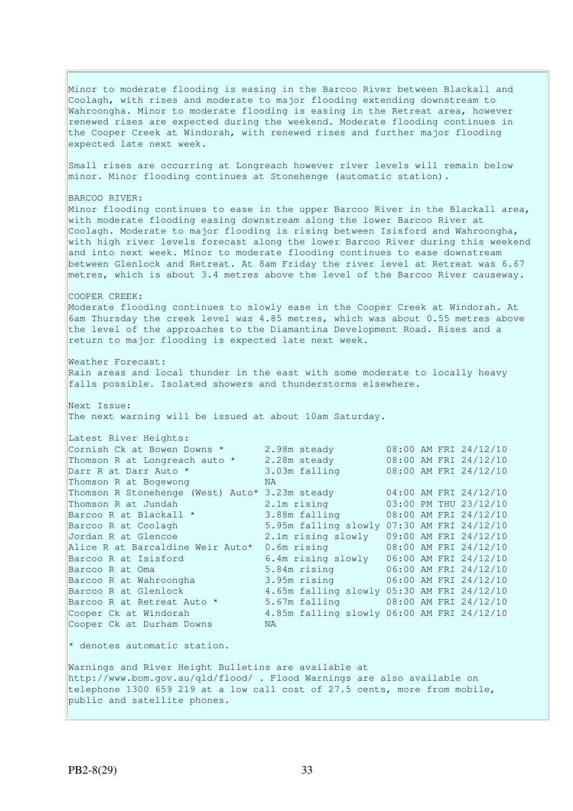Minor to moderate flooding is easing in the Barcoo River between Blackall and Coolagh, with rises and moderate to major flooding extending downstream to Wahroongha. Minor to moderate flooding is easing in the Retreat area, however renewed rises are expected during the weekend. Moderate flooding continues in the Cooper Creek at Windorah, with renewed rises and further major flooding expected late next week. Small rises are occurring at Longreach however river levels will remain below minor. Minor flooding continues at Stonehenge (automatic station). BARCOO RIVER: Minor flooding continues to ease in the upper Barcoo River in the Blackall area, with moderate flooding easing downstream along the lower Barcoo River at Coolagh. Moderate to major flooding is rising between Isisford and Wahroongha, with high river levels forecast along the lower Barcoo River during this weekend and into next week. Minor to moderate flooding continues to ease downstream between Glenlock and Retreat. At 8am Friday the river level at Retreat was 6.67 metres, which is about 3.4 metres above the level of the Barcoo River causeway. COOPER CREEK: Moderate flooding continues to slowly ease in the Cooper Creek at Windorah. At 6am Thursday the creek level was 4.85 metres, which was about 0.55 metres above the level of the approaches to the Diamantina Development Road. Rises and a return to major flooding is expected late next week. Weather Forecast: Rain areas and local thunder in the east with some moderate to locally heavy falls possible. Isolated showers and thunderstorms elsewhere. Next Issue: The next warning will be issued at about 10am Saturday. Latest River Heights: Cornish Ck at Bowen Downs  $\star$  2.98m steady 08:00 AM FRI 24/12/10 Thomson R at Longreach auto  $\star$  2.28m steady 08:00 AM FRI 24/12/10 Darr R at Darr Auto \* 3.03m falling 08:00 AM FRI 24/12/10 Thomson K at Donylous<br>Darr R at Darr Auto \* 3.1<br>Thomson R at Boqewong NA Thomson R Stonehenge (West) Auto\* 3.23m steady 04:00 AM FRI 24/12/10 Thomson R at Jundah 2.1m rising 03:00 PM THU 23/12/10 Thomson R at Jundah <br>Barcoo R at Blackall \* 3.88m falling 08:00 AM FRI 24/12/10<br>Barcoo R at Coolagh 5.95m falling slowly 07:30 AM FRI 24/12/10 5.95m falling slowly 07:30 AM FRI 24/12/10 Jordan R at Glencoe 2.1m rising slowly 09:00 AM FRI 24/12/10<br>Alice R at Barcaldine Weir Auto\* 0.6m rising 08:00 AM FRI 24/12/10 Alice R at Barcaldine Weir Auto\*  $0.6m$  rising Barcoo R at Isisford 6.4m rising slowly 06:00 AM FRI 24/12/10 Barcoo R at Oma 5.84m rising 06:00 AM FRI 24/12/10 Barcoo R at Wahroongha 3.95m rising 06:00 AM FRI 24/12/10 Barcoo R at Glenlock 4.65m falling slowly 05:30 AM FRI 24/12/10 Barcoo R at Retreat Auto \* 5.67m falling 08:00 AM FRI 24/12/10 Cooper Ck at Windorah 4.85m falling slowly 06:00 AM FRI 24/12/10 Cooper Ck at Durham Downs NA  $*$  denotes automatic station. Warnings and River Height Bulletins are available at http://www.bom.gov.au/qld/flood/ . Flood Warnings are also available on telephone 1300 659 219 at a low call cost of 27.5 cents, more from mobile, public and satellite phones.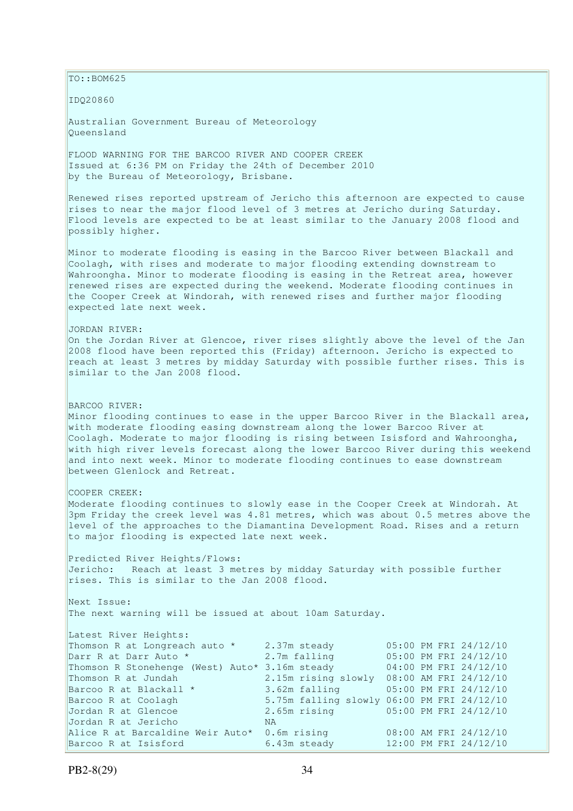TO::BOM625 IDQ20860 Australian Government Bureau of Meteorology Queensland FLOOD WARNING FOR THE BARCOO RIVER AND COOPER CREEK Issued at 6:36 PM on Friday the 24th of December 2010 by the Bureau of Meteorology, Brisbane. Renewed rises reported upstream of Jericho this afternoon are expected to cause rises to near the major flood level of 3 metres at Jericho during Saturday. Flood levels are expected to be at least similar to the January 2008 flood and possibly higher. Minor to moderate flooding is easing in the Barcoo River between Blackall and Coolagh, with rises and moderate to major flooding extending downstream to Wahroongha. Minor to moderate flooding is easing in the Retreat area, however renewed rises are expected during the weekend. Moderate flooding continues in the Cooper Creek at Windorah, with renewed rises and further major flooding expected late next week. JORDAN RIVER: On the Jordan River at Glencoe, river rises slightly above the level of the Jan 2008 flood have been reported this (Friday) afternoon. Jericho is expected to reach at least 3 metres by midday Saturday with possible further rises. This is similar to the Jan 2008 flood. BARCOO RIVER: Minor flooding continues to ease in the upper Barcoo River in the Blackall area, with moderate flooding easing downstream along the lower Barcoo River at Coolagh. Moderate to major flooding is rising between Isisford and Wahroongha, with high river levels forecast along the lower Barcoo River during this weekend and into next week. Minor to moderate flooding continues to ease downstream between Glenlock and Retreat. COOPER CREEK: Moderate flooding continues to slowly ease in the Cooper Creek at Windorah. At  $3$ pm Friday the creek level was 4.81 metres, which was about 0.5 metres above the level of the approaches to the Diamantina Development Road. Rises and a return to major flooding is expected late next week. Predicted River Heights/Flows: Jericho: Reach at least 3 metres by midday Saturday with possible further rises. This is similar to the Jan 2008 flood. Next Issue: The next warning will be issued at about 10am Saturday. Latest River Heights: Thomson R at Longreach auto \* 2.37m steady 05:00 PM FRI 24/12/10 Darr R at Darr Auto \* 2.7m falling 05:00 PM FRI 24/12/10 Thomson R Stonehenge (West) Auto\* 3.16m steady 04:00 PM FRI 24/12/10 Thomson R at Jundah 2.15m rising slowly 08:00 AM FRI 24/12/10 Barcoo R at Blackall  $*$  3.62m falling 05:00 PM FRI 24/12/10 Barcoo R at Coolagh 5.75m falling slowly 06:00 PM FRI 24/12/10 Jordan R at Glencoe 2.65m rising 05:00 PM FRI 24/12/10 Jordan R at Jericho NA Alice R at Barcaldine Weir Auto\* 0.6m rising 08:00 AM FRI 24/12/10 Barcoo R at Isisford 6.43m steady 12:00 PM FRI 24/12/10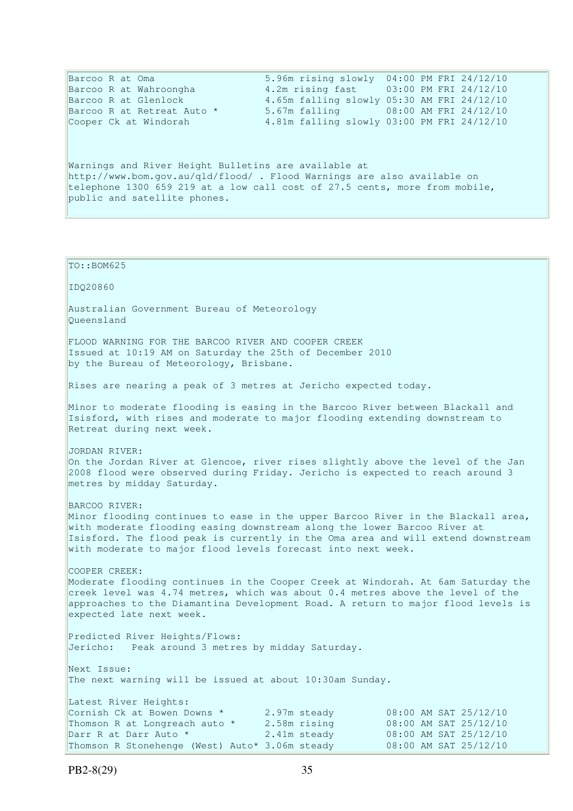| Barcoo R at Oma                                                            | 5.96m rising slowly 04:00 PM FRI 24/12/10  |
|----------------------------------------------------------------------------|--------------------------------------------|
| Barcoo R at Wahroongha                                                     | 4.2m rising fast 03:00 PM FRI 24/12/10     |
| Barcoo R at Glenlock                                                       | 4.65m falling slowly 05:30 AM FRI 24/12/10 |
| Barcoo R at Retreat Auto *                                                 | 5.67m falling 08:00 AM FRI 24/12/10        |
| Cooper Ck at Windorah                                                      | 4.81m falling slowly 03:00 PM FRI 24/12/10 |
|                                                                            |                                            |
| Warnings and River Height Bulletins are available at                       |                                            |
| http://www.bom.gov.au/gld/flood/ . Flood Warnings are also available on    |                                            |
| telephone 1300 659 219 at a low call cost of 27.5 cents, more from mobile, |                                            |
| public and satellite phones.                                               |                                            |

TO::BOM625 IDQ20860 Australian Government Bureau of Meteorology Queensland FLOOD WARNING FOR THE BARCOO RIVER AND COOPER CREEK Issued at 10:19 AM on Saturday the 25th of December 2010 by the Bureau of Meteorology, Brisbane. Rises are nearing a peak of 3 metres at Jericho expected today. Minor to moderate flooding is easing in the Barcoo River between Blackall and Isisford, with rises and moderate to major flooding extending downstream to Retreat during next week. JORDAN RIVER: On the Jordan River at Glencoe, river rises slightly above the level of the Jan 2008 flood were observed during Friday. Jericho is expected to reach around 3 metres by midday Saturday. BARCOO RIVER: Minor flooding continues to ease in the upper Barcoo River in the Blackall area, with moderate flooding easing downstream along the lower Barcoo River at Isisford. The flood peak is currently in the Oma area and will extend downstream with moderate to major flood levels forecast into next week. COOPER CREEK: Moderate flooding continues in the Cooper Creek at Windorah. At 6am Saturday the creek level was 4.74 metres, which was about 0.4 metres above the level of the approaches to the Diamantina Development Road. A return to major flood levels is expected late next week. Predicted River Heights/Flows: Jericho: Peak around 3 metres by midday Saturday. Next Issue: The next warning will be issued at about 10:30am Sunday. Latest River Heights: Cornish Ck at Bowen Downs  $*$  2.97m steady 08:00 AM SAT 25/12/10 Thomson R at Longreach auto  $*$  2.58m rising 08:00 AM SAT 25/12/10 Darr R at Darr Auto \*  $2.41m$  steady  $08:00$  AM SAT  $25/12/10$ Thomson R Stonehenge (West)  $Aut \circ^* 3.06m$  steady 08:00 AM SAT 25/12/10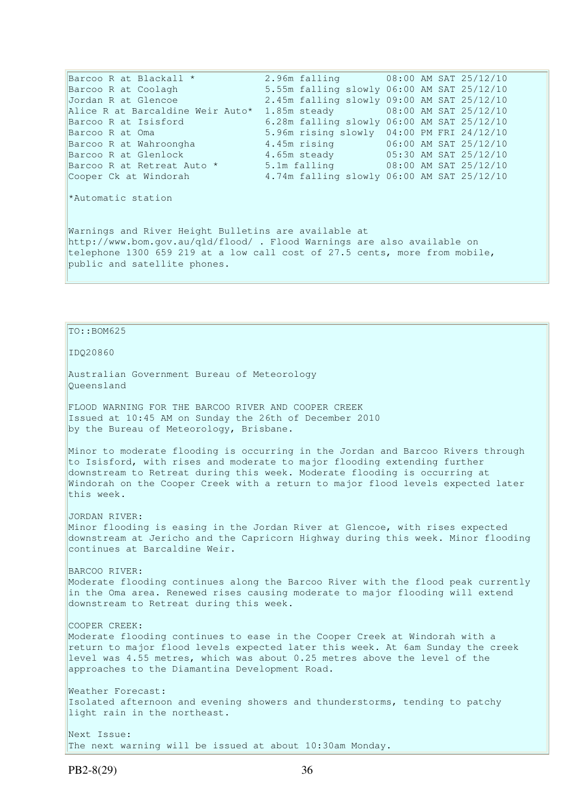Barcoo R at Blackall \* 2.96m falling 08:00 AM SAT 25/12/10 Barcoo R at Coolagh 5.55m falling slowly 06:00 AM SAT 25/12/10 Jordan R at Glencoe 2.45m falling slowly 09:00 AM SAT 25/12/10 Alice R at Barcaldine Weir Auto\* 1.85m steady 08:00 AM SAT 25/12/10 Barcoo R at Isisford 6.28m falling slowly 06:00 AM SAT 25/12/10 Barcoo R at Oma 5.96m rising slowly 04:00 PM FRI 24/12/10 Barcoo R at Wahroongha 4.45m rising 06:00 AM SAT 25/12/10 Barcoo R at Glenlock 4.65m steady 05:30 AM SAT 25/12/10 Barcoo R at Retreat Auto \* 5.1m falling 08:00 AM SAT 25/12/10 Cooper Ck at Windorah 4.74m falling slowly 06:00 AM SAT 25/12/10 \*Automatic station Warnings and River Height Bulletins are available at http://www.bom.gov.au/qld/flood/ . Flood Warnings are also available on telephone 1300 659 219 at a low call cost of 27.5 cents, more from mobile, public and satellite phones.

### $To::BOM625$

IDQ20860

Australian Government Bureau of Meteorology Queensland

FLOOD WARNING FOR THE BARCOO RIVER AND COOPER CREEK Issued at 10:45 AM on Sunday the 26th of December 2010 by the Bureau of Meteorology, Brisbane.

Minor to moderate flooding is occurring in the Jordan and Barcoo Rivers through to Isisford, with rises and moderate to major flooding extending further downstream to Retreat during this week. Moderate flooding is occurring at Windorah on the Cooper Creek with a return to major flood levels expected later this week.

JORDAN RIVER: Minor flooding is easing in the Jordan River at Glencoe, with rises expected downstream at Jericho and the Capricorn Highway during this week. Minor flooding continues at Barcaldine Weir.

BARCOO RIVER: Moderate flooding continues along the Barcoo River with the flood peak currently in the Oma area. Renewed rises causing moderate to major flooding will extend downstream to Retreat during this week.

COOPER CREEK: Moderate flooding continues to ease in the Cooper Creek at Windorah with a return to major flood levels expected later this week. At 6am Sunday the creek level was 4.55 metres, which was about 0.25 metres above the level of the approaches to the Diamantina Development Road.

Weather Forecast: Isolated afternoon and evening showers and thunderstorms, tending to patchy light rain in the northeast.

Next Issue: The next warning will be issued at about 10:30am Monday.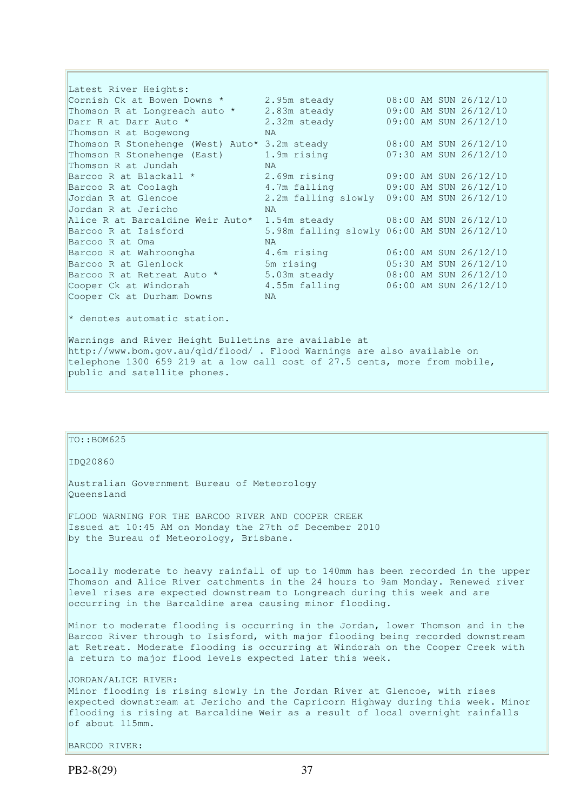Latest River Heights: Cornish Ck at Bowen Downs  $\star$  2.95m steady 08:00 AM SUN 26/12/10 Thomson R at Longreach auto \* 2.83m steady 09:00 AM SUN 26/12/10 Darr R at Darr Auto \* 2.32m steady 09:00 AM SUN 26/12/10 Thomson R at Bogewong NA Thomson R Stonehenge (West) Auto\* 3.2m steady 08:00 AM SUN 26/12/10 Thomson R Stonehenge (East) 1.9m rising 07:30 AM SUN 26/12/10 Thomson R at Jundah NA Barcoo R at Blackall \* 2.69m rising 09:00 AM SUN 26/12/10 Barcoo R at Coolagh 4.7m falling 09:00 AM SUN 26/12/10 Jordan R at Glencoe 2.2m falling slowly 09:00 AM SUN 26/12/10 Jordan R at Jericho NA Alice R at Barcaldine Weir Auto\* 1.54m steady 08:00 AM SUN 26/12/10 Barcoo R at Isisford 5.98m falling slowly 06:00 AM SUN 26/12/10 Barcoo R at Oma NA Barcoo R at Wahroongha 4.6m rising 06:00 AM SUN 26/12/10 Barcoo R at Glenlock 5m rising 05:30 AM SUN 26/12/10 Barcoo R at Retreat Auto  $*$  5.03m steady 68:00 AM SUN 26/12/10 Cooper Ck at Windorah 4.55m falling 06:00 AM SUN 26/12/10 Cooper Ck at Durham Downs NA \* denotes automatic station.

Warnings and River Height Bulletins are available at http://www.bom.gov.au/qld/flood/ . Flood Warnings are also available on telephone 1300 659 219 at a low call cost of 27.5 cents, more from mobile, public and satellite phones.

| TO::BOM625                                                                                                                                                                                                                                                                                                        |
|-------------------------------------------------------------------------------------------------------------------------------------------------------------------------------------------------------------------------------------------------------------------------------------------------------------------|
| ID020860                                                                                                                                                                                                                                                                                                          |
| Australian Government Bureau of Meteorology<br>Oueensland                                                                                                                                                                                                                                                         |
| FLOOD WARNING FOR THE BARCOO RIVER AND COOPER CREEK<br>Issued at 10:45 AM on Monday the 27th of December 2010<br>by the Bureau of Meteorology, Brisbane.                                                                                                                                                          |
| Locally moderate to heavy rainfall of up to 140mm has been recorded in the upper<br>Thomson and Alice River catchments in the 24 hours to 9am Monday. Renewed river<br>level rises are expected downstream to Longreach during this week and are<br>occurring in the Barcaldine area causing minor flooding.      |
| Minor to moderate flooding is occurring in the Jordan, lower Thomson and in the<br>Barcoo River through to Isisford, with major flooding being recorded downstream<br>at Retreat. Moderate flooding is occurring at Windorah on the Cooper Creek with<br>a return to major flood levels expected later this week. |
| JORDAN/ALICE RIVER:<br>Minor flooding is rising slowly in the Jordan River at Glencoe, with rises<br>expected downstream at Jericho and the Capricorn Highway during this week. Minor<br>flooding is rising at Barcaldine Weir as a result of local overnight rainfalls<br>of about 115mm.                        |

BARCOO RIVER: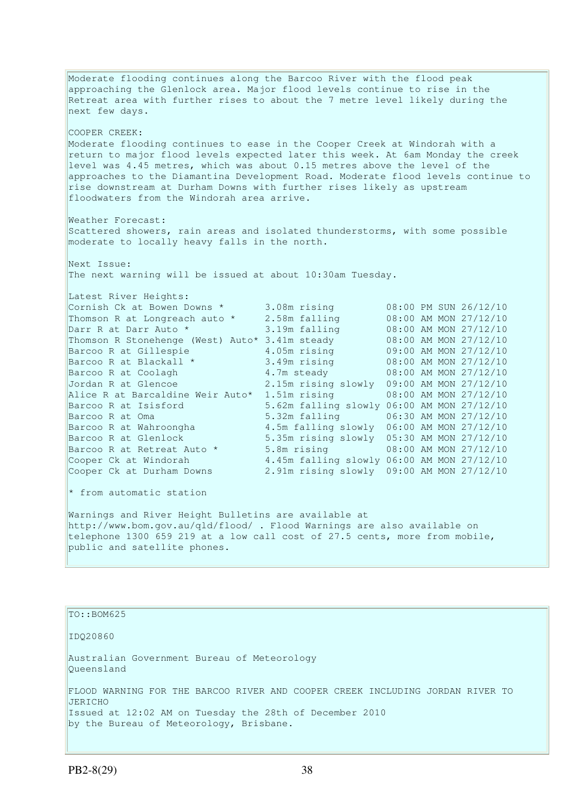Moderate flooding continues along the Barcoo River with the flood peak approaching the Glenlock area. Major flood levels continue to rise in the Retreat area with further rises to about the 7 metre level likely during the next few days. COOPER CREEK: Moderate flooding continues to ease in the Cooper Creek at Windorah with a return to major flood levels expected later this week. At 6am Monday the creek level was 4.45 metres, which was about 0.15 metres above the level of the approaches to the Diamantina Development Road. Moderate flood levels continue to rise downstream at Durham Downs with further rises likely as upstream floodwaters from the Windorah area arrive. Weather Forecast: Scattered showers, rain areas and isolated thunderstorms, with some possible moderate to locally heavy falls in the north. Next Issue: The next warning will be issued at about 10:30am Tuesday. Latest River Heights: Cornish Ck at Bowen Downs  $*$  3.08m rising Cornish Ck at Bowen Downs \* 3.08m rising  $\begin{array}{l} 0.300 \text{ P N} \text{ SUN } 26/12/10 \\ \text{Thomson R at Longreach auto * } 2.58 \text{ m falling} \\ \text{Darr R at Darr Auto * } 3.19 \text{ m falling} \\ \end{array}$ Darr R at Darr Auto \* 3.19m falling 08:00 AM MON 27/12/10 Thomson R Stonehenge (West) Auto\* 3.41m steady 08:00 AM MON 27/12/10 Barcoo R at Gillespie 4.05m rising 09:00 AM MON 27/12/10 Barcoo R at Blackall \* 3.49m rising 08:00 AM MON 27/12/10 Barcoo R at Coolagh 4.7m steady 08:00 AM MON 27/12/10 Barcoo R at Coolagh 2.7m steady 3.00 AM MON 27/12/10<br>Jordan R at Glencoe 2.15m rising slowly 09:00 AM MON 27/12/10 Alice R at Barcaldine Weir Auto\* 1.51m rising 08:00 AM MON 27/12/10<br>Barcoo R at Isisford 5.62m falling slowly 06:00 AM MON 27/12/10 8.62m falling slowly 06:00 AM MON 27/12/10<br>5.32m falling 06:30 AM MON 27/12/10<br>4.5m falling slowly 06:00 AM MON 27/12/10 Barcoo R at Oma 5.32m falling 06:30 AM MON 27/12/10 Barcoo R at Wahroongha 4.5m falling slowly 06:00 AM MON 27/12/10 Barcoo R at Glenlock 5.35m rising slowly 05:30 AM MON 27/12/10 Barcoo R at Retreat Auto \* 5.8m rising 68:00 AM MON 27/12/10 Cooper Ck at Windorah 4.45m falling slowly 06:00 AM MON 27/12/10 Cooper Ck at Durham Downs 2.91m rising slowly 09:00 AM MON 27/12/10  $*$  from automatic station Warnings and River Height Bulletins are available at http://www.bom.gov.au/qld/flood/ . Flood Warnings are also available on telephone 1300 659 219 at a low call cost of 27.5 cents, more from mobile, public and satellite phones.

TO::BOM625 IDQ20860 Australian Government Bureau of Meteorology Queensland FLOOD WARNING FOR THE BARCOO RIVER AND COOPER CREEK INCLUDING JORDAN RIVER TO JERICHO Issued at 12:02 AM on Tuesday the 28th of December 2010 by the Bureau of Meteorology, Brisbane.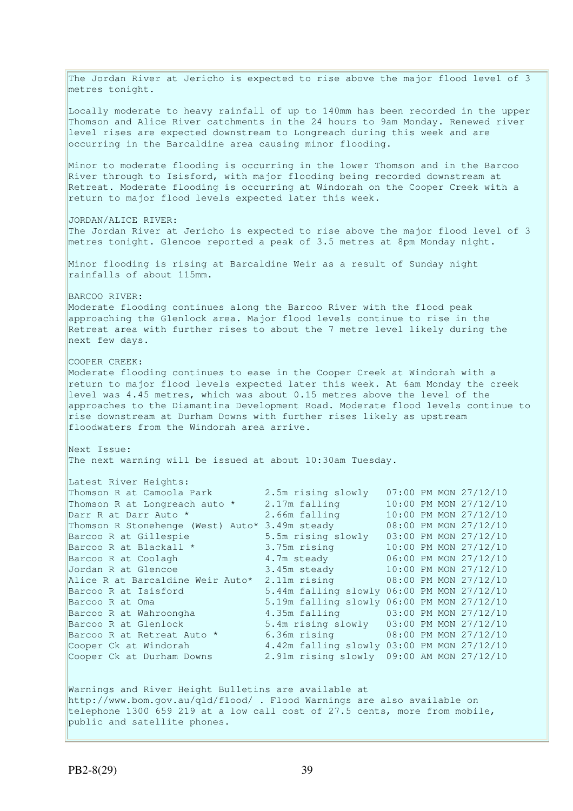The Jordan River at Jericho is expected to rise above the major flood level of 3 metres tonight. Locally moderate to heavy rainfall of up to 140mm has been recorded in the upper Thomson and Alice River catchments in the 24 hours to 9am Monday. Renewed river level rises are expected downstream to Longreach during this week and are occurring in the Barcaldine area causing minor flooding. Minor to moderate flooding is occurring in the lower Thomson and in the Barcoo River through to Isisford, with major flooding being recorded downstream at Retreat. Moderate flooding is occurring at Windorah on the Cooper Creek with a return to major flood levels expected later this week. JORDAN/ALICE RIVER: The Jordan River at Jericho is expected to rise above the major flood level of 3 metres tonight. Glencoe reported a peak of 3.5 metres at 8pm Monday night. Minor flooding is rising at Barcaldine Weir as a result of Sunday night rainfalls of about 115mm. BARCOO RIVER: Moderate flooding continues along the Barcoo River with the flood peak approaching the Glenlock area. Major flood levels continue to rise in the Retreat area with further rises to about the 7 metre level likely during the next few days. COOPER CREEK: Moderate flooding continues to ease in the Cooper Creek at Windorah with a return to major flood levels expected later this week. At 6am Monday the creek level was 4.45 metres, which was about 0.15 metres above the level of the approaches to the Diamantina Development Road. Moderate flood levels continue to rise downstream at Durham Downs with further rises likely as upstream floodwaters from the Windorah area arrive. Next Issue: The next warning will be issued at about 10:30am Tuesday. Latest River Heights: Thomson R at Camoola Park 2.5m rising slowly 07:00 PM MON 27/12/10 Thomson R at Longreach auto \* 2.17m falling 10:00 PM MON 27/12/10 Darr R at Darr Auto \* 2.66m falling 10:00 PM MON 27/12/10 Thomson R Stonehenge (West) Auto\* 3.49m steady 08:00 PM MON 27/12/10 Barcoo R at Gillespie 5.5m rising slowly 03:00 PM MON 27/12/10 Barcoo R at Blackall \* 3.75m rising 10:00 PM MON 27/12/10 Barcoo R at Coolagh 4.7m steady 06:00 PM MON 27/12/10 Jordan R at Glencoe 3.45m steady 10:00 PM MON 27/12/10 Alice R at Barcaldine Weir Auto\* 2.11m rising 08:00 PM MON 27/12/10 Barcoo R at Isisford 5.44m falling slowly 06:00 PM MON 27/12/10 Barcoo R at Oma 5.19m falling slowly 06:00 PM MON 27/12/10<br>Barcoo R at Wahroongha 4.35m falling 03:00 PM MON 27/12/10 8.135m falling 0.000 PM MON 27/12/10 Barcoo R at Glenlock 5.4m rising slowly 03:00 PM MON 27/12/10 Barcoo R at Retreat Auto \* 6.36m rising 08:00 PM MON 27/12/10 Cooper Ck at Windorah 4.42m falling slowly 03:00 PM MON 27/12/10 Cooper Ck at Durham Downs 2.91m rising slowly 09:00 AM MON 27/12/10 Warnings and River Height Bulletins are available at http://www.bom.gov.au/qld/flood/ . Flood Warnings are also available on telephone 1300 659 219 at a low call cost of 27.5 cents, more from mobile, public and satellite phones.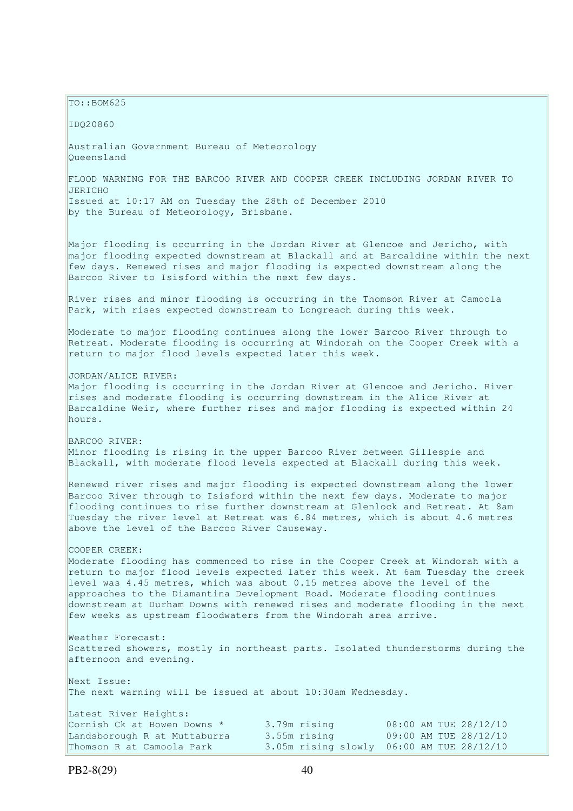$TO: **ROM625**$ 

IDQ20860

Australian Government Bureau of Meteorology Queensland

FLOOD WARNING FOR THE BARCOO RIVER AND COOPER CREEK INCLUDING JORDAN RIVER TO JERICHO Issued at 10:17 AM on Tuesday the 28th of December 2010 by the Bureau of Meteorology, Brisbane.

Major flooding is occurring in the Jordan River at Glencoe and Jericho, with major flooding expected downstream at Blackall and at Barcaldine within the next few days. Renewed rises and major flooding is expected downstream along the Barcoo River to Isisford within the next few days.

River rises and minor flooding is occurring in the Thomson River at Camoola Park, with rises expected downstream to Longreach during this week.

Moderate to major flooding continues along the lower Barcoo River through to Retreat. Moderate flooding is occurring at Windorah on the Cooper Creek with a return to major flood levels expected later this week.

JORDAN/ALICE RIVER:

Major flooding is occurring in the Jordan River at Glencoe and Jericho. River rises and moderate flooding is occurring downstream in the Alice River at Barcaldine Weir, where further rises and major flooding is expected within 24 hours.

BARCOO RIVER: Minor flooding is rising in the upper Barcoo River between Gillespie and Blackall, with moderate flood levels expected at Blackall during this week.

Renewed river rises and major flooding is expected downstream along the lower Barcoo River through to Isisford within the next few days. Moderate to major flooding continues to rise further downstream at Glenlock and Retreat. At 8am Tuesday the river level at Retreat was 6.84 metres, which is about 4.6 metres above the level of the Barcoo River Causeway.

#### COOPER CREEK:

Moderate flooding has commenced to rise in the Cooper Creek at Windorah with a return to major flood levels expected later this week. At 6am Tuesday the creek level was 4.45 metres, which was about 0.15 metres above the level of the approaches to the Diamantina Development Road. Moderate flooding continues downstream at Durham Downs with renewed rises and moderate flooding in the next few weeks as upstream floodwaters from the Windorah area arrive.

Weather Forecast: Scattered showers, mostly in northeast parts. Isolated thunderstorms during the afternoon and evening.

Next Issue: The next warning will be issued at about 10:30am Wednesday.

| Latest River Heights:        |              |                                           |
|------------------------------|--------------|-------------------------------------------|
| Cornish Ck at Bowen Downs *  | 3.79m rising | 08:00 AM TUE 28/12/10                     |
| Landsborough R at Muttaburra | 3.55m rising | 09:00 AM TUE 28/12/10                     |
| Thomson R at Camoola Park    |              | 3.05m rising slowly 06:00 AM TUE 28/12/10 |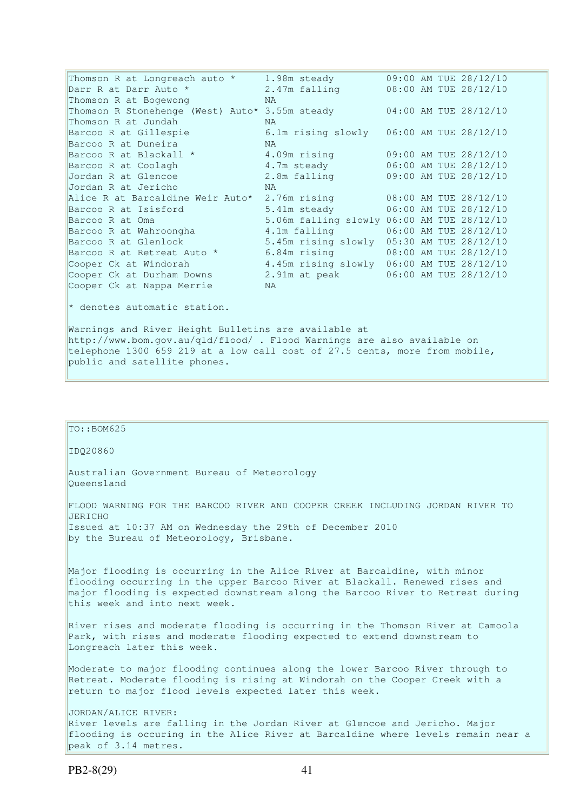Thomson R at Longreach auto \* 1.98m steady 09:00 AM TUE 28/12/10 Darr R at Darr Auto \* 2.47m falling 08:00 AM TUE 28/12/10 Thomson R at Bogewong NAT NAT NATE AND RESERVE TO MA Thomson R Stonehenge (West) Auto\* 3.55m steady 04:00 AM TUE 28/12/10 Thomson R at Jundah NA Barcoo R at Gillespie 6.1m rising slowly 06:00 AM TUE 28/12/10 Barcoo R at Duneira MA<br>Barcoo R at Blackall \* 4.09m rising Barcoo K at Duneira<br>Barcoo R at Blackall \* 4.09m rising 09:00 AM TUE 28/12/10<br>Barcoo R at Coolagh 1.7m steady 06:00 AM TUE 28/12/10 Barcoo R at Coolagh 1.7m steady 06:00 AM TUE 28/12/10<br>Jordan R at Glencoe 2.8m falling 09:00 AM TUE 28/12/10 09:00 AM TUE 28/12/10 Jordan R at Jericho MA<br>Alice R at Barcaldine Weir Auto\* 2.76m rising Alice R at Barcaldine Weir Auto\* 2.76m rising 08:00 AM TUE 28/12/10 Barcoo R at Isisford 5.41m steady 06:00 AM TUE 28/12/10 Barcoo R at Oma 5.06m falling slowly 06:00 AM TUE 28/12/10<br>Barcoo R at Wahroongha 4.1m falling 06:00 AM TUE 28/12/10 Barcoo R at Wahroongha 4.1m falling 06:00 AM TUE 28/12/10 Barcoo R at Glenlock 5.45m rising slowly 05:30 AM TUE 28/12/10 Barcoo R at Retreat Auto \* 6.84m rising 68:00 AM TUE 28/12/10 Cooper Ck at Windorah 4.45m rising slowly 06:00 AM TUE 28/12/10 Cooper Ck at Durham Downs 2.91m at peak 06:00 AM TUE 28/12/10 Cooper Ck at Nappa Merrie NA \* denotes automatic station. Warnings and River Height Bulletins are available at http://www.bom.gov.au/qld/flood/ . Flood Warnings are also available on telephone 1300 659 219 at a low call cost of 27.5 cents, more from mobile, public and satellite phones.

TO::BOM625 IDQ20860 Australian Government Bureau of Meteorology Queensland FLOOD WARNING FOR THE BARCOO RIVER AND COOPER CREEK INCLUDING JORDAN RIVER TO JERICHO Issued at 10:37 AM on Wednesday the 29th of December 2010 by the Bureau of Meteorology, Brisbane. Major flooding is occurring in the Alice River at Barcaldine, with minor flooding occurring in the upper Barcoo River at Blackall. Renewed rises and major flooding is expected downstream along the Barcoo River to Retreat during this week and into next week. River rises and moderate flooding is occurring in the Thomson River at Camoola Park, with rises and moderate flooding expected to extend downstream to Longreach later this week. Moderate to major flooding continues along the lower Barcoo River through to Retreat. Moderate flooding is rising at Windorah on the Cooper Creek with a return to major flood levels expected later this week. JORDAN/ALICE RIVER: River levels are falling in the Jordan River at Glencoe and Jericho. Major flooding is occuring in the Alice River at Barcaldine where levels remain near a peak of 3.14 metres.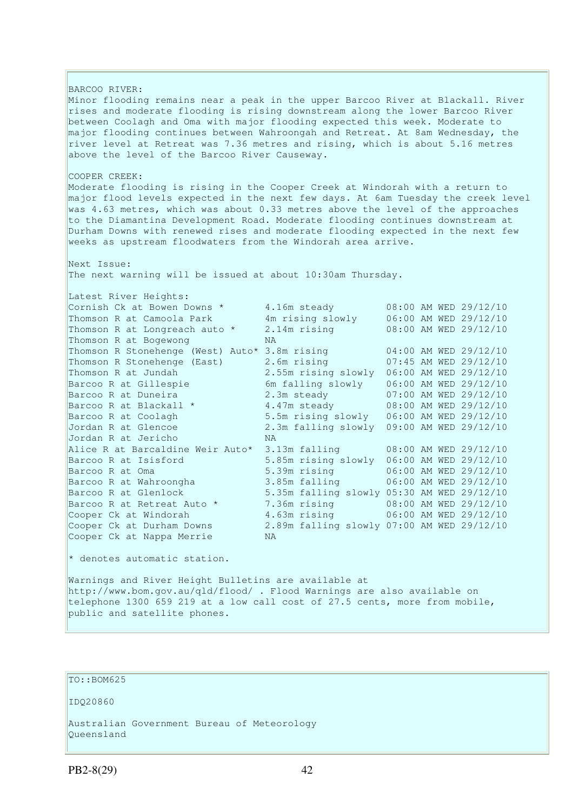BARCOO RIVER: Minor flooding remains near a peak in the upper Barcoo River at Blackall. River rises and moderate flooding is rising downstream along the lower Barcoo River between Coolagh and Oma with major flooding expected this week. Moderate to major flooding continues between Wahroongah and Retreat. At 8am Wednesday, the river level at Retreat was 7.36 metres and rising, which is about 5.16 metres above the level of the Barcoo River Causeway. COOPER CREEK: Moderate flooding is rising in the Cooper Creek at Windorah with a return to major flood levels expected in the next few days. At 6am Tuesday the creek level was 4.63 metres, which was about 0.33 metres above the level of the approaches to the Diamantina Development Road. Moderate flooding continues downstream at Durham Downs with renewed rises and moderate flooding expected in the next few weeks as upstream floodwaters from the Windorah area arrive. Next Issue: The next warning will be issued at about 10:30am Thursday. Latest River Heights: Cornish Ck at Bowen Downs  $*$  4.16m steady 68:00 AM WED 29/12/10 Thomson R at Camoola Park 4m rising slowly 06:00 AM WED 29/12/10 Thomson R at Longreach auto \* 2.14m rising 08:00 AM WED 29/12/10 Thomson R at Bogewong NA Thomson R Stonehenge (West) Auto\* 3.8m rising 04:00 AM WED 29/12/10 Thomson R Stonehenge (East) 2.6m rising 07:45 AM WED 29/12/10 Thomson R at Jundah 2.55m rising slowly 06:00 AM WED 29/12/10 Barcoo R at Gillespie 6m falling slowly 06:00 AM WED 29/12/10 Barcoo R at Duneira 2.3m steady 07:00 AM WED 29/12/10 Barcoo R at Blackall \* 4.47m steady 08:00 AM WED 29/12/10 Barcoo R at Coolagh 5.5m rising slowly 06:00 AM WED 29/12/10 Jordan R at Glencoe 2.3m falling slowly 09:00 AM WED 29/12/10 Jordan R at Jericho NA Alice R at Barcaldine Weir Auto\* 3.13m falling 08:00 AM WED 29/12/10 Barcoo R at Isisford 5.85m rising slowly 06:00 AM WED 29/12/10 Barcoo R at Oma 5.39m rising 06:00 AM WED 29/12/10 Barcoo R at Wahroongha 3.85m falling 06:00 AM WED 29/12/10 Barcoo R at Glenlock 5.35m falling slowly 05:30 AM WED 29/12/10 Barcoo R at Retreat Auto \* 7.36m rising 08:00 AM WED 29/12/10 Cooper Ck at Windorah 4.63m rising 06:00 AM WED 29/12/10 Cooper Ck at Durham Downs 2.89m falling slowly 07:00 AM WED 29/12/10 Cooper Ck at Nappa Merrie NA  $*$  denotes automatic station. Warnings and River Height Bulletins are available at http://www.bom.gov.au/qld/flood/ . Flood Warnings are also available on telephone 1300 659 219 at a low call cost of 27.5 cents, more from mobile,

```
public and satellite phones.
```
## TO::BOM625

IDQ20860

Australian Government Bureau of Meteorology Queensland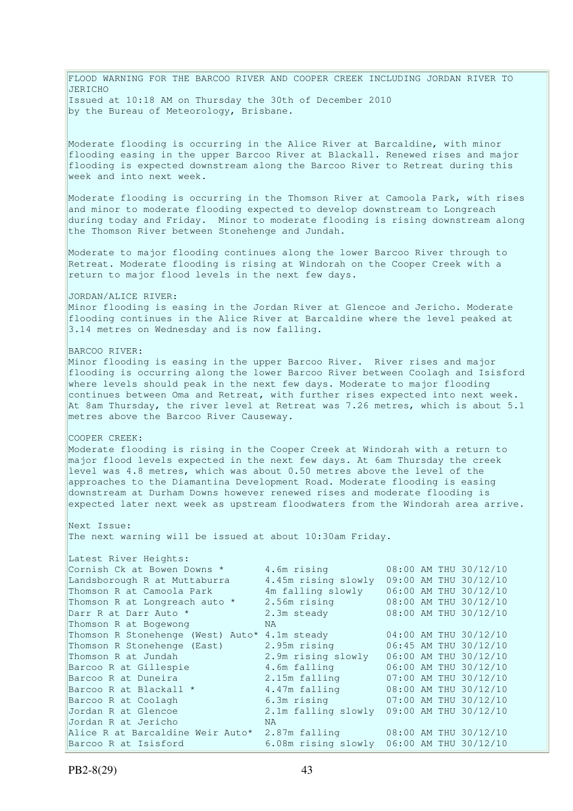FLOOD WARNING FOR THE BARCOO RIVER AND COOPER CREEK INCLUDING JORDAN RIVER TO JERICHO Issued at 10:18 AM on Thursday the 30th of December 2010 by the Bureau of Meteorology, Brisbane. Moderate flooding is occurring in the Alice River at Barcaldine, with minor flooding easing in the upper Barcoo River at Blackall. Renewed rises and major flooding is expected downstream along the Barcoo River to Retreat during this week and into next week. Moderate flooding is occurring in the Thomson River at Camoola Park, with rises and minor to moderate flooding expected to develop downstream to Longreach during today and Friday. Minor to moderate flooding is rising downstream along the Thomson River between Stonehenge and Jundah. Moderate to major flooding continues along the lower Barcoo River through to Retreat. Moderate flooding is rising at Windorah on the Cooper Creek with a return to major flood levels in the next few days. JORDAN/ALICE RIVER: Minor flooding is easing in the Jordan River at Glencoe and Jericho. Moderate flooding continues in the Alice River at Barcaldine where the level peaked at 3.14 metres on Wednesday and is now falling. BARCOO RIVER: Minor flooding is easing in the upper Barcoo River. River rises and major flooding is occurring along the lower Barcoo River between Coolagh and Isisford where levels should peak in the next few days. Moderate to major flooding continues between Oma and Retreat, with further rises expected into next week. At 8am Thursday, the river level at Retreat was 7.26 metres, which is about 5.1 metres above the Barcoo River Causeway. COOPER CREEK: Moderate flooding is rising in the Cooper Creek at Windorah with a return to major flood levels expected in the next few days. At 6am Thursday the creek level was 4.8 metres, which was about 0.50 metres above the level of the approaches to the Diamantina Development Road. Moderate flooding is easing downstream at Durham Downs however renewed rises and moderate flooding is expected later next week as upstream floodwaters from the Windorah area arrive. Next Issue: The next warning will be issued at about 10:30am Friday. Latest River Heights:<br>Cornish Ck at Bowen Downs \* Cornish Ck at Bowen Downs  $*$  4.6m rising  $08:00$  AM THU 30/12/10 Landsborough R at Muttaburra 4.45m rising slowly 09:00 AM THU 30/12/10 Thomson R at Camoola Park 4m falling slowly 06:00 AM THU 30/12/10 Thomson R at Longreach auto \* 2.56m rising 08:00 AM THU 30/12/10 Darr R at Darr Auto \* 2.3m steady 08:00 AM THU 30/12/10 Thomson R at Bogewong NA Thomson R Stonehenge (West) Auto\* 4.1m steady 04:00 AM THU 30/12/10 Thomson R Stonehenge (East) 2.95m rising 06:45 AM THU 30/12/10 Thomson R at Jundah 2.9m rising slowly 06:00 AM THU 30/12/10 Barcoo R at Gillespie 4.6m falling 06:00 AM THU 30/12/10 Barcoo R at Duneira 2.15m falling 07:00 AM THU 30/12/10 Barcoo R at Blackall \* 4.47m falling 08:00 AM THU 30/12/10 Barcoo R at Coolagh 6.3m rising 07:00 AM THU 30/12/10 Jordan R at Glencoe 2.1m falling slowly 09:00 AM THU 30/12/10 Jordan R at Jericho NA Alice R at Barcaldine Weir Auto\* 2.87m falling 08:00 AM THU 30/12/10 Barcoo R at Isisford 6.08m rising slowly 06:00 AM THU 30/12/10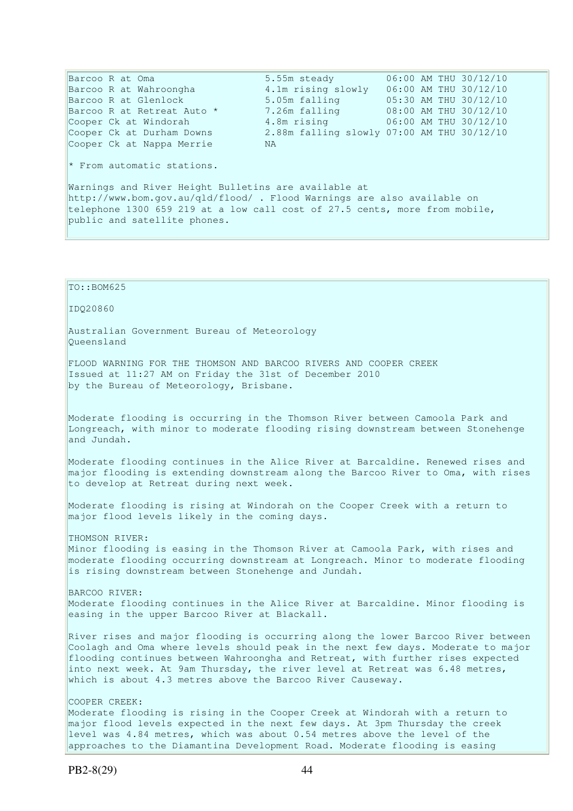Cooper Ck at Nappa Merrie MA

Barcoo R at Oma 5.55m steady 06:00 AM THU 30/12/10 Barcoo R at Wahroongha 4.1m rising slowly 06:00 AM THU 30/12/10 Barcoo R at Glenlock 5.05m falling 05:30 AM THU 30/12/10 Barcoo R at Retreat Auto \* 7.26m falling 08:00 AM THU 30/12/10 Barcoo R at Retreat Auto \*  $7.26$ m falling  $08:00$  AM THU 30/12/10<br>Cooper Ck at Windorah  $4.8$ m rising  $06:00$  AM THU 30/12/10 Cooper Ck at Durham Downs 2.88m falling slowly 07:00 AM THU 30/12/10

\* From automatic stations.

Warnings and River Height Bulletins are available at http://www.bom.gov.au/qld/flood/ . Flood Warnings are also available on telephone 1300 659 219 at a low call cost of 27.5 cents, more from mobile, public and satellite phones.

TO::BOM625 IDQ20860 Australian Government Bureau of Meteorology Queensland FLOOD WARNING FOR THE THOMSON AND BARCOO RIVERS AND COOPER CREEK Issued at 11:27 AM on Friday the 31st of December 2010 by the Bureau of Meteorology, Brisbane. Moderate flooding is occurring in the Thomson River between Camoola Park and Longreach, with minor to moderate flooding rising downstream between Stonehenge and Jundah. Moderate flooding continues in the Alice River at Barcaldine. Renewed rises and major flooding is extending downstream along the Barcoo River to Oma, with rises to develop at Retreat during next week. Moderate flooding is rising at Windorah on the Cooper Creek with a return to major flood levels likely in the coming days. THOMSON RIVER: Minor flooding is easing in the Thomson River at Camoola Park, with rises and moderate flooding occurring downstream at Longreach. Minor to moderate flooding is rising downstream between Stonehenge and Jundah. BARCOO RIVER: Moderate flooding continues in the Alice River at Barcaldine. Minor flooding is easing in the upper Barcoo River at Blackall. River rises and major flooding is occurring along the lower Barcoo River between Coolagh and Oma where levels should peak in the next few days. Moderate to major flooding continues between Wahroongha and Retreat, with further rises expected into next week. At 9am Thursday, the river level at Retreat was 6.48 metres, which is about 4.3 metres above the Barcoo River Causeway. COOPER CREEK: Moderate flooding is rising in the Cooper Creek at Windorah with a return to major flood levels expected in the next few days. At 3pm Thursday the creek level was 4.84 metres, which was about 0.54 metres above the level of the

approaches to the Diamantina Development Road. Moderate flooding is easing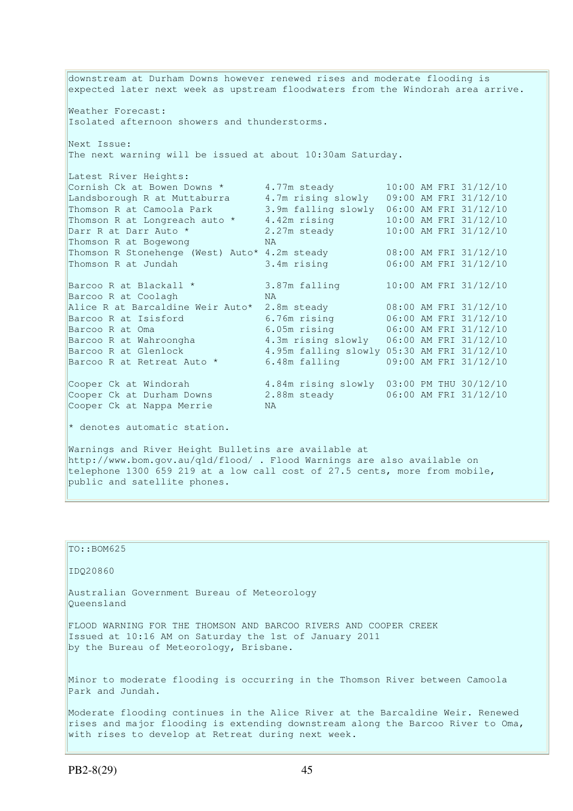downstream at Durham Downs however renewed rises and moderate flooding is expected later next week as upstream floodwaters from the Windorah area arrive. Weather Forecast: Isolated afternoon showers and thunderstorms. Next Issue: The next warning will be issued at about 10:30am Saturday. Latest River Heights: Cornish Ck at Bowen Downs  $\star$  4.77m steady 10:00 AM FRI 31/12/10 Landsborough R at Muttaburra 4.7m rising slowly 09:00 AM FRI 31/12/10 Thomson R at Camoola Park 3.9m falling slowly 06:00 AM FRI 31/12/10 Thomson R at Longreach auto  $*$  4.42m rising  $10:00$  AM FRI 31/12/10 Darr R at Darr Auto \* 2.27m steady 10:00 AM FRI 31/12/10 Thomson R at Bogewong NA Thomson R Stonehenge (West) Auto\* 4.2m steady 08:00 AM FRI 31/12/10 Thomson R at Jundah 3.4m rising 06:00 AM FRI 31/12/10 Barcoo R at Blackall  $*$  3.87m falling 10:00 AM FRI 31/12/10 Barcoo R at Coolagh NA Alice R at Barcaldine Weir Auto\* 2.8m steady 08:00 AM FRI 31/12/10 Barcoo R at Isisford 6.76m rising 06:00 AM FRI 31/12/10<br>Barcoo R at Oma Barcoo R at Oma 6.05m rising 06:00 AM FRI 31/12/10 Barcoo R at Wahroongha 4.3m rising slowly 06:00 AM FRI 31/12/10 Barcoo K at Guid<br>Barcoo R at Wahroongha 4.3m rising slowly 06:00 AM FRI 31/12/10<br>Barcoo R at Glenlock 4.95m falling slowly 05:30 AM FRI 31/12/10 Barcoo R at Retreat Auto \* 6.48m falling 09:00 AM FRI 31/12/10 Cooper Ck at Windorah 4.84m rising slowly 03:00 PM THU 30/12/10 Cooper Ck at Durham Downs 2.88m steady 06:00 AM FRI 31/12/10 Cooper Ck at Durham Downs (2.1)<br>Cooper Ck at Nappa Merrie NA  $*$  denotes automatic station. Warnings and River Height Bulletins are available at

http://www.bom.gov.au/qld/flood/ . Flood Warnings are also available on telephone 1300 659 219 at a low call cost of 27.5 cents, more from mobile, public and satellite phones.

TO::BOM625 IDQ20860 Australian Government Bureau of Meteorology Queensland FLOOD WARNING FOR THE THOMSON AND BARCOO RIVERS AND COOPER CREEK Issued at 10:16 AM on Saturday the 1st of January 2011 by the Bureau of Meteorology, Brisbane. Minor to moderate flooding is occurring in the Thomson River between Camoola Park and Jundah. Moderate flooding continues in the Alice River at the Barcaldine Weir. Renewed rises and major flooding is extending downstream along the Barcoo River to Oma, with rises to develop at Retreat during next week.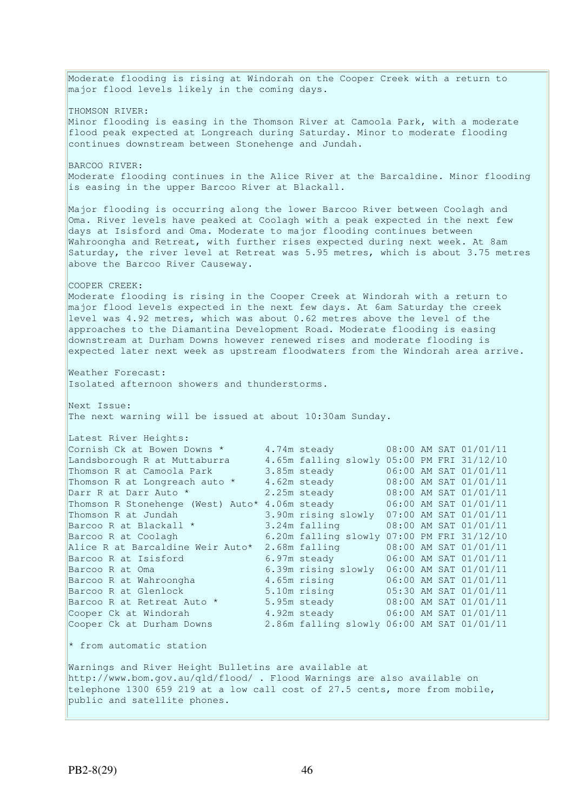Moderate flooding is rising at Windorah on the Cooper Creek with a return to major flood levels likely in the coming days. THOMSON RIVER: Minor flooding is easing in the Thomson River at Camoola Park, with a moderate flood peak expected at Longreach during Saturday. Minor to moderate flooding continues downstream between Stonehenge and Jundah. BARCOO RIVER: Moderate flooding continues in the Alice River at the Barcaldine. Minor flooding is easing in the upper Barcoo River at Blackall. Major flooding is occurring along the lower Barcoo River between Coolagh and Oma. River levels have peaked at Coolagh with a peak expected in the next few days at Isisford and Oma. Moderate to major flooding continues between Wahroongha and Retreat, with further rises expected during next week. At 8am Saturday, the river level at Retreat was 5.95 metres, which is about 3.75 metres above the Barcoo River Causeway. COOPER CREEK: Moderate flooding is rising in the Cooper Creek at Windorah with a return to major flood levels expected in the next few days. At 6am Saturday the creek level was 4.92 metres, which was about 0.62 metres above the level of the approaches to the Diamantina Development Road. Moderate flooding is easing downstream at Durham Downs however renewed rises and moderate flooding is expected later next week as upstream floodwaters from the Windorah area arrive. Weather Forecast: Isolated afternoon showers and thunderstorms. Next Issue: The next warning will be issued at about 10:30am Sunday. Latest River Heights: Cornish Ck at Bowen Downs  $\star$  4.74m steady 08:00 AM SAT 01/01/11 Landsborough R at Muttaburra 4.65m falling slowly 05:00 PM FRI 31/12/10 Thomson R at Camoola Park 3.85m steady 06:00 AM SAT 01/01/11<br>Thomson R at Longreach auto \* 4.62m steady 08:00 AM SAT 01/01/11<br>Darr R at Darr Auto \* 2.25m steady 08:00 AM SAT 01/01/11 Thomson R at Longreach auto  $*$ Darr R at Darr Auto \* 2.25m steady 08:00 AM SAT 01/01/11 Thomson R Stonehenge (West) Auto\* 4.06m steady 06:00 AM SAT 01/01/11 Thomson R at Jundah 3.90m rising slowly 07:00 AM SAT 01/01/11 Barcoo R at Blackall \* 3.24m falling 08:00 AM SAT 01/01/11 Barcoo R at Coolagh 6.20m falling slowly 07:00 PM FRI 31/12/10 Alice R at Barcaldine Weir Auto\* 2.68m falling 08:00 AM SAT 01/01/11 Barcoo R at Isisford 6.97m steady 06:00 AM SAT 01/01/11 Barcoo R at Oma 6.39m rising slowly 06:00 AM SAT 01/01/11<br>Barcoo R at Wahroongha 4.65m rising 06:00 AM SAT 01/01/11 4.65m rising 06:00 AM SAT 01/01/11 Barcoo R at Glenlock 5.10m rising 05:30 AM SAT 01/01/11 Barcoo R at Retreat Auto \* 5.95m steady 68:00 AM SAT 01/01/11 Cooper Ck at Windorah 4.92m steady 06:00 AM SAT 01/01/11 Cooper Ck at Durham Downs 2.86m falling slowly 06:00 AM SAT 01/01/11 Cooper Ck at Windorah<br>Cooper Ck at Durham Downs \* from automatic station Warnings and River Height Bulletins are available at http://www.bom.gov.au/qld/flood/ . Flood Warnings are also available on telephone 1300 659 219 at a low call cost of 27.5 cents, more from mobile, public and satellite phones.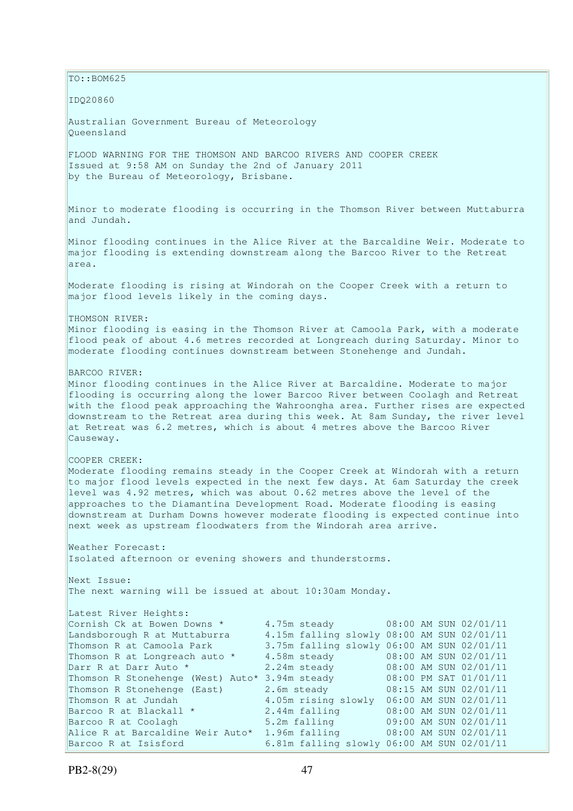TO::BOM625 IDQ20860 Australian Government Bureau of Meteorology Queensland FLOOD WARNING FOR THE THOMSON AND BARCOO RIVERS AND COOPER CREEK Issued at 9:58 AM on Sunday the 2nd of January 2011 by the Bureau of Meteorology, Brisbane. Minor to moderate flooding is occurring in the Thomson River between Muttaburra and Jundah. Minor flooding continues in the Alice River at the Barcaldine Weir. Moderate to major flooding is extending downstream along the Barcoo River to the Retreat area. Moderate flooding is rising at Windorah on the Cooper Creek with a return to major flood levels likely in the coming days. THOMSON RIVER: Minor flooding is easing in the Thomson River at Camoola Park, with a moderate flood peak of about 4.6 metres recorded at Longreach during Saturday. Minor to moderate flooding continues downstream between Stonehenge and Jundah. BARCOO RIVER: Minor flooding continues in the Alice River at Barcaldine. Moderate to major flooding is occurring along the lower Barcoo River between Coolagh and Retreat with the flood peak approaching the Wahroongha area. Further rises are expected downstream to the Retreat area during this week. At 8am Sunday, the river level at Retreat was 6.2 metres, which is about 4 metres above the Barcoo River Causeway. COOPER CREEK: Moderate flooding remains steady in the Cooper Creek at Windorah with a return to major flood levels expected in the next few days. At 6am Saturday the creek level was 4.92 metres, which was about 0.62 metres above the level of the approaches to the Diamantina Development Road. Moderate flooding is easing downstream at Durham Downs however moderate flooding is expected continue into next week as upstream floodwaters from the Windorah area arrive. Weather Forecast: Isolated afternoon or evening showers and thunderstorms. Next Issue: The next warning will be issued at about 10:30am Monday. Latest River Heights: Cornish Ck at Bowen Downs \* 4.75m steady 08:00 AM SUN 02/01/11 Landsborough R at Muttaburra 4.15m falling slowly 08:00 AM SUN 02/01/11 Thomson R at Camoola Park 3.75m falling slowly 06:00 AM SUN 02/01/11<br>Thomson R at Longreach auto \* 4.58m steady 08:00 AM SUN 02/01/11 Thomson R at Longreach auto \* 4.58m steady Darr R at Darr Auto \* 2.24m steady 08:00 AM SUN 02/01/11 Thomson R Stonehenge (West) Auto\* 3.94m steady 08:00 PM SAT 01/01/11 Thomson R Stonehenge (East) 2.6m steady 08:15 AM SUN 02/01/11 Thomson R at Jundah 4.05m rising slowly 06:00 AM SUN 02/01/11<br>Barcoo R at Blackall \* 2.44m falling 08:00 AM SUN 02/01/11 Barcoo R at Blackall \* 2.44m falling 08:00 AM SUN 02/01/11 Barcoo R at Coolagh 5.2m falling 09:00 AM SUN 02/01/11 Alice R at Barcaldine Weir Auto\* 1.96m falling 08:00 AM SUN 02/01/11 Barcoo R at Isisford 6.81m falling slowly 06:00 AM SUN 02/01/11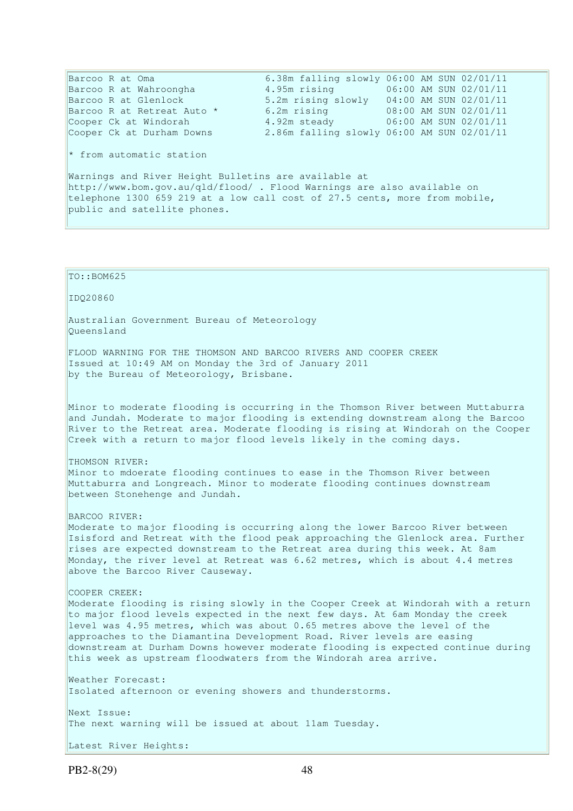Barcoo R at Oma 6.38m falling slowly 06:00 AM SUN 02/01/11 Barcoo R at Wahroongha 4.95m rising 06:00 AM SUN 02/01/11 Barcoo R at Wahroongha<br>Barcoo R at Glenlock 5.2m rising 5.00 AM SUN 02/01/11 Barcoo R at Retreat Auto \* 6.2m rising 68:00 AM SUN 02/01/11 Cooper Ck at Windorah 4.92m steady 06:00 AM SUN 02/01/11 Cooper Ck at Durham Downs 2.86m falling slowly 06:00 AM SUN 02/01/11  $*$  from automatic station Warnings and River Height Bulletins are available at http://www.bom.gov.au/qld/flood/ . Flood Warnings are also available on telephone 1300 659 219 at a low call cost of 27.5 cents, more from mobile, public and satellite phones. TO::BOM625 IDQ20860 Australian Government Bureau of Meteorology Queensland FLOOD WARNING FOR THE THOMSON AND BARCOO RIVERS AND COOPER CREEK Issued at 10:49 AM on Monday the 3rd of January 2011 by the Bureau of Meteorology, Brisbane. Minor to moderate flooding is occurring in the Thomson River between Muttaburra and Jundah. Moderate to major flooding is extending downstream along the Barcoo River to the Retreat area. Moderate flooding is rising at Windorah on the Cooper Creek with a return to major flood levels likely in the coming days. THOMSON RIVER: Minor to mdoerate flooding continues to ease in the Thomson River between Muttaburra and Longreach. Minor to moderate flooding continues downstream between Stonehenge and Jundah. BARCOO RIVER: Moderate to major flooding is occurring along the lower Barcoo River between Isisford and Retreat with the flood peak approaching the Glenlock area. Further rises are expected downstream to the Retreat area during this week. At 8am Monday, the river level at Retreat was 6.62 metres, which is about 4.4 metres above the Barcoo River Causeway. COOPER CREEK: Moderate flooding is rising slowly in the Cooper Creek at Windorah with a return to major flood levels expected in the next few days. At 6am Monday the creek level was 4.95 metres, which was about 0.65 metres above the level of the approaches to the Diamantina Development Road. River levels are easing downstream at Durham Downs however moderate flooding is expected continue during this week as upstream floodwaters from the Windorah area arrive.

Weather Forecast: Isolated afternoon or evening showers and thunderstorms. Next Issue:

The next warning will be issued at about 11am Tuesday.

Latest River Heights: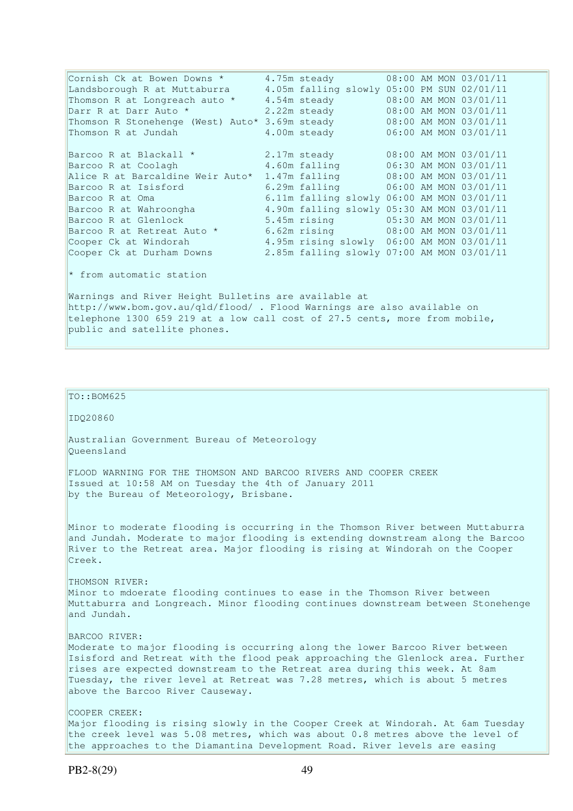Cornish Ck at Bowen Downs  $\star$  4.75m steady 08:00 AM MON 03/01/11 Landsborough R at Muttaburra 4.05m falling slowly 05:00 PM SUN 02/01/11 Thomson R at Longreach auto \* 4.54m steady 08:00 AM MON 03/01/11 Darr R at Darr Auto \* 2.22m steady 08:00 AM MON 03/01/11 Thomson R Stonehenge (West) Auto\* 3.69m steady 08:00 AM MON 03/01/11 Thomson R at Jundah 4.00m steady 06:00 AM MON 03/01/11 Barcoo R at Blackall \* 2.17m steady 08:00 AM MON 03/01/11 Barcoo R at Coolagh 4.60m falling 06:30 AM MON 03/01/11 Alice R at Barcaldine Weir Auto\* 1.47m falling 08:00 AM MON 03/01/11<br>Barcoo R at Isisford 6.29m falling 06:00 AM MON 03/01/11 1.3/m falling 06.00 AM MON 03/01/11<br>6.29m falling 06:00 AM MON 03/01/11 Barcoo R at Oma 6.11m falling slowly 06:00 AM MON 03/01/11<br>Barcoo R at Wahroongha 4.90m falling slowly 05:30 AM MON 03/01/11 4.90m falling slowly 05:30 AM MON 03/01/11 Barcoo R at Glenlock 5.45m rising 05:30 AM MON 03/01/11 Barcoo R at Retreat Auto \* 6.62m rising 08:00 AM MON 03/01/11 Cooper Ck at Windorah 4.95m rising slowly 06:00 AM MON 03/01/11 Cooper Ck at Windorah 1995 Marshall Mondowns 2.85m falling slowly 06:00 AM MON 03/01/11<br>Cooper Ck at Durham Downs 2.85m falling slowly 07:00 AM MON 03/01/11 \* from automatic station

Warnings and River Height Bulletins are available at http://www.bom.gov.au/qld/flood/ . Flood Warnings are also available on telephone 1300 659 219 at a low call cost of 27.5 cents, more from mobile, public and satellite phones.

 $\vert$ TO::BOM625 IDQ20860 Australian Government Bureau of Meteorology Queensland FLOOD WARNING FOR THE THOMSON AND BARCOO RIVERS AND COOPER CREEK Issued at 10:58 AM on Tuesday the 4th of January 2011 by the Bureau of Meteorology, Brisbane. Minor to moderate flooding is occurring in the Thomson River between Muttaburra and Jundah. Moderate to major flooding is extending downstream along the Barcoo River to the Retreat area. Major flooding is rising at Windorah on the Cooper Creek. THOMSON RIVER: Minor to mdoerate flooding continues to ease in the Thomson River between Muttaburra and Longreach. Minor flooding continues downstream between Stonehenge and Jundah. BARCOO RIVER: Moderate to major flooding is occurring along the lower Barcoo River between Isisford and Retreat with the flood peak approaching the Glenlock area. Further rises are expected downstream to the Retreat area during this week. At 8am Tuesday, the river level at Retreat was 7.28 metres, which is about 5 metres above the Barcoo River Causeway. COOPER CREEK: Major flooding is rising slowly in the Cooper Creek at Windorah. At 6am Tuesday the creek level was 5.08 metres, which was about 0.8 metres above the level of the approaches to the Diamantina Development Road. River levels are easing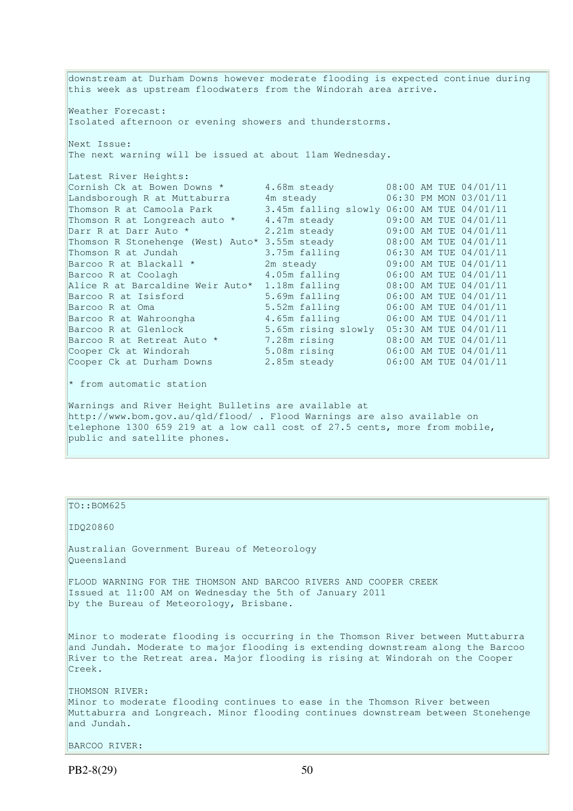downstream at Durham Downs however moderate flooding is expected continue during this week as upstream floodwaters from the Windorah area arrive. Weather Forecast: Isolated afternoon or evening showers and thunderstorms. Next Issue: The next warning will be issued at about 11am Wednesday. Latest River Heights: Cornish Ck at Bowen Downs  $*$  4.68m steady 08:00 AM TUE 04/01/11 Landsborough R at Muttaburra 4m steady 06:30 PM MON 03/01/11 Thomson R at Camoola Park 3.45m falling slowly 06:00 AM TUE 04/01/11 Thomson R at Longreach auto  $*$  4.47m steady 09:00 AM TUE 04/01/11 Darr R at Darr Auto \* 2.21m steady 09:00 AM TUE 04/01/11 Thomson R Stonehenge (West) Auto\* 3.55m steady 08:00 AM TUE 04/01/11 Thomson R at Jundah 3.75m falling 06:30 AM TUE 04/01/11 Barcoo R at Blackall \* 2m steady 09:00 AM TUE 04/01/11 Barcoo R at Coolagh 4.05m falling 06:00 AM TUE 04/01/11 Alice R at Barcaldine Weir Auto\* 1.18m falling 08:00 AM TUE 04/01/11 Barcoo R at Isisford 5.69m falling 06:00 AM TUE 04/01/11 Barcoo R at Oma 5.52m falling 06:00 AM TUE 04/01/11 Barcoo R at Wahroongha 4.65m falling 06:00 AM TUE 04/01/11 Barcoo R at Glenlock 5.65m rising slowly 05:30 AM TUE 04/01/11 Barcoo R at Retreat Auto \* 7.28m rising 08:00 AM TUE 04/01/11 Cooper Ck at Windorah 5.08m rising 06:00 AM TUE 04/01/11 Cooper Ck at Durham Downs 2.85m steady 06:00 AM TUE 04/01/11  $*$  from automatic station Warnings and River Height Bulletins are available at http://www.bom.gov.au/qld/flood/ . Flood Warnings are also available on telephone 1300 659 219 at a low call cost of 27.5 cents, more from mobile, public and satellite phones.

#### TO::BOM625

#### IDQ20860

Australian Government Bureau of Meteorology Queensland

FLOOD WARNING FOR THE THOMSON AND BARCOO RIVERS AND COOPER CREEK Issued at 11:00 AM on Wednesday the 5th of January 2011 by the Bureau of Meteorology, Brisbane.

Minor to moderate flooding is occurring in the Thomson River between Muttaburra and Jundah. Moderate to major flooding is extending downstream along the Barcoo River to the Retreat area. Major flooding is rising at Windorah on the Cooper Creek.

THOMSON RIVER: Minor to moderate flooding continues to ease in the Thomson River between Muttaburra and Longreach. Minor flooding continues downstream between Stonehenge and Jundah.

BARCOO RIVER: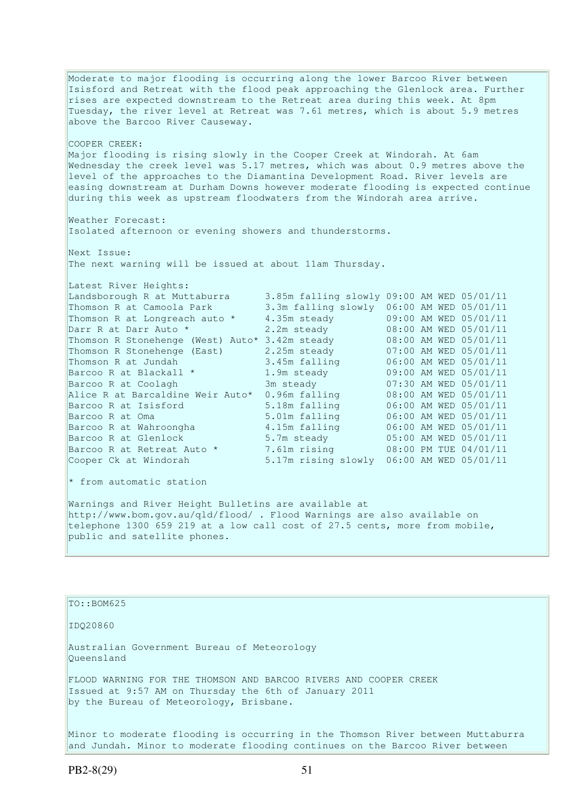Moderate to major flooding is occurring along the lower Barcoo River between Isisford and Retreat with the flood peak approaching the Glenlock area. Further rises are expected downstream to the Retreat area during this week. At 8pm Tuesday, the river level at Retreat was 7.61 metres, which is about 5.9 metres above the Barcoo River Causeway. COOPER CREEK: Major flooding is rising slowly in the Cooper Creek at Windorah. At 6am Wednesday the creek level was 5.17 metres, which was about 0.9 metres above the level of the approaches to the Diamantina Development Road. River levels are easing downstream at Durham Downs however moderate flooding is expected continue during this week as upstream floodwaters from the Windorah area arrive. Weather Forecast: Isolated afternoon or evening showers and thunderstorms. Next Issue: The next warning will be issued at about 11am Thursday. Latest River Heights: Landsborough R at Muttaburra 3.85m falling slowly 09:00 AM WED 05/01/11 Thomson R at Camoola Park 3.3m falling slowly 06:00 AM WED 05/01/11 Thomson R at Longreach auto \* 4.35m steady 09:00 AM WED 05/01/11 Darr R at Darr Auto \* 2.2m steady 08:00 AM WED 05/01/11 Thomson R Stonehenge (West) Auto\* 3.42m steady 08:00 AM WED 05/01/11 Thomson R Stonehenge (East) 2.25m steady 07:00 AM WED 05/01/11 Thomson R at Jundah 3.45m falling 06:00 AM WED 05/01/11 Barcoo R at Blackall \* 1.9m steady 09:00 AM WED 05/01/11 Barcoo R at Coolagh 3m steady 07:30 AM WED 05/01/11 Alice R at Barcaldine Weir Auto\* 0.96m falling 08:00 AM WED 05/01/11 Barcoo R at Isisford 5.18m falling 06:00 AM WED 05/01/11 Barcoo R at Oma 5.01m falling 06:00 AM WED 05/01/11 Barcoo R at Wahroongha 4.15m falling 06:00 AM WED 05/01/11 Barcoo R at Glenlock 5.7m steady 05:00 AM WED 05/01/11 Barcoo R at Retreat Auto \* 7.61m rising 08:00 PM TUE 04/01/11 Cooper Ck at Windorah 5.17m rising slowly 06:00 AM WED 05/01/11  $*$  from automatic station Warnings and River Height Bulletins are available at http://www.bom.gov.au/qld/flood/ . Flood Warnings are also available on telephone 1300 659 219 at a low call cost of 27.5 cents, more from mobile, public and satellite phones.

#### TO::BOM625

#### IDQ20860

Australian Government Bureau of Meteorology Queensland

FLOOD WARNING FOR THE THOMSON AND BARCOO RIVERS AND COOPER CREEK Issued at 9:57 AM on Thursday the 6th of January 2011 by the Bureau of Meteorology, Brisbane.

Minor to moderate flooding is occurring in the Thomson River between Muttaburra and Jundah. Minor to moderate flooding continues on the Barcoo River between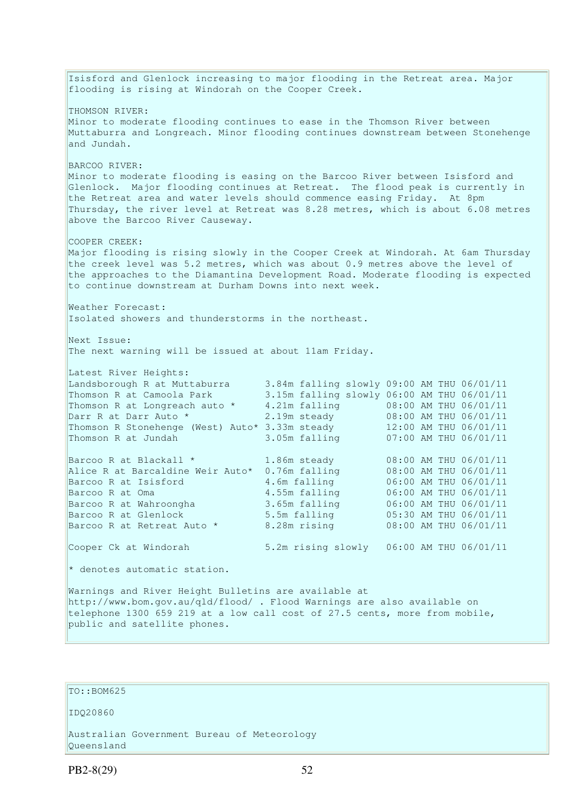Isisford and Glenlock increasing to major flooding in the Retreat area. Major flooding is rising at Windorah on the Cooper Creek. THOMSON RIVER: Minor to moderate flooding continues to ease in the Thomson River between Muttaburra and Longreach. Minor flooding continues downstream between Stonehenge and Jundah. BARCOO RIVER: Minor to moderate flooding is easing on the Barcoo River between Isisford and Glenlock. Major flooding continues at Retreat. The flood peak is currently in the Retreat area and water levels should commence easing Friday. At 8pm Thursday, the river level at Retreat was 8.28 metres, which is about 6.08 metres above the Barcoo River Causeway. COOPER CREEK: Major flooding is rising slowly in the Cooper Creek at Windorah. At 6am Thursday the creek level was 5.2 metres, which was about 0.9 metres above the level of the approaches to the Diamantina Development Road. Moderate flooding is expected to continue downstream at Durham Downs into next week. Weather Forecast: Isolated showers and thunderstorms in the northeast. Next Issue: The next warning will be issued at about 11am Friday. Latest River Heights: Landsborough R at Muttaburra 3.84m falling slowly 09:00 AM THU 06/01/11 Thomson R at Camoola Park 3.15m falling slowly 06:00 AM THU 06/01/11 Thomson R at Longreach auto \* 4.21m falling 08:00 AM THU 06/01/11<br>
Darr R at Darr Auto \* 2.19m steady 08:00 AM THU 06/01/11 Darr R at Darr Auto \* 2.19m steady 08:00 AM THU 06/01/11 Thomson R Stonehenge (West) Auto\* 3.33m steady 12:00 AM THU 06/01/11 Thomson R at Jundah 3.05m falling 07:00 AM THU 06/01/11 Barcoo R at Blackall \* 1.86m steady 08:00 AM THU 06/01/11<br>Alice R at Barcaldine Weir Auto\* 0.76m falling 08:00 AM THU 06/01/11 Alice R at Barcaldine Weir Auto\* 0.76m falling 08:00 AM THU 06/01/11<br>Barcoo R at Isisford 4.6m falling 06:00 AM THU 06/01/11 Barcoo R at Isisford 4.6m falling<br>Barcoo R at Oma 1.55m falling Barcoo R at Oma 4.55m falling 06:00 AM THU 06/01/11 Barcoo R at Wahroongha 3.65m falling 06:00 AM THU 06/01/11 Barcoo R at Glenlock 5.5m falling 05:30 AM THU 06/01/11<br>Barcoo R at Retreat Auto \* 8.28m rising 08:00 AM THU 06/01/11 Barcoo R at Retreat Auto \* Cooper Ck at Windorah 5.2m rising slowly 06:00 AM THU 06/01/11  $*$  denotes automatic station. Warnings and River Height Bulletins are available at http://www.bom.gov.au/qld/flood/ . Flood Warnings are also available on telephone 1300 659 219 at a low call cost of 27.5 cents, more from mobile, public and satellite phones.

## TO::BOM625

IDQ20860

Australian Government Bureau of Meteorology Queensland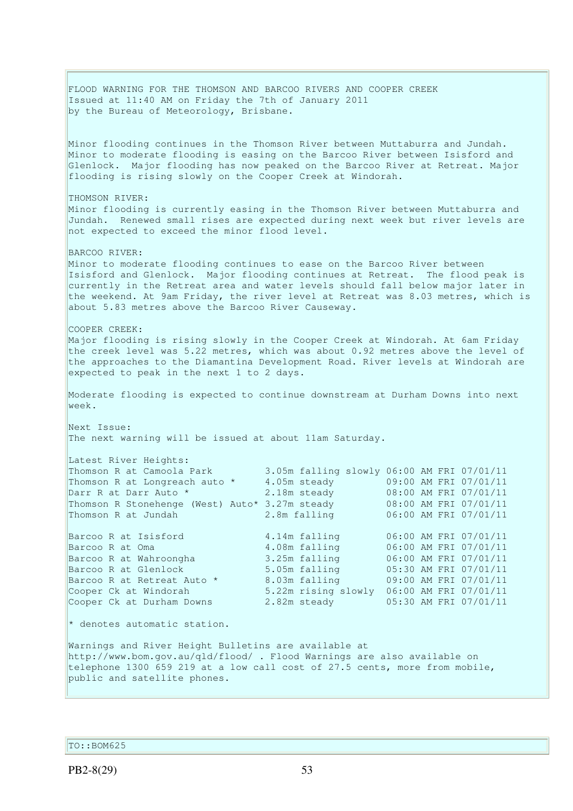FLOOD WARNING FOR THE THOMSON AND BARCOO RIVERS AND COOPER CREEK Issued at 11:40 AM on Friday the 7th of January 2011 by the Bureau of Meteorology, Brisbane. Minor flooding continues in the Thomson River between Muttaburra and Jundah. Minor to moderate flooding is easing on the Barcoo River between Isisford and Glenlock. Major flooding has now peaked on the Barcoo River at Retreat. Major flooding is rising slowly on the Cooper Creek at Windorah. THOMSON RIVER: Minor flooding is currently easing in the Thomson River between Muttaburra and Jundah. Renewed small rises are expected during next week but river levels are not expected to exceed the minor flood level. BARCOO RIVER: Minor to moderate flooding continues to ease on the Barcoo River between Isisford and Glenlock. Major flooding continues at Retreat. The flood peak is currently in the Retreat area and water levels should fall below major later in the weekend. At 9am Friday, the river level at Retreat was 8.03 metres, which is about 5.83 metres above the Barcoo River Causeway. COOPER CREEK: Major flooding is rising slowly in the Cooper Creek at Windorah. At 6am Friday the creek level was 5.22 metres, which was about 0.92 metres above the level of the approaches to the Diamantina Development Road. River levels at Windorah are expected to peak in the next 1 to 2 days. Moderate flooding is expected to continue downstream at Durham Downs into next week. Next Issue: The next warning will be issued at about 11am Saturday. Latest River Heights: Thomson R at Camoola Park 3.05m falling slowly 06:00 AM FRI 07/01/11 Thomson R at Longreach auto \* 4.05m steady 09:00 AM FRI 07/01/11 Darr R at Darr Auto \* 2.18m steady 08:00 AM FRI 07/01/11 Thomson R Stonehenge (West) Auto\* 3.27m steady Thomson R at Jundah 2.8m falling 06:00 AM FRI 07/01/11 Barcoo R at Isisford 4.14m falling 06:00 AM FRI 07/01/11 Barcoo R at Oma 4.08m falling 06:00 AM FRI 07/01/11 Barcoo R at Villa 2008<br>Barcoo R at Wahroongha 3.25m falling 06:00 AM FRI 07/01/11 Barcoo R at Glenlock 5.05m falling 05:30 AM FRI 07/01/11 Barcoo R at Retreat Auto \* 8.03m falling 09:00 AM FRI 07/01/11 Cooper Ck at Windorah 5.22m rising slowly 06:00 AM FRI 07/01/11<br>Cooper Ck at Durham Downs 2.82m steady 05:30 AM FRI 07/01/11 Cooper Ck at Durham Downs 2.82m steady 05:30 AM FRI 07/01/11 \* denotes automatic station. Warnings and River Height Bulletins are available at http://www.bom.gov.au/qld/flood/ . Flood Warnings are also available on telephone 1300 659 219 at a low call cost of 27.5 cents, more from mobile, public and satellite phones.

TO::BOM625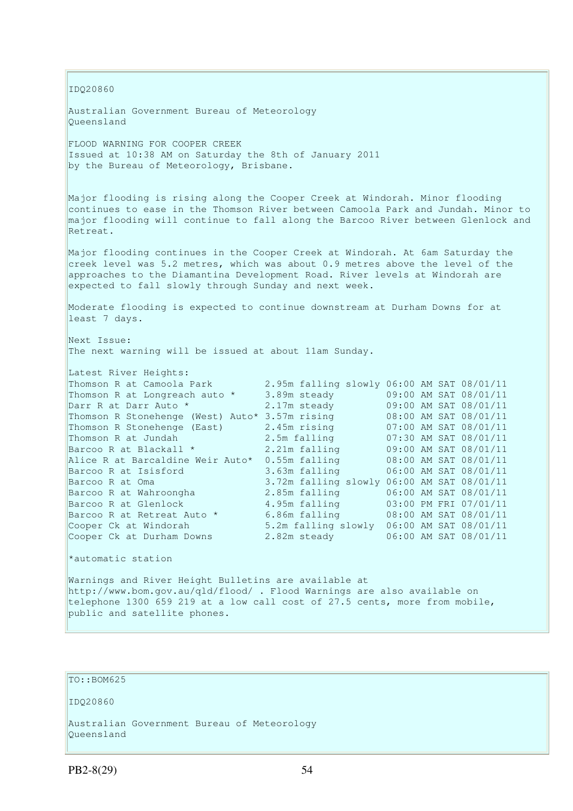IDQ20860

Australian Government Bureau of Meteorology Queensland

FLOOD WARNING FOR COOPER CREEK Issued at 10:38 AM on Saturday the 8th of January 2011 by the Bureau of Meteorology, Brisbane.

Major flooding is rising along the Cooper Creek at Windorah. Minor flooding continues to ease in the Thomson River between Camoola Park and Jundah. Minor to major flooding will continue to fall along the Barcoo River between Glenlock and Retreat.

Major flooding continues in the Cooper Creek at Windorah. At 6am Saturday the creek level was 5.2 metres, which was about 0.9 metres above the level of the approaches to the Diamantina Development Road. River levels at Windorah are expected to fall slowly through Sunday and next week.

Moderate flooding is expected to continue downstream at Durham Downs for at least 7 days.

Next Issue: The next warning will be issued at about 11am Sunday.

| 3.89m steady    |  |                                                                                                                                                                                                                                                                                                                                                                                                                                                   |
|-----------------|--|---------------------------------------------------------------------------------------------------------------------------------------------------------------------------------------------------------------------------------------------------------------------------------------------------------------------------------------------------------------------------------------------------------------------------------------------------|
| 2.17m steady    |  |                                                                                                                                                                                                                                                                                                                                                                                                                                                   |
| 3.57m rising    |  |                                                                                                                                                                                                                                                                                                                                                                                                                                                   |
| 2.45m rising    |  |                                                                                                                                                                                                                                                                                                                                                                                                                                                   |
| 2.5m falling    |  |                                                                                                                                                                                                                                                                                                                                                                                                                                                   |
| 2.21m falling   |  |                                                                                                                                                                                                                                                                                                                                                                                                                                                   |
| $0.55m$ falling |  |                                                                                                                                                                                                                                                                                                                                                                                                                                                   |
| 3.63m falling   |  |                                                                                                                                                                                                                                                                                                                                                                                                                                                   |
|                 |  |                                                                                                                                                                                                                                                                                                                                                                                                                                                   |
| 2.85m falling   |  |                                                                                                                                                                                                                                                                                                                                                                                                                                                   |
| 4.95m falling   |  |                                                                                                                                                                                                                                                                                                                                                                                                                                                   |
| 6.86m falling   |  |                                                                                                                                                                                                                                                                                                                                                                                                                                                   |
|                 |  |                                                                                                                                                                                                                                                                                                                                                                                                                                                   |
| 2.82m steady    |  |                                                                                                                                                                                                                                                                                                                                                                                                                                                   |
|                 |  | 2.95m falling slowly 06:00 AM SAT 08/01/11<br>09:00 AM SAT 08/01/11<br>09:00 AM SAT 08/01/11<br>08:00 AM SAT 08/01/11<br>07:00 AM SAT 08/01/11<br>07:30 AM SAT 08/01/11<br>09:00 AM SAT 08/01/11<br>08:00 AM SAT 08/01/11<br>06:00 AM SAT 08/01/11<br>3.72m falling slowly 06:00 AM SAT 08/01/11<br>06:00 AM SAT 08/01/11<br>03:00 PM FRI 07/01/11<br>08:00 AM SAT 08/01/11<br>5.2m falling slowly 06:00 AM SAT 08/01/11<br>06:00 AM SAT 08/01/11 |

\*automatic station

Warnings and River Height Bulletins are available at http://www.bom.gov.au/qld/flood/ . Flood Warnings are also available on telephone 1300 659 219 at a low call cost of 27.5 cents, more from mobile, public and satellite phones.

# TO::BOM625

IDQ20860

Australian Government Bureau of Meteorology Queensland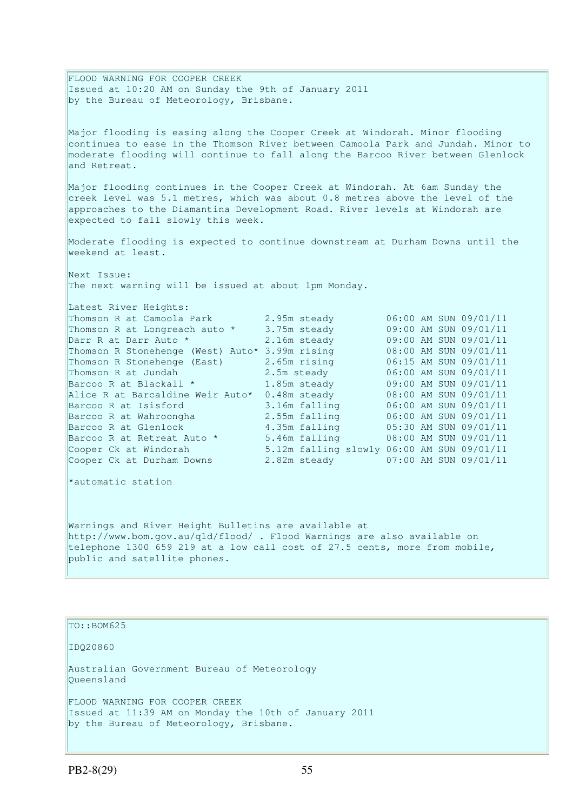FLOOD WARNING FOR COOPER CREEK Issued at 10:20 AM on Sunday the 9th of January 2011 by the Bureau of Meteorology, Brisbane.

Major flooding is easing along the Cooper Creek at Windorah. Minor flooding continues to ease in the Thomson River between Camoola Park and Jundah. Minor to moderate flooding will continue to fall along the Barcoo River between Glenlock and Retreat.

Major flooding continues in the Cooper Creek at Windorah. At 6am Sunday the creek level was 5.1 metres, which was about 0.8 metres above the level of the approaches to the Diamantina Development Road. River levels at Windorah are expected to fall slowly this week.

Moderate flooding is expected to continue downstream at Durham Downs until the weekend at least.

Next Issue: The next warning will be issued at about 1pm Monday.

| Latest River Heights:                          |                                            |                       |  |
|------------------------------------------------|--------------------------------------------|-----------------------|--|
| Thomson R at Camoola Park                      | 2.95m steady                               | 06:00 AM SUN 09/01/11 |  |
| Thomson R at Longreach auto *                  | 3.75m steady                               | 09:00 AM SUN 09/01/11 |  |
| Darr R at Darr Auto *                          | 2.16m steady                               | 09:00 AM SUN 09/01/11 |  |
| Thomson R Stonehenge (West) Auto* 3.99m rising |                                            | 08:00 AM SUN 09/01/11 |  |
| Thomson R Stonehenge (East)                    | 2.65m rising                               | 06:15 AM SUN 09/01/11 |  |
| Thomson R at Jundah                            | 2.5m steady                                | 06:00 AM SUN 09/01/11 |  |
| Barcoo R at Blackall *                         | 1.85m steady                               | 09:00 AM SUN 09/01/11 |  |
| Alice R at Barcaldine Weir Auto*               | 0.48m steady                               | 08:00 AM SUN 09/01/11 |  |
| Barcoo R at Isisford                           | 3.16m falling                              | 06:00 AM SUN 09/01/11 |  |
| Barcoo R at Wahroongha                         | 2.55m falling                              | 06:00 AM SUN 09/01/11 |  |
| Barcoo R at Glenlock                           | 4.35m falling                              | 05:30 AM SUN 09/01/11 |  |
| Barcoo R at Retreat Auto *                     | 5.46m falling                              | 08:00 AM SUN 09/01/11 |  |
| Cooper Ck at Windorah                          | 5.12m falling slowly 06:00 AM SUN 09/01/11 |                       |  |
| Cooper Ck at Durham Downs                      | 2.82m steady                               | 07:00 AM SUN 09/01/11 |  |

\*automatic station

Warnings and River Height Bulletins are available at http://www.bom.gov.au/qld/flood/ . Flood Warnings are also available on telephone 1300 659 219 at a low call cost of 27.5 cents, more from mobile, public and satellite phones.

## $To::BOM625$

IDQ20860

Australian Government Bureau of Meteorology Queensland

FLOOD WARNING FOR COOPER CREEK Issued at 11:39 AM on Monday the 10th of January 2011 by the Bureau of Meteorology, Brisbane.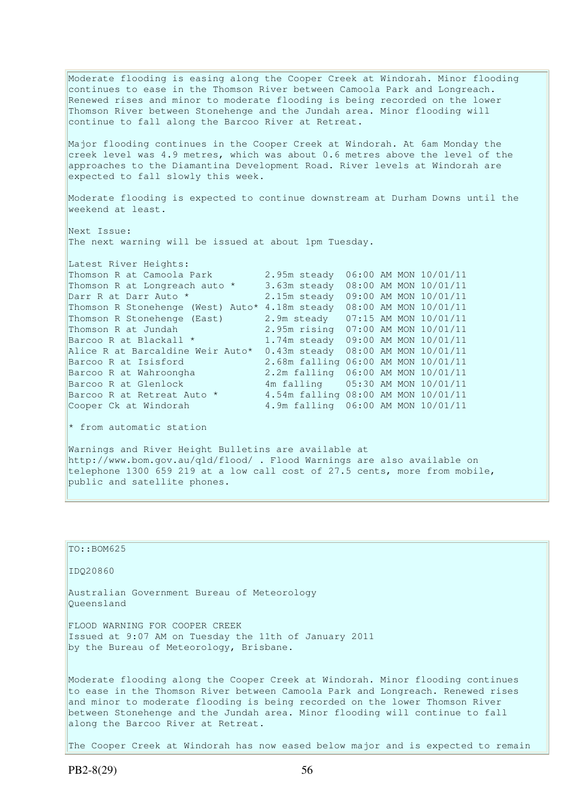Moderate flooding is easing along the Cooper Creek at Windorah. Minor flooding continues to ease in the Thomson River between Camoola Park and Longreach. Renewed rises and minor to moderate flooding is being recorded on the lower Thomson River between Stonehenge and the Jundah area. Minor flooding will continue to fall along the Barcoo River at Retreat.

Major flooding continues in the Cooper Creek at Windorah. At 6am Monday the creek level was 4.9 metres, which was about 0.6 metres above the level of the approaches to the Diamantina Development Road. River levels at Windorah are expected to fall slowly this week.

Moderate flooding is expected to continue downstream at Durham Downs until the weekend at least.

Next Issue: The next warning will be issued at about 1pm Tuesday.

| Latest River Heights:             |                                     |  |                       |
|-----------------------------------|-------------------------------------|--|-----------------------|
| Thomson R at Camoola Park         | 2.95m steady                        |  | 06:00 AM MON 10/01/11 |
| Thomson R at Longreach auto *     | 3.63m steady                        |  | 08:00 AM MON 10/01/11 |
| Darr R at Darr Auto *             | 2.15m steady                        |  | 09:00 AM MON 10/01/11 |
| Thomson R Stonehenge (West) Auto* | 4.18m steady                        |  | 08:00 AM MON 10/01/11 |
| Thomson R Stonehenge (East)       | 2.9m steady 07:15 AM MON 10/01/11   |  |                       |
| Thomson R at Jundah               | 2.95m rising 07:00 AM MON 10/01/11  |  |                       |
| Barcoo R at Blackall *            | 1.74m steady 09:00 AM MON 10/01/11  |  |                       |
| Alice R at Barcaldine Weir Auto*  | 0.43m steady                        |  | 08:00 AM MON 10/01/11 |
| Barcoo R at Isisford              | 2.68m falling 06:00 AM MON 10/01/11 |  |                       |
| Barcoo R at Wahroongha            | 2.2m falling 06:00 AM MON 10/01/11  |  |                       |
| Barcoo R at Glenlock              | 4m falling 05:30 AM MON 10/01/11    |  |                       |
| Barcoo R at Retreat Auto *        | 4.54m falling 08:00 AM MON 10/01/11 |  |                       |
| Cooper Ck at Windorah             | 4.9m falling 06:00 AM MON 10/01/11  |  |                       |

\* from automatic station

Warnings and River Height Bulletins are available at http://www.bom.gov.au/qld/flood/ . Flood Warnings are also available on telephone 1300 659 219 at a low call cost of 27.5 cents, more from mobile, public and satellite phones.

| $TO: BOM625$                                                                                                                                                                                                                                                                                                                                                          |
|-----------------------------------------------------------------------------------------------------------------------------------------------------------------------------------------------------------------------------------------------------------------------------------------------------------------------------------------------------------------------|
| ID020860                                                                                                                                                                                                                                                                                                                                                              |
| Australian Government Bureau of Meteorology<br>Oueensland                                                                                                                                                                                                                                                                                                             |
| FLOOD WARNING FOR COOPER CREEK<br>Issued at 9:07 AM on Tuesday the 11th of January 2011<br>by the Bureau of Meteorology, Brisbane.                                                                                                                                                                                                                                    |
| Moderate flooding along the Cooper Creek at Windorah. Minor flooding continues<br>to ease in the Thomson River between Camoola Park and Longreach. Renewed rises<br>and minor to moderate flooding is being recorded on the lower Thomson River<br>between Stonehenge and the Jundah area. Minor flooding will continue to fall<br>along the Barcoo River at Retreat. |
| The Cooper Creek at Windorah has now eased below major and is expected to remain                                                                                                                                                                                                                                                                                      |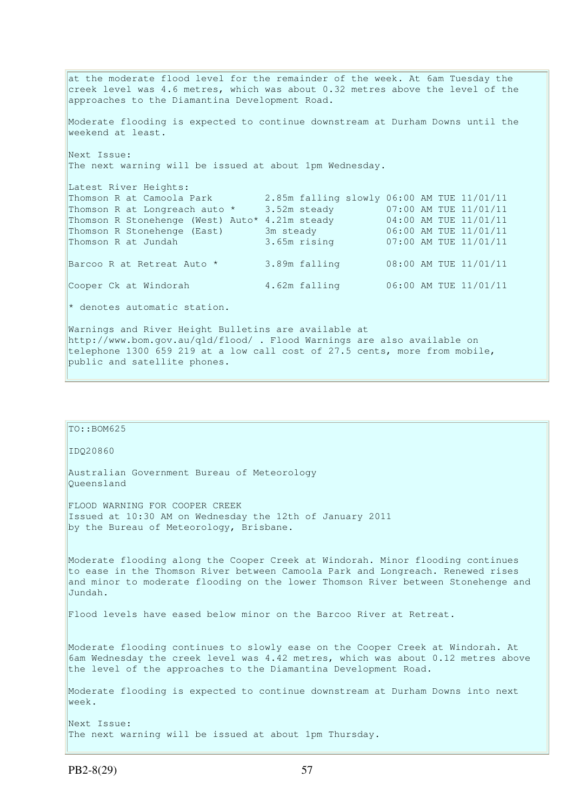at the moderate flood level for the remainder of the week. At 6am Tuesday the creek level was 4.6 metres, which was about 0.32 metres above the level of the approaches to the Diamantina Development Road. Moderate flooding is expected to continue downstream at Durham Downs until the weekend at least. Next Issue: The next warning will be issued at about 1pm Wednesday. Latest River Heights: Thomson R at Camoola Park 2.85m falling slowly 06:00 AM TUE 11/01/11 Thomson R at Longreach auto \* 3.52m steady 07:00 AM TUE 11/01/11 Thomson R Stonehenge (West) Auto\* 4.21m steady 04:00 AM TUE 11/01/11 Thomson R Stonehenge (East) 3m steady 06:00 AM TUE 11/01/11 Thomson R at Jundah 3.65m rising 07:00 AM TUE 11/01/11 Barcoo R at Retreat Auto \* 3.89m falling 08:00 AM TUE 11/01/11 Cooper Ck at Windorah 4.62m falling 06:00 AM TUE 11/01/11 \* denotes automatic station. Warnings and River Height Bulletins are available at http://www.bom.gov.au/qld/flood/ . Flood Warnings are also available on telephone 1300 659 219 at a low call cost of 27.5 cents, more from mobile, public and satellite phones.

```
TO::BOM625 
IDQ20860 
Australian Government Bureau of Meteorology 
Queensland 
FLOOD WARNING FOR COOPER CREEK 
Issued at 10:30 AM on Wednesday the 12th of January 2011 
by the Bureau of Meteorology, Brisbane.
Moderate flooding along the Cooper Creek at Windorah. Minor flooding continues 
to ease in the Thomson River between Camoola Park and Longreach. Renewed rises 
and minor to moderate flooding on the lower Thomson River between Stonehenge and 
Jundah. 
Flood levels have eased below minor on the Barcoo River at Retreat. 
Moderate flooding continues to slowly ease on the Cooper Creek at Windorah. At 
6am Wednesday the creek level was 4.42 metres, which was about 0.12 metres above 
the level of the approaches to the Diamantina Development Road. 
Moderate flooding is expected to continue downstream at Durham Downs into next 
week. 
Next Issue: 
The next warning will be issued at about 1pm Thursday.
```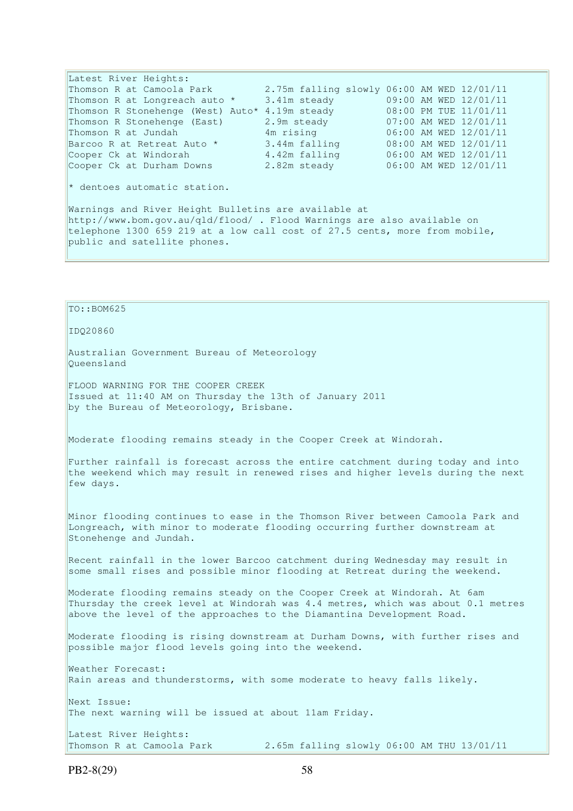Latest River Heights: Thomson R at Camoola Park 2.75m falling slowly 06:00 AM WED 12/01/11 Thomson R at Longreach auto \* 3.41m steady 09:00 AM WED 12/01/11 Thomson R Stonehenge (West) Auto\* 4.19m steady 08:00 PM TUE 11/01/11 Thomson R Stonehenge (East) 2.9m steady 07:00 AM WED 12/01/11 Thomson R at Jundah 4m rising 06:00 AM WED 12/01/11 Barcoo R at Retreat Auto \* 3.44m falling 08:00 AM WED 12/01/11 Cooper Ck at Windorah 4.42m falling 06:00 AM WED 12/01/11 Cooper Ck at Durham Downs 2.82m steady 06:00 AM WED 12/01/11 \* dentoes automatic station. Warnings and River Height Bulletins are available at http://www.bom.gov.au/qld/flood/ . Flood Warnings are also available on telephone 1300 659 219 at a low call cost of 27.5 cents, more from mobile, public and satellite phones.

TO::BOM625 IDQ20860 Australian Government Bureau of Meteorology Queensland FLOOD WARNING FOR THE COOPER CREEK Issued at 11:40 AM on Thursday the 13th of January 2011 by the Bureau of Meteorology, Brisbane. Moderate flooding remains steady in the Cooper Creek at Windorah. Further rainfall is forecast across the entire catchment during today and into the weekend which may result in renewed rises and higher levels during the next few days. Minor flooding continues to ease in the Thomson River between Camoola Park and Longreach, with minor to moderate flooding occurring further downstream at Stonehenge and Jundah. Recent rainfall in the lower Barcoo catchment during Wednesday may result in some small rises and possible minor flooding at Retreat during the weekend. Moderate flooding remains steady on the Cooper Creek at Windorah. At 6am Thursday the creek level at Windorah was 4.4 metres, which was about 0.1 metres above the level of the approaches to the Diamantina Development Road. Moderate flooding is rising downstream at Durham Downs, with further rises and possible major flood levels going into the weekend. Weather Forecast: Rain areas and thunderstorms, with some moderate to heavy falls likely. Next Issue: The next warning will be issued at about 11am Friday. Latest River Heights: Thomson R at Camoola Park 2.65m falling slowly 06:00 AM THU 13/01/11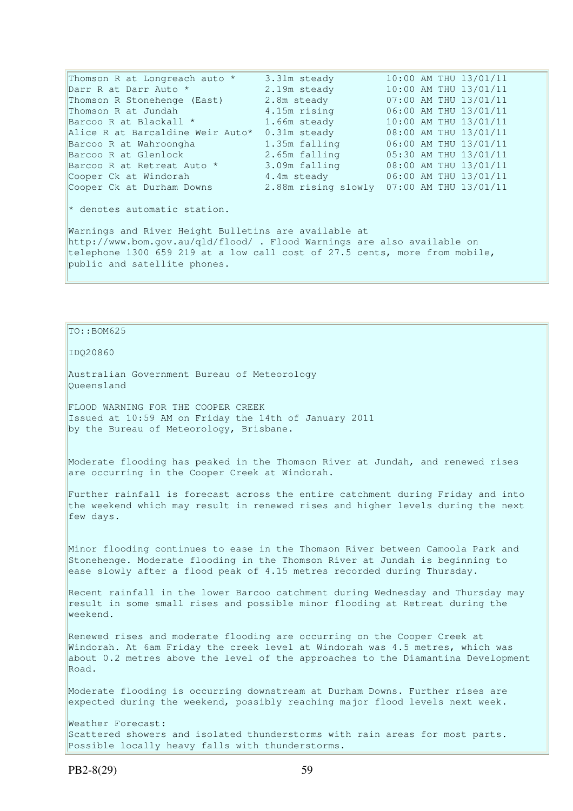Thomson R at Longreach auto \* 3.31m steady 10:00 AM THU 13/01/11 Darr R at Darr Auto \* 2.19m steady 10:00 AM THU 13/01/11 Thomson R Stonehenge (East) 2.8m steady 07:00 AM THU 13/01/11 Thomson R at Jundah 4.15m rising 06:00 AM THU 13/01/11 Barcoo R at Blackall \* 1.66m steady 10:00 AM THU 13/01/11 Alice R at Barcaldine Weir Auto\* 0.31m steady 08:00 AM THU 13/01/11  $\begin{array}{ll}\n\text{Alice} & \text{A1ICE } \text{R} & \text{B1C} \\
\text{B1C} & \text{B2C} & \text{B3D} \\
\text{B2C} & \text{B4D} & \text{B5D} \\
\text{B1D} & \text{B2D} & \text{B3D} \\
\text{B2D} & \text{B3D} & \text{B4D} \\
\text{B2D} & \text{B5D} & \text{B5D} \\
\text{B1D} & \text{B2D} & \text{B1D} & \text{B1D} \\
\text{$ Barcoo R at Glenlock 2.65m falling 05:30 AM THU 13/01/11 Barcoo R at Retreat Auto \* 3.09m falling 08:00 AM THU 13/01/11 Cooper Ck at Windorah 4.4m steady 06:00 AM THU 13/01/11 Cooper Ck at Durham Downs 2.88m rising slowly 07:00 AM THU 13/01/11 \* denotes automatic station. Warnings and River Height Bulletins are available at http://www.bom.gov.au/qld/flood/ . Flood Warnings are also available on telephone 1300 659 219 at a low call cost of 27.5 cents, more from mobile, public and satellite phones.

## $To::BOM625$

IDQ20860

Australian Government Bureau of Meteorology Queensland

FLOOD WARNING FOR THE COOPER CREEK Issued at 10:59 AM on Friday the 14th of January 2011 by the Bureau of Meteorology, Brisbane.

Moderate flooding has peaked in the Thomson River at Jundah, and renewed rises are occurring in the Cooper Creek at Windorah.

Further rainfall is forecast across the entire catchment during Friday and into the weekend which may result in renewed rises and higher levels during the next few days.

Minor flooding continues to ease in the Thomson River between Camoola Park and Stonehenge. Moderate flooding in the Thomson River at Jundah is beginning to ease slowly after a flood peak of 4.15 metres recorded during Thursday.

Recent rainfall in the lower Barcoo catchment during Wednesday and Thursday may result in some small rises and possible minor flooding at Retreat during the weekend.

Renewed rises and moderate flooding are occurring on the Cooper Creek at Windorah. At 6am Friday the creek level at Windorah was 4.5 metres, which was about 0.2 metres above the level of the approaches to the Diamantina Development Road.

Moderate flooding is occurring downstream at Durham Downs. Further rises are expected during the weekend, possibly reaching major flood levels next week.

Weather Forecast: Scattered showers and isolated thunderstorms with rain areas for most parts. Possible locally heavy falls with thunderstorms.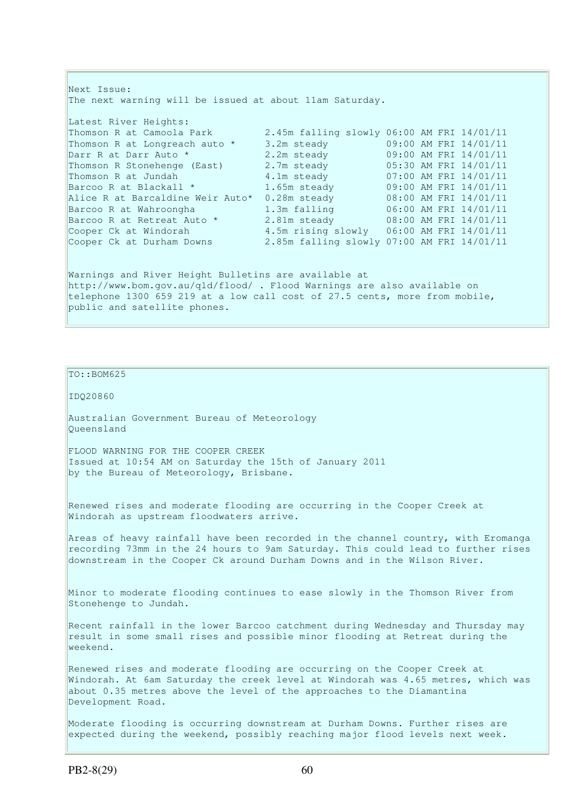Next Issue: The next warning will be issued at about 11am Saturday. Latest River Heights: Thomson R at Camoola Park 2.45m falling slowly 06:00 AM FRI 14/01/11 Thomson R at Longreach auto \* 3.2m steady 09:00 AM FRI 14/01/11 Darr R at Darr Auto \* 2.2m steady 09:00 AM FRI 14/01/11 Thomson R Stonehenge (East) 2.7m steady 05:30 AM FRI 14/01/11 Thomson R at Jundah 4.1m steady 07:00 AM FRI 14/01/11 Barcoo R at Blackall \* 1.65m steady 09:00 AM FRI 14/01/11 Alice R at Barcaldine Weir Auto\* 0.28m steady 08:00 AM FRI 14/01/11 Barcoo R at Wahroongha 1.3m falling 06:00 AM FRI 14/01/11 Barcoo R at Retreat Auto  $\star$  2.81m steady  $08:00$  AM FRI 14/01/11 Cooper Ck at Windorah 4.5m rising slowly 06:00 AM FRI 14/01/11 Cooper Ck at Durham Downs 2.85m falling slowly 07:00 AM FRI 14/01/11 Warnings and River Height Bulletins are available at http://www.bom.gov.au/qld/flood/ . Flood Warnings are also available on telephone 1300 659 219 at a low call cost of 27.5 cents, more from mobile, public and satellite phones.

## TO::BOM625

IDQ20860

Australian Government Bureau of Meteorology Queensland

FLOOD WARNING FOR THE COOPER CREEK Issued at 10:54 AM on Saturday the 15th of January 2011 by the Bureau of Meteorology, Brisbane.

Renewed rises and moderate flooding are occurring in the Cooper Creek at Windorah as upstream floodwaters arrive.

Areas of heavy rainfall have been recorded in the channel country, with Eromanga recording 73mm in the 24 hours to 9am Saturday. This could lead to further rises downstream in the Cooper Ck around Durham Downs and in the Wilson River.

Minor to moderate flooding continues to ease slowly in the Thomson River from Stonehenge to Jundah.

Recent rainfall in the lower Barcoo catchment during Wednesday and Thursday may result in some small rises and possible minor flooding at Retreat during the weekend.

Renewed rises and moderate flooding are occurring on the Cooper Creek at Windorah. At 6am Saturday the creek level at Windorah was 4.65 metres, which was about 0.35 metres above the level of the approaches to the Diamantina Development Road.

Moderate flooding is occurring downstream at Durham Downs. Further rises are expected during the weekend, possibly reaching major flood levels next week.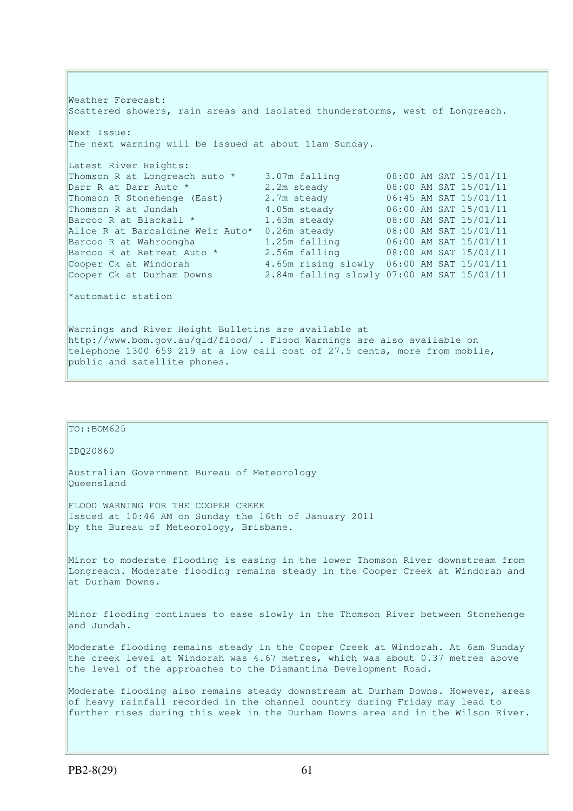Weather Forecast: Scattered showers, rain areas and isolated thunderstorms, west of Longreach. Next Issue: The next warning will be issued at about 11am Sunday. Latest River Heights: Thomson R at Longreach auto \* 3.07m falling 08:00 AM SAT 15/01/11 Darr R at Darr Auto \* 2.2m steady 08:00 AM SAT 15/01/11 Thomson R at Dongledon duce<br>
Darr R at Darr Auto \* 2.2m steady<br>
Thomson R at Jundah 1.05m steady<br>
4.05m steady Part N at Barr Auto<br>
Thomson R Stonehenge (East) 2.7m steady 06:45 AM SAT 15/01/11<br>
Thomson R at Jundah 4.05m steady 06:00 AM SAT 15/01/11<br>
Barcoo R at Blackall \* 1.63m steady 08:00 AM SAT 15/01/11 Barcoo R at Blackall \* 1.63m steady 08:00 AM SAT 15/01/11 Alice R at Barcaldine Weir Auto\* 0.26m steady 08:00 AM SAT 15/01/11 Barcoo R at Wahroongha 1.25m falling 06:00 AM SAT 15/01/11 Barcoo R at Retreat Auto \* 2.56m falling 08:00 AM SAT 15/01/11 Cooper Ck at Windorah 4.65m rising slowly 06:00 AM SAT 15/01/11 Cooper Ck at Durham Downs 2.84m falling slowly 07:00 AM SAT 15/01/11 \*automatic station Warnings and River Height Bulletins are available at http://www.bom.gov.au/qld/flood/ . Flood Warnings are also available on

telephone 1300 659 219 at a low call cost of 27.5 cents, more from mobile,

TO::BOM625

public and satellite phones.

IDQ20860

Australian Government Bureau of Meteorology Queensland

FLOOD WARNING FOR THE COOPER CREEK Issued at 10:46 AM on Sunday the 16th of January 2011 by the Bureau of Meteorology, Brisbane.

Minor to moderate flooding is easing in the lower Thomson River downstream from Longreach. Moderate flooding remains steady in the Cooper Creek at Windorah and at Durham Downs.

Minor flooding continues to ease slowly in the Thomson River between Stonehenge and Jundah.

Moderate flooding remains steady in the Cooper Creek at Windorah. At 6am Sunday the creek level at Windorah was 4.67 metres, which was about 0.37 metres above the level of the approaches to the Diamantina Development Road.

Moderate flooding also remains steady downstream at Durham Downs. However, areas of heavy rainfall recorded in the channel country during Friday may lead to further rises during this week in the Durham Downs area and in the Wilson River.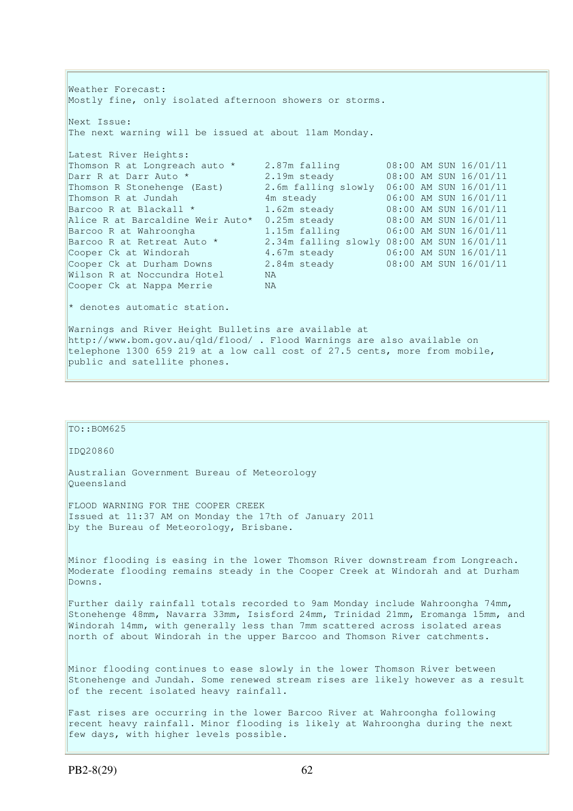Weather Forecast: Mostly fine, only isolated afternoon showers or storms. Next Issue: The next warning will be issued at about 11am Monday. Latest River Heights: Thomson R at Longreach auto \* 2.87m falling 08:00 AM SUN 16/01/11 Darr R at Darr Auto \* 2.19m steady 08:00 AM SUN 16/01/11 Thomson R Stonehenge (East) 2.6m falling slowly 06:00 AM SUN 16/01/11 Thomson R at Jundah 4m steady 06:00 AM SUN 16/01/11 Barcoo R at Blackall \* 1.62m steady 08:00 AM SUN 16/01/11 Alice R at Barcaldine Weir Auto\* 0.25m steady 08:00 AM SUN 16/01/11 Barcoo R at Wahroongha 1.15m falling 06:00 AM SUN 16/01/11 Barcoo R at Retreat Auto \* 2.34m falling slowly 08:00 AM SUN 16/01/11 Cooper Ck at Windorah 4.67m steady 06:00 AM SUN 16/01/11 Cooper Ck at Durham Downs 2.84m steady 08:00 AM SUN 16/01/11 Wilson R at Noccundra Hotel NA Cooper Ck at Nappa Merrie NA \* denotes automatic station. Warnings and River Height Bulletins are available at http://www.bom.gov.au/qld/flood/ . Flood Warnings are also available on telephone 1300 659 219 at a low call cost of 27.5 cents, more from mobile, public and satellite phones.

# TO::BOM625

### IDQ20860

Australian Government Bureau of Meteorology Queensland

FLOOD WARNING FOR THE COOPER CREEK Issued at 11:37 AM on Monday the 17th of January 2011 by the Bureau of Meteorology, Brisbane.

Minor flooding is easing in the lower Thomson River downstream from Longreach. Moderate flooding remains steady in the Cooper Creek at Windorah and at Durham Downs.

Further daily rainfall totals recorded to 9am Monday include Wahroongha 74mm, Stonehenge 48mm, Navarra 33mm, Isisford 24mm, Trinidad 21mm, Eromanga 15mm, and Windorah 14mm, with generally less than 7mm scattered across isolated areas north of about Windorah in the upper Barcoo and Thomson River catchments.

Minor flooding continues to ease slowly in the lower Thomson River between Stonehenge and Jundah. Some renewed stream rises are likely however as a result of the recent isolated heavy rainfall.

Fast rises are occurring in the lower Barcoo River at Wahroongha following recent heavy rainfall. Minor flooding is likely at Wahroongha during the next few days, with higher levels possible.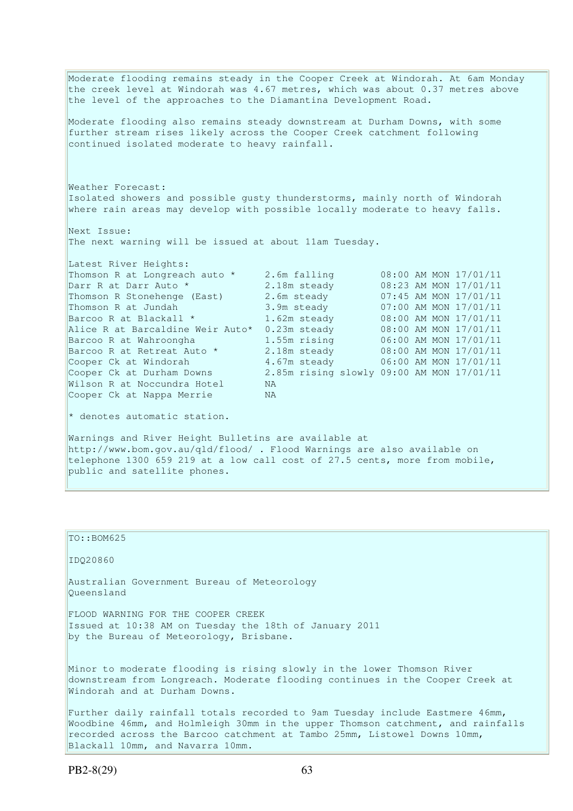Moderate flooding remains steady in the Cooper Creek at Windorah. At 6am Monday the creek level at Windorah was 4.67 metres, which was about 0.37 metres above the level of the approaches to the Diamantina Development Road. Moderate flooding also remains steady downstream at Durham Downs, with some further stream rises likely across the Cooper Creek catchment following continued isolated moderate to heavy rainfall. Weather Forecast: Isolated showers and possible gusty thunderstorms, mainly north of Windorah where rain areas may develop with possible locally moderate to heavy falls. Next Issue: The next warning will be issued at about 11am Tuesday. Latest River Heights: Thomson R at Longreach auto \* 2.6m falling 08:00 AM MON 17/01/11<br>
Darr R at Darr Auto \* 2.18m steady 08:23 AM MON 17/01/11<br>
Thomson R at Jundah 3.9m steady 07:00 AM MON 17/01/11<br>
Barcoo R at Blackall \* 3.9m steady 07:00 AM Darr R at Darr Auto \* 2.18m steady 08:23 AM MON 17/01/11 Thomson R Stonehenge (East) 2.6m steady 07:45 AM MON 17/01/11 Thomson R at Jundah 3.9m steady 07:00 AM MON 17/01/11 Barcoo R at Blackall  $\star$  1.62m steady 08:00 AM MON 17/01/11 Alice R at Barcaldine Weir Auto\* 0.23m steady 08:00 AM MON 17/01/11 Barcoo R at Wahroongha 1.55m rising 06:00 AM MON 17/01/11 Barcoo R at Retreat Auto \* 2.18m steady 68:00 AM MON 17/01/11 Cooper Ck at Windorah 4.67m steady 06:00 AM MON 17/01/11 Cooper Ck at Durham Downs 2.85m rising slowly 09:00 AM MON 17/01/11 Wilson R at Noccundra Hotel NA Cooper Ck at Nappa Merrie NA \* denotes automatic station. Warnings and River Height Bulletins are available at http://www.bom.gov.au/qld/flood/ . Flood Warnings are also available on telephone 1300 659 219 at a low call cost of 27.5 cents, more from mobile, public and satellite phones.

TO::BOM625 IDQ20860 Australian Government Bureau of Meteorology Queensland FLOOD WARNING FOR THE COOPER CREEK Issued at 10:38 AM on Tuesday the 18th of January 2011 by the Bureau of Meteorology, Brisbane. Minor to moderate flooding is rising slowly in the lower Thomson River downstream from Longreach. Moderate flooding continues in the Cooper Creek at Windorah and at Durham Downs. Further daily rainfall totals recorded to 9am Tuesday include Eastmere 46mm, Woodbine 46mm, and Holmleigh 30mm in the upper Thomson catchment, and rainfalls recorded across the Barcoo catchment at Tambo 25mm, Listowel Downs 10mm, Blackall 10mm, and Navarra 10mm.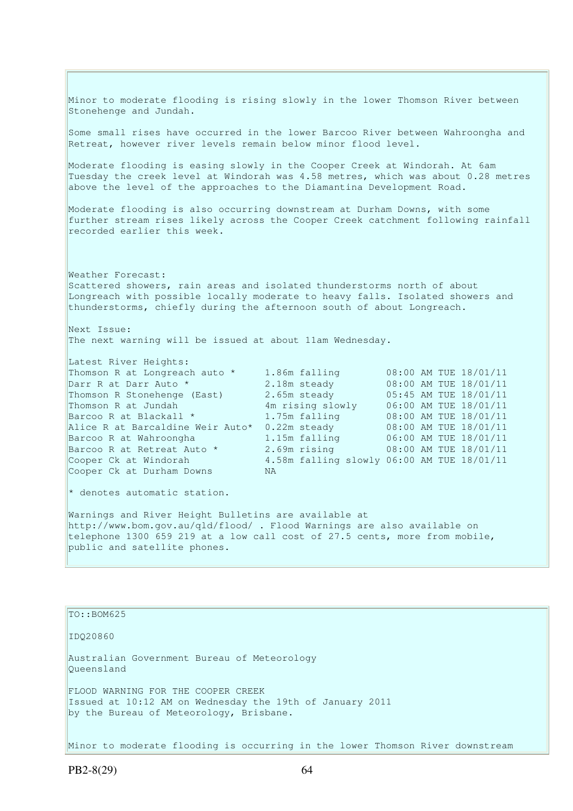Minor to moderate flooding is rising slowly in the lower Thomson River between Stonehenge and Jundah. Some small rises have occurred in the lower Barcoo River between Wahroongha and Retreat, however river levels remain below minor flood level. Moderate flooding is easing slowly in the Cooper Creek at Windorah. At 6am Tuesday the creek level at Windorah was 4.58 metres, which was about 0.28 metres above the level of the approaches to the Diamantina Development Road. Moderate flooding is also occurring downstream at Durham Downs, with some further stream rises likely across the Cooper Creek catchment following rainfall recorded earlier this week. Weather Forecast: Scattered showers, rain areas and isolated thunderstorms north of about Longreach with possible locally moderate to heavy falls. Isolated showers and thunderstorms, chiefly during the afternoon south of about Longreach. Next Issue: The next warning will be issued at about 11am Wednesday. Latest River Heights: Thomson R at Longreach auto \* 1.86m falling 08:00 AM TUE 18/01/11<br>
Darr R at Darr Auto \* 2.18m steady 08:00 AM TUE 18/01/11<br>
Thomson R Stonehenge (East) 2.65m steady 05:45 AM TUE 18/01/11 Darr R at Darr Auto \* 2.18m steady 08:00 AM TUE 18/01/11<br>
Thomson R Stonehenge (East) 2.65m steady 05:45 AM TUE 18/01/11<br>
Thomson R at Jundah 4m rising slowly 06:00 AM TUE 18/01/11 Thomson R Stonehenge (East) Thomson R at Jundah 4m rising slowly 06:00 AM TUE 18/01/11 Barcoo R at Blackall \* 1.75m falling 08:00 AM TUE 18/01/11 Barcoo R at Blackall \* 1.75m falling 08:00 AM TUE 18/01/11<br>Alice R at Barcaldine Weir Auto\* 0.22m steady 08:00 AM TUE 18/01/11 Barcoo R at Wahroongha 1.15m falling 06:00 AM TUE 18/01/11 Barcoo R at Retreat Auto \* 2.69m rising 08:00 AM TUE 18/01/11 Cooper Ck at Windorah 4.58m falling slowly 06:00 AM TUE 18/01/11 Cooper Ck at Durham Downs NA \* denotes automatic station. Warnings and River Height Bulletins are available at http://www.bom.gov.au/qld/flood/ . Flood Warnings are also available on telephone 1300 659 219 at a low call cost of 27.5 cents, more from mobile, public and satellite phones.

TO::BOM625

IDQ20860

Australian Government Bureau of Meteorology Queensland FLOOD WARNING FOR THE COOPER CREEK Issued at 10:12 AM on Wednesday the 19th of January 2011 by the Bureau of Meteorology, Brisbane.

Minor to moderate flooding is occurring in the lower Thomson River downstream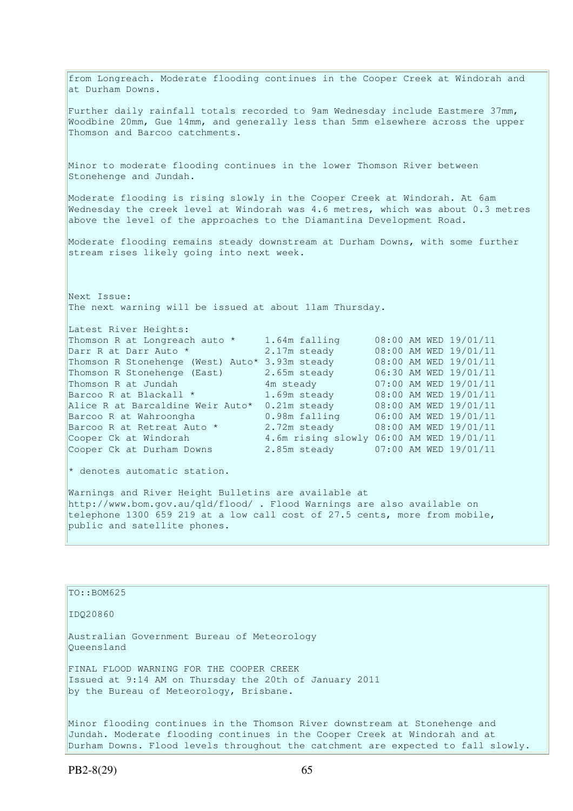from Longreach. Moderate flooding continues in the Cooper Creek at Windorah and at Durham Downs. Further daily rainfall totals recorded to 9am Wednesday include Eastmere 37mm, Woodbine 20mm, Gue 14mm, and generally less than 5mm elsewhere across the upper Thomson and Barcoo catchments. Minor to moderate flooding continues in the lower Thomson River between Stonehenge and Jundah. Moderate flooding is rising slowly in the Cooper Creek at Windorah. At 6am Wednesday the creek level at Windorah was 4.6 metres, which was about 0.3 metres above the level of the approaches to the Diamantina Development Road. Moderate flooding remains steady downstream at Durham Downs, with some further stream rises likely going into next week. Next Issue: The next warning will be issued at about 11am Thursday. Latest River Heights: Thomson R at Longreach auto \* 1.64m falling 08:00 AM WED 19/01/11 Darr R at Darr Auto \* 2.17m steady 08:00 AM WED 19/01/11 Thomson R Stonehenge (West) Auto\* 3.93m steady 08:00 AM WED 19/01/11 Thomson R Stonehenge (East) 2.65m steady 06:30 AM WED 19/01/11 Thomson R at Jundah 4m steady 07:00 AM WED 19/01/11 Barcoo R at Blackall \* 1.69m steady 08:00 AM WED 19/01/11 Alice R at Barcaldine Weir Auto\* 0.21m steady 08:00 AM WED 19/01/11 Barcoo R at Wahroongha 0.98m falling 06:00 AM WED 19/01/11 Barcoo R at Retreat Auto  $\star$  2.72m steady 08:00 AM WED 19/01/11 Cooper Ck at Windorah 4.6m rising slowly 06:00 AM WED 19/01/11 Cooper Ck at Durham Downs 2.85m steady 07:00 AM WED 19/01/11  $*$  denotes automatic station. Warnings and River Height Bulletins are available at http://www.bom.gov.au/qld/flood/ . Flood Warnings are also available on telephone 1300 659 219 at a low call cost of 27.5 cents, more from mobile, public and satellite phones. TO::BOM625 IDQ20860 Australian Government Bureau of Meteorology

Queensland

FINAL FLOOD WARNING FOR THE COOPER CREEK Issued at 9:14 AM on Thursday the 20th of January 2011 by the Bureau of Meteorology, Brisbane.

Minor flooding continues in the Thomson River downstream at Stonehenge and Jundah. Moderate flooding continues in the Cooper Creek at Windorah and at Durham Downs. Flood levels throughout the catchment are expected to fall slowly.